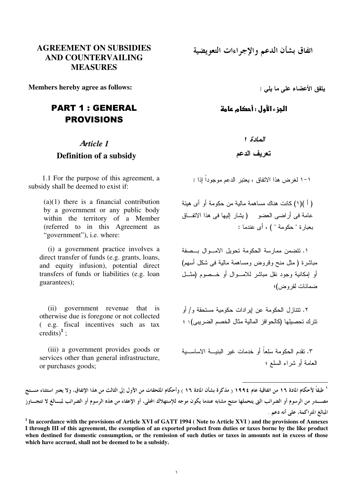## **AGREEMENT ON SUBSIDIES AND COUNTERVAILING MEASURES**

**Members hereby agree as follows:** 

## **PART 1: GENERAL PROVISIONS**

#### **Article 1**

## **Definition of a subsidy**

1.1 For the purpose of this agreement, a subsidy shall be deemed to exist if:

> $(a)(1)$  there is a financial contribution by a government or any public body within the territory of a Member (referred to in this Agreement as "government"), i.e. where:

(i) a government practice involves a direct transfer of funds (e.g. grants, loans, and equity infusion), potential direct transfers of funds or liabilities (e.g. loan guarantees):

(ii) government revenue that is otherwise due is foregone or not collected (e.g. fiscal incentives such as tax credits)<sup>1</sup>:

(iii) a government provides goods or services other than general infrastructure, or purchases goods;

بتفق الأعضاء على ما بلي :

## الجزء الأول : أحكام عامة

الصادة ا تعريف الدعم

١–١ لغر ض هذا الاتفاق ، يعتبر الدعم موجوداً إذا :

( أ )(١) كانت هناك مساهمة مالية من حكومة أو أي هيئة عامة في أراضي العضو ﴿ بِشَارٍ إِلَيْهَا فِي هَذَا الانْفَــاقِ بعبارة " حكومة " ) ، أي عندما :

١. تتضمن ممارسة الحكومة تحويل الإمسوال يسصفة مباشر ۃ ( مثل منح وقر وض ومساہمة مالية في شكل أسهم) أو إمكانية وجود نقل مباشر للامسوال أو خـــصوم (مثـــل ضمانات لقر و ض)؛

٢. نتتاز ل الحكومة عن ابر ادات حكومية مستحقة و/ أو نتز ك تحصيلها (كالحو افز المالية مثال الخصم الضريبي) ١ ؛

٣. نقدم الحكومة سلعاً أو خدمات غبر البنيسة الاساســبة العامة أو شراء السلع ؛

<sup>`</sup> طبقاً لأحكام المادة ١٦ من اتفاقية عام ١٩٩٤ ( مذكرة بشأن المادة ١٦ ) وأحكام الملحقات من الأول إلى الثالث من هذا الإتفاق، ولا يعتبر استثناء منستج مصــــدر من الرسوم أو الضرائب التي يتحملها منتج مشابه عندما يكون موجه للإستهلاك المحلي، أو الإعفاء من هذه الرسوم أو الضرائب لمسالغ لا تتجــــاوز المبالغ المتراكمة، على أنه دعم .

<sup>&</sup>lt;sup>1</sup> In accordance with the provisions of Article XVI of GATT 1994 (Note to Article XVI) and the provisions of Annexes I through III of this agreement, the exemption of an exported product from duties or taxes borne by the like product when destined for domestic consumption, or the remission of such duties or taxes in amounts not in excess of those which have accrued, shall not be deemed to be a subsidy.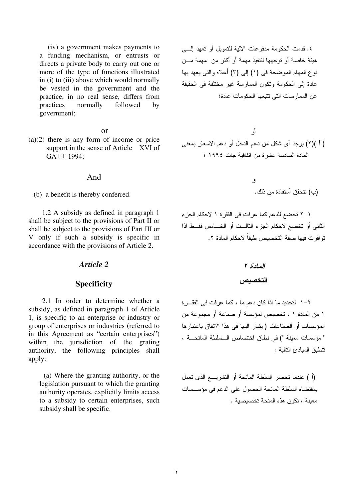(iv) a government makes payments to a funding mechanism, or entrusts or directs a private body to carry out one or more of the type of functions illustrated in (i) to (iii) above which would normally be vested in the government and the practice, in no real sense, differs from practices normally followed by government;

#### $or$

 $(a)(2)$  there is any form of income or price support in the sense of Article XVI of GATT 1994:

#### And

(b) a benefit is thereby conferred.

1.2 A subsidy as defined in paragraph 1 shall be subject to the provisions of Part II or shall be subject to the provisions of Part III or V only if such a subsidy is specific in accordance with the provisions of Article 2.

## Article 2

## **Specificity**

2.1 In order to determine whether a subsidy, as defined in paragraph 1 of Article 1, is specific to an enterprise or industry or group of enterprises or industries (referred to in this Agreement as "certain enterprises") within the jurisdiction of the grating authority, the following principles shall apply:

(a) Where the granting authority, or the legislation pursuant to which the granting authority operates, explicitly limits access to a subsidy to certain enterprises, such subsidy shall be specific.

٤. قدمت الحكومة مدفو عات الإلبة للتمويل أو تعهد الـــــ ِ هيئة خاصنة أو توجهها لتتفيذ مهمة أو أكثر من مهمة مـــن نوع المهام الموضحة في (١) إلى (٣) أعلاه والتي يعهد بها .<br>عادة إلى الحكومة وتكون الممارسة غير مختلفة في الحقيقة عن الممار سات التي تتبعها الحكومات عادة؛

اً ہ ( أ )(٢) يوجد أي شكل من دعم الدخل أو دعم الاسعار بمعنى المادة السادسة عشر ة من اتفاقية جات ١٩٩٤ ؛

(ب) نتحقق أستفادة من ذلك.

١-٢ تخضع للدعم كما عرفت في الفقرة ١ لاحكام الجزء الثاني أو تخضع لاحكام الجزء الثالث أو الخـــامس فقــط اذا تو افر ت فيها صفة التخصيص طبقاً لاحكام المادة ٢.

#### الصادة ٢

#### التخصبص

٢–١ لتحديد ما اذا كان دعم ما ، كما عرفت في الفقــرة ١ من المادة ١ ، تخصيص لمؤسسة أو صناعة أو مجموعة من المؤسسات أو الصناعات (بشار البها في هذا الاتفاق باعتبار ها " مؤسسات معينة ") في نطاق اختصاص الـسلطة المانحـــة ، نتطبق المبادئ التالية :

(أ ) عندما تحصر السلطة المانحة أو التشريــــع الذي تعمل بمقتضاه السلطة المانحة الحصول على الدعم في مؤسسات معبنة ، تكون هذه المنحة تخصيصية .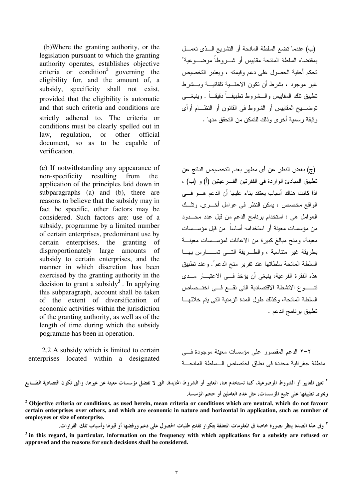(b) Where the granting authority, or the legislation pursuant to which the granting authority operates, establishes objective criteria or condition<sup>2</sup> governing the eligibility for, and the amount of, a subsidy, specificity shall not exist, provided that the eligibility is automatic and that such criteria and conditions are strictly adhered to. The criteria or conditions must be clearly spelled out in other  $law.$ regulation,  $\alpha$ official document, so as to be capable of verification.

(c) If notwithstanding any appearance of non-specificity resulting from the application of the principles laid down in subparagraphs (a) and (b), there are reasons to believe that the subsidy may in fact be specific, other factors may be considered. Such factors are: use of a subsidy, programme by a limited number of certain enterprises, predominant use by certain enterprises, the granting  $\alpha$ f disproportionately large amounts  $\alpha$ f subsidy to certain enterprises, and the manner in which discretion has been exercised by the granting authority in the decision to grant a subsidy<sup>3</sup>. In applying this subparagraph, account shall be taken of the extent of diversification of economic activities within the jurisdiction of the granting authority, as well as of the length of time during which the subsidy pogramme has been in operation.

2.2 A subsidy which is limited to certain enterprises located within a designated (ب) عندما تضع السلطة المانحة أو التشريع اللَّذي تعمــل بمقتضاه السلطة المانحة مقابيس أو شـــروطاً موضـــوعية' تحكم أحقية الحصول على دعم وقيمته ، وبعتبر التخصيص غير موجود ، بشرط أن نكون الاحقـــية نلقائيـــة وبـــشرط تطبيق تلك المقابيس والـــشر وط تطبيقـــاً دقيقـــاً . وينبغــــى نوضــــبح المقابيس أو الشروط في القانون أو النظـــام أوأى وثيقة رسمية أخرى وذلك للتمكن من التحقق منها .

(ج) بغض النظر عن أي مظهر بعدم التخصيص الناتج عن تطبيق المبادئ الواردة في الفقرتين الفسر عينين (أ) و (ب) ، اذا كانت هناك أسباب يعتقد بناء عليها أن الدعم هـــو فـــي الواقع مخصص ، يمكن النظر في عوامل أخـــري. وتلـــك العوامل هي : استخدام برنامج الدعم من قبل عدد محـــدود من مؤسسات معبنة أو استخدامه أساساً ً من قبل مؤســسات معينة، ومنح مبالغ كبيرة من الاعانات لمؤســسات معينـــة بطريقة غير منتاسبة ، والطبريقة التبي تمـــارس بهــا السلطة المانحة سلطاتها عند تقرير منح الدعم". وعند تطبيق هذه الفقرة الفرعية، ينبغي أن يؤخذ فسي الاعتبـــار مـــدى نتــــــوع الانشطة الاقتصادية التي نقـــع فـــي اختـــصاص السلطة المانحة، وكذلك طول المدة الزمنية التي يتم خلالهــا تطبيق برنامج الدعم .

٢–٢ الدعم المقصور على مؤسسات معينة موجودة فبي منطقة جغر افية محددة في نطاق اختصاص الــسلطة المانحـــة

٢ تعنى المعايير أو الشروط الموضوعية، كما تستخدم هنا، المعايير أو الشروط المحايدة، التي لا تفضل مؤسسات معينة عن غيرها، والتي تكون اقتصادية الطـــابع ويجرى تطبيقها على جميع المؤسسات، مثل عدد العاملين أو حجم المؤسسة.

٣ وفي هذا الصدد ينظر بصورة خاصة في المعلومات المتعلقة بتكرار تقديم طلبات الحصول على دعم ورفضها أو قبولها وأسباب تلك القرارات.

<sup>&</sup>lt;sup>2</sup> Objective criteria or conditions, as used herein, mean criteria or conditions which are neutral, which do not favour certain enterprises over others, and which are economic in nature and horizontal in application, such as number of employees or size of enterprise.

 $3$  in this regard, in particular, information on the frequency with which applications for a subsidy are refused or approved and the reasons for such decisions shall be considered.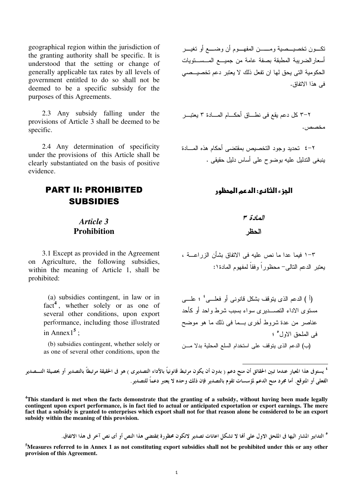geographical region within the jurisdiction of the granting authority shall be specific. It is understood that the setting or change of generally applicable tax rates by all levels of government entitled to do so shall not be deemed to be a specific subsidy for the purposes of this Agreements.

2.3 Any subsidy falling under the provisions of Article 3 shall be deemed to be specific.

2.4 Any determination of specificity under the provisions of this Article shall be clearly substantiated on the basis of positive evidence.

## **PART II: PROHIBITED SUBSIDIES**

## Article 3 **Prohibition**

3.1 Except as provided in the Agreement on Agriculture, the following subsidies, within the meaning of Article 1, shall be prohibited:

> (a) subsidies contingent, in law or in fact<sup>4</sup>, whether solely or as one of several other conditions, upon export performance, including those illustrated in Annex $1^5$ :

> (b) subsidies contingent, whether solely or as one of several other conditions, upon the

تكـــون تخصيـــصية ومــــــن المفهـــوم أن وضــــع أو تغيـــر أسعار الضريبة المطبقة بصفة عامة من جميـــع المــســتويات الحكومية التي يحق لها ان تفعل ذلك لا يعتبر دعم تخصيــصبي في هذا الاتفاق.

٢-٣ كل دعم يقع في نطـــاق أحكـــام المــــادة ٣ يعتبـــر مخصص،

٢–٤٪ تحديد وجود التخصيص بمقتضبي أحكام هذه المسادة بنبغي الندليل عليه بوضوح على أساس دليل حقيقي .

الجزء الثاني: الدعم الهمظور

# الصادة ٣ الحظ

٣-١ فيما عدا ما نص عليه في الاتفاق بشأن الزر اعـــة ، يعتبر الدعم التالي– محظور أ و فقاً لمفهو م المادة ١ :

(أ ) الدعم الذي بنوقف بشكل قانوني أو فعلـــي أ ؛ علـــي مستوى الإداء التصبيدري سواء بسبب شرط واحد أو كأحد عناصر من عدة شروط أخرى بـــما في ذلك ما هو موضح في الملحق الأول°؛ (ب) الدعم الذي يتوقف على استخدام السلع المحلية بدلا مـن

<sup>؛</sup> يستو في هذا المعيار عندما تبين الحقائق أن منح دعم ( بدون أن يكون مرتبط قانونياً بالأداء التصدير ي هو في الحقيقة مرتبطاً بالتصدير أو بحصيلة التــــصدير الفعلي أو المتوقع. أما مجرد منح الدعم لمؤسسات تقوم بالتصدير فإن ذلك وحده لا يعتبر دعماً للتصدير .

<sup>4</sup>This standard is met when the facts demonstrate that the granting of a subsidy, without having been made legally contingent upon export performance, is in fact tied to actual or anticipated exportation or export earnings. The mere fact that a subsidy is granted to enterprises which export shall not for that reason alone be considered to be an export subsidy within the meaning of this provision.

° التدابير المشار اليها في الملحق الاول على ألها لا تشكل اعانات تصدير لاتكون محظورة بمقتضى هذا النص أو أي نص آخر في هذا الاتفاق.

<sup>5</sup>Measures referred to in Annex 1 as not constituting export subsidies shall not be prohibited under this or any other provision of this Agreement.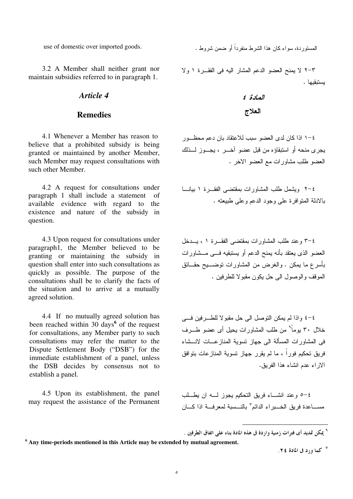use of domestic over imported goods.

3.2 A Member shall neither grant nor maintain subsidies referred to in paragraph 1.

## *Article 4*

#### **Remedies**

4.1 Whenever a Member has reason to believe that a prohibited subsidy is being granted or maintained by another Member, such Member may request consultations with such other Member.

4.2 A request for consultations under paragraph 1 shall include a statement of available evidence with regard to the existence and nature of the subsidy in question.

4.3 Upon request for consultations under paragraph1, the Member believed to be granting or maintaining the subsidy in question shall enter into such consultations as quickly as possible. The purpose of the consultations shall be to clarify the facts of the situation and to arrive at a mutually agreed solution.

4.4 If no mutually agreed solution has been reached within 30 days<sup>6</sup> of the request for consultations, any Member party to such consultations may refer the matter to the Dispute Settlement Body ("DSB") for the immediate establishment of a panel, unless the DSB decides by consensus not to establish a panel.

4.5 Upon its establishment, the panel may request the assistance of the Permanent المستور دة، سو اء كان هذا الشر ط منفر داً أو ضمن شر و ط .

٢–٢ لا يمنح العضو الدعم المشار اليه في الفقـــرة ١ ولا بستيقيها .

# المصادة كا العلاج

٤–١ اذا كان لدى العضو سبب للاعتقاد بان دعم محظــور يجرى منحه أو استبقاؤه من قبل عضو أخــــر ، يجــــوز لــــذلك العضو طلب مشاورات مع العضو الاخر .

٢-٤ ويشمل طلب المشاورات بمقتضى الفقـــرة ١ بيانـــا بالادلة المنوافرة على وجود الدعم وعلى طبيعته .

٤-٣ وعند طلب المشاورات بمقتضى الفقــرة ١ ، يــدخل العضو الذي يعتقد بأنه يمنح الدعم أو يستبقيه فسي مسشاور ات بأسرع ما يمكن . والغرض من المشاورات توضــــيح حقـــائق المو قف و الو صول الے حل بكون مقبو لا للطر فين .

٤–٤ وإذا لم يمكن النوصل الى حل مقبولا للطــــــرفين فــــى خلال ٣٠ بوماً<sup>،</sup> من طلب المشاورات يحيل أى عضو طـــرف في المشاورات المسألة الى جهاز نسوية المنازعـــات لانـــشاء فريق تحكيم فورا ، ما لم يقرر جهاز تسوية المنازعات بتوافق الار اء عدم انشاء هذا الفريق.

٤–٥ وعند انشـــاء فريق النحكيم يجوز لــــه ان يطـــلب مســـاعدة فريق الخــــبراء الدائم<sup>٬</sup> بالنـــسبة لمعرفـــة اذا كــــان

`` يمكن قديد أى فترات زمنية واردة فى هذه المادة بناء على اتفاق الطرفين .

 $\overline{a}$ 

**<sup>6</sup> Any time-periods mentioned in this Article may be extended by mutual agreement.**

<sup>٧</sup> كما ورد في المادة ٢٤.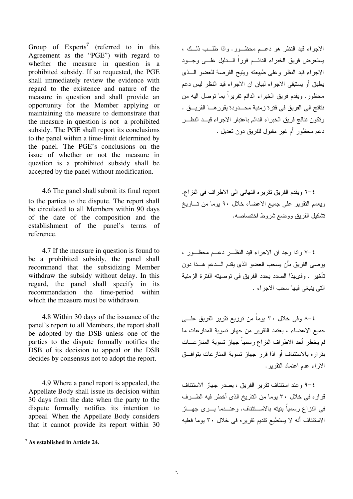Group of Experts**<sup>7</sup>** (referred to in this Agreement as the "PGE") with regard to whether the measure in question is a prohibited subsidy. If so requested, the PGE shall immediately review the evidence with regard to the existence and nature of the measure in question and shall provide an opportunity for the Member applying or maintaining the measure to demonstrate that the measure in question is not a prohibited subsidy. The PGE shall report its conclusions to the panel within a time-limit determined by the panel. The PGE's conclusions on the issue of whether or not the measure in question is a prohibited subsidy shall be accepted by the panel without modification.

4.6 The panel shall submit its final report to the parties to the dispute. The report shall be circulated to all Members within 90 days of the date of the composition and the establishment of the panel's terms of reference.

4.7 If the measure in question is found to be a prohibited subsidy, the panel shall recommend that the subsidizing Member withdraw the subsidy without delay. In this regard, the panel shall specify in its recommendation the time-period within which the measure must be withdrawn.

4.8 Within 30 days of the issuance of the panel's report to all Members, the report shall be adopted by the DSB unless one of the parties to the dispute formally notifies the DSB of its decision to appeal or the DSB decides by consensus not to adopt the report.

4.9 Where a panel report is appealed, the Appellate Body shall issue its decision within 30 days from the date when the party to the dispute formally notifies its intention to appeal. When the Appellate Body considers that it cannot provide its report within 30

j

الاجراء قيد النظر هو دعــم محظـــور. وإذا طلـــب ذلـــك ، يستعرض فريق الخبراء الدائــم فورا الــــدليل علــــي وجـــود الاجراء قيد النظر وعلى طبيعته ويتيح الفرصة للعضو السذى يطبق أو يستبقى الاجراء لبيان ان الاجراء قيد النظر ليس دعم محظور . ويقدم فريق الخبراء الدائم تقريراً بما توصل اليه من نتائج الى الفريق في فتر ة زمنية محـــدودة يقر رهــــا الفريــــق . ونكون نتائج فريق الخبراء الدائم باعتبار الاجراء قيــد النظـــر دعم محظور أم غير مقبول للفريق دون تعديل .

٤–٦ ويقدم الفريق نقريره النهائي الى الاطراف في النزاع. ويعمم النقرير على جميع الاعضاء خلال ٩٠ يوما من تـــاريخ نتثىكيل الفريق ووضع شروط اختصاصه.

٤–٧ وإذا وجد ان الاجراء قيد النظــــر دعـــم محظـــور ، يوصبي الفريق بأن يسحب العضو الذي يقدم الـــدعم هـــذا دون تأخير ). و في هذا الصدد بحدد الفريق في توصيته الفتر ة الزمنية التي ينبغي فيها سحب الاجراء .

٤–٨ وفي خلال ٣٠ يوما من توزيع نقرير الفريق علـــي جميع الاعضاء ، يعتمد النقرير من جهاز تسوية المنازعات ما لم يخطر أحد الاطراف النزاع رسميا جهاز تسوية المنازعـــات بقراره بالاستئناف أو اذا قرر جهاز تسوية المنازعات بتوافــق الاراء عدم اعتماد النقرير.

٤–٩ وعند استئناف نقرير الفريق ، يصدر جهاز الاستئناف قراره في خلال ٣٠ يوما من الناريخ الذي أخطر فيه الطـــرف في النزاع رسميا بنيته بالاســـنئناف. وعنـــدما يــــرى جهـــاز الاستئناف أنه لا يستطيع تقديم تقرير ه في خلال ٣٠ يوما فعليه

**<sup>7</sup> As established in Article 24.**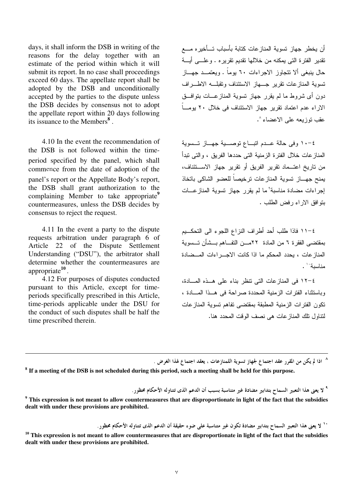days, it shall inform the DSB in writing of the reasons for the delay together with an estimate of the period within which it will submit its report. In no case shall proceedings exceed 60 days. The appellate report shall be adopted by the DSB and unconditionally accepted by the parties to the dispute unless the DSB decides by consensus not to adopt the appellate report within 20 days following its issuance to the Members**<sup>8</sup>** .

4.10 In the event the recommendation of the DSB is not followed within the timeperiod specified by the panel, which shall commence from the date of adoption of the panel's report or the Appellate Body's report, the DSB shall grant authorization to the complaining Member to take appropriate**<sup>9</sup>** countermeasures, unless the DSB decides by consensus to reject the request.

4.11 In the event a party to the dispute requests arbitration under paragraph 6 of Article 22 of the Dispute Settlement Understanding ("DSU"), the arbitrator shall determine whether the countermeasures are appropriate**<sup>10</sup>** .

4.12 For purposes of disputes conducted pursuant to this Article, except for timeperiods specifically prescribed in this Article, time-periods applicable under the DSU for the conduct of such disputes shall be half the time prescribed therein.

-

أن يخطر جهاز تسوية المنازعات كتابة بأسباب تـــأخيره مــــع .<br>نقدير الفتر ة التبي بمكنه من خلالها نقديم تقرير ه . و علــــي أيـــة حال ينبغي ألا نتجاوز الاجراءات ٦٠ بوما . ويعتمــد جهـــاز نسوية المنازعات نقرير جـــهاز الاستئناف ونقبلــــه الاطــــراف دون أى شروط ما لم يقرر جهاز تسوية المنازعـــات بتوافـــق الاراء عدم اعتماد نقرير جهاز الاستئناف في خلال ٢٠ يومــا عقب توزيعه على الاعضاء ^.

٤-١٠ وفي حالة عــدم انبـــاع نوصـــية جهــاز تــسوية المناز عات خلال الفتر ة الز منبة التي حددها الفريق ، والتي تبدأ من تاريخ اعتـــماد تقرير الفريق أو تقرير جهاز الاســــتئناف، يمنح جهـــاز تسوية المنازعات ترخيصا للعضو الشاكى باتخاذ إجراءات مضادة مناسبة° ما لم يقرر جهاز تسوية المنازعـــات بتو افق الأراء رفض الطلب .

٤–١١ فاذا طلب أحد أطراف النزاع اللجوء الى التحكــيم بمقتضى الفقرة ٦ من المادة ٢٢مــن التفــاهم بــشأن تــسوية المنازعات ، يحدد المحكم ما اذا كانت الاجــــراءات المـــضادة مناسبة `` .

٤–١٢ في المنازعات التي نتظر بناء على هــذه المـــادة، وباستثناء الفتر ات الزمنية المحددة صر احة في هــذا المـــادة ، تكون الفتر ات الزمنية المطبقة بمقتضي تفاهم تسوية المناز عات لنتاول تلك المناز عات هي نصف الوقت المحدد هنا.

^ اذا لم يكن من المقرر عقد اجتماع لجهاز تسوية اللمنازعات ، يعقد اجتماع لهذا الغرض .

**8 If a meeting of the DSB is not scheduled during this period, such a meeting shall be held for this purpose.** 

° لا يعنى هذا التعبير السماح بتدابير مضادة غير متناسبة بسبب أن الدعم الذى تتناوله الأحكام محظور .

`` لا يعني هذا التعبير السماح بتدابير مضادة تكون غير متناسبة على ضوء حقيقة أن الدعم الذي تتناوله الأحكام محظور

**<sup>10</sup> This expression is not meant to allow countermeasures that are disproportionate in light of the fact that the subsidies dealt with under these provisions are prohibited.** 

**<sup>9</sup> This expression is not meant to allow countermeasures that are disproportionate in light of the fact that the subsidies dealt with under these provisions are prohibited.**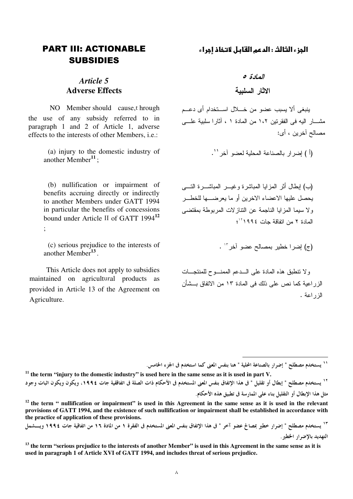## **PART III: ACTIONABLE SUBSIDIES**

## Article 5 **Adverse Effects**

NO Member should cause,t hrough the use of any subsidy referred to in paragraph 1 and 2 of Article 1, adverse effects to the interests of other Members, i.e.:

> (a) injury to the domestic industry of another Member $^{11}$ .

> (b) nullification or impairment of benefits accruing directly or indirectly to another Members under GATT 1994 in particular the benefits of concessions bound under Article II of GATT 1994<sup>12</sup>  $\ddot{\cdot}$

> (c) serious prejudice to the interests of another Member<sup>13</sup>.

This Article does not apply to subsidies maintained on agricultural products as provided in Article 13 of the Agreement on Agriculture.

## الجزء الثالث : الدعم القابل لاتخاذ اجراء

ينبغي ألا يسبب عضو من خبلال استخدام أي دعيم مشار الله في الفقر تين ١،٢ من المادة ١ ، آثار اسلبية علـــى مصالح أخرين ، أي:

(أ) اضرار بالصناعة المجلبة لعضو آخر ``.

(ب) ابطال أنَّر المزايا المباشرة وغيب المباشيرة التَّسي بحصل عليها الإعضاء الإخرين أو ما يعرضها للخطير ولا سيما المزايا الناجمة عن النتاز لات المربوطة بمقتضبي المادة ٢ من اتفاقة حات ١٩٩٤؟

(ج) إضرا خطير بمصالح عضو آخر"`.

ولا نتطبق هذه المادة على السدعم الممنسوح للمنتجات الزر اعية كما نص على ذلك في المادة ١٣ من الإتفاق يستبأن الزراعة .

.<br>'' يستخدم مصطلح " إضرار بالصناعة المحلية " هنا بنفس المعنى كما استخدم في الجزء الخامس.

 $<sup>11</sup>$  the term "injury to the domestic industry" is used here in the same sense as it is used in part V.</sup> ١٢ يستخدم مصطلح " إبطال أو تقليل " في هذا الإتفاق بنفس المعنى المستخدم في الأحكام ذات الصلة في اتفاققية جات ١٩٩٤، ويكون ويكون اثبات وجود مثل هذا الابطال أو التقليل بناء على الممارسة في تطبيق هذه الأحكام.

 $12$  the term " nullification or impairment" is used in this Agreement in the same sense as it is used in the relevant provisions of GATT 1994, and the existence of such nullification or impairment shall be established in accordance with the practice of application of these provisions.

<sup>.&</sup>lt;br>"' يستخدم مصطلح " إضرار خطير بمصالح عضو آخر " في هذا الإتفاق بنفس المعنى المستخدم في الفقرة ١ من المادة ١٦ من اتفاقية جات ١٩٩٤ ويــــشمل التهديد بالإضرار الخطير .

<sup>&</sup>lt;sup>13</sup> the term "serious preiudice to the interests of another Member" is used in this Agreement in the same sense as it is used in paragraph 1 of Article XVI of GATT 1994, and includes threat of serious prejudice.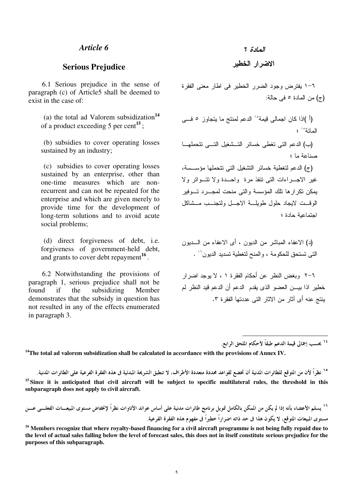#### *Article 6*

#### **Serious Prejudice**

6.1 Serious prejudice in the sense of paragraph (c) of Article5 shall be deemed to exist in the case of:

> (a) the total ad Valorem subsidization **14** of a product exceeding 5 per cent**<sup>15</sup>** ;

(b) subsidies to cover operating losses sustained by an industry;

(c) subsidies to cover operating losses sustained by an enterprise, other than one-time measures which are nonrecurrent and can not be repeated for the enterprise and which are given merely to provide time for the development of long-term solutions and to avoid acute social problems;

(d) direct forgiveness of debt, i.e. forgiveness of government-held debt, and grants to cover debt repayment**<sup>16</sup>** .

6.2 Notwithstanding the provisions of paragraph 1, serious prejudice shall not be found if the subsidizing Member demonstrates that the subsidy in question has not resulted in any of the effects enumerated in paragraph 3.

المصادة 7

## الاضرار الخطير

٦–١ يفترض وجود الضرر الخطير في اطار معنى الفقرة (ج) من المادة ٥ في حالة:

(أ )اذا كان اجمالي قيمة'' الدعم لمنتج ما يتجاوز ٥ فــي المائة أ في السياس

(ب) الدعم التي تغطي خسائر التــشغيل التـــي تتحملهـــا صناعة ما ؛

(ج) الدعم لتغطية خسائر التشغيل التي تتحملها مؤسسة، غير الاجــــراءات التــى نتفذ مرة واحــــدة ولا نتــــواتر ولا يمكن نكرارها نلك المؤسسة والتى منحت لمجــــرد تـــــوفير الوقــت لايجاد حلول طويلـــة الاجـــل ولتجنـــب مـــشاكل اجتماعية حادة ؛

(د) الاعفاء المباشر من الدبون ، أي الاعفاء من الـــدبون التي تستحق للحكومة ، والمنح لتغطية تسديد الديون<sup>١٠</sup> .

٦–٢ وبغض النظر عن أحكام الفقرة ١ ، لا يوجد اضرار خطير اذا بيـــن العضو الذي يقدم الدعم أن الدعم قيد النظر لم ينتج عنه أي آثار من الإثار التي عددتها الفقر ة ٣.

 $\overline{a}$ 

<sup>1</sup> ْ بحسب إجمالي قيمة الدعم طبقاً لأحكام الملحق الرابع.

**<sup>14</sup>The total ad valorem subsidization shall be calculated in accordance with the provisions of Annex IV.** 

<sup>1</sup>° نظراً لأن من المتوقع للطائرات المدنية أن تخضع لقواعد محددة متعددة الأطراف، لا تنطبق الشريحة المبدئية فى هذه الفقرة الفرعية على الطائرات المدنية. <sup>15</sup> Since it is anticipated that civil aircraft will be subject to specific multilateral rules, the threshold in this **subparagraph does not apply to civil aircraft.**

) +4 D4A 4-' dX, % 
lT \$ N 7B DA -T, 
N( 3,T
 a ~ a," +"K +, +" u> JT \$ AX . - 
& C1; !H, i % [^k % O 
Y J u # i 1; " 9 :]\* -' dX,

**<sup>16</sup> Members recognize that where royalty-based financing for a civil aircraft programme is not being fully repaid due to the level of actual sales falling below the level of forecast sales, this does not in itself constitute serious prejudice for the purposes of this subparagraph.**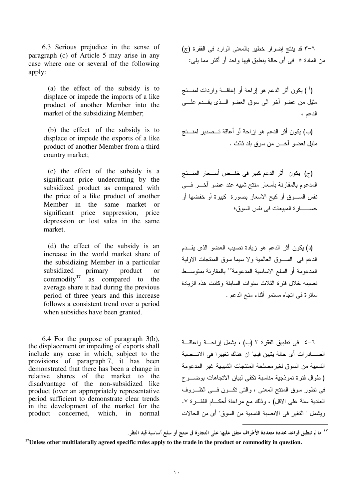6.3 Serious prejudice in the sense of paragraph (c) of Article 5 may arise in any case where one or several of the following apply:

> (a) the effect of the subsidy is to displace or impede the imports of a like product of another Member into the market of the subsidizing Member;

> (b) the effect of the subsidy is to displace or impede the exports of a like product of another Member from a third country market;

(c) the effect of the subsidy is a significant price undercutting by the subsidized product as compared with the price of a like product of another Member in the same market or significant price suppression, price depression or lost sales in the same market.

(d) the effect of the subsidy is an increase in the world market share of the subsidizing Member in a particular subsidized primary product or commodity**<sup>17</sup>** as compared to the average share it had during the previous period of three years and this increase follows a consistent trend over a period when subsidies have been granted.

6.4 For the purpose of paragraph 3(b), the displacement or impeding of exports shall include any case in which, subject to the provisions of paragraph 7, it has been demonstrated that there has been a change in relative shares of the market to the disadvantage of the non-subsidized like product (over an appropriately representative period sufficient to demonstrate clear trends in the development of the market for the product concerned, which, in normal

٦–٣ قد ينتج إضرار خطير بالمعنى الوارد في الفقرة (ج) من المادة ٥ في أي حالة ينطبق فيها و احد أو أكثر مما يلي:

(أ ) يكون أثر الدعم هو إزاحة أو إعاقـــة واردات لمنـــتج مثيل من عضو آخر الى سوق العضو السذى يقسد علسى الدعم ،

(ب) يكون أثر الدعم هو إز احة أو أعاقة تــصدير لمنـــتج مثل لعضو آخــر من سوق بلد ثالث .

(ج) يكون أثر الدعم كبير في خفــض أســـعار المنــتج المدعوم بالمقارنة بأسعار منتج شبيه عند عضو آخـــر فــــى نفس الســـوفي أو كبح الاسعار بصورة كبيرة أو خفضها أو ; & J( +, ) 0--&8

(د) بكون أثر الدعم هو زيادة نصبب العضو الذي بقــدم الدعم في الســـوق الـعالمية و لا سيما سوق المنتجات الاولية المدعومة أو السلع الاساسية المدعومة'' بالمقارنة بمنوسـط نصبيه خلال فتر ة الثلاث سنوات السابقة وكانت هذه الزبادة سائرة في اتجاه مستمر أثناء منح الدعم .

٦–٤ في نطبيق الفقرة ٣ (ب) ، يشمل إزاحـــة واعاقـــة الصبادر ات أي حالة بنتين فيها ان هناك تغيير ا في الإنسصية النسبية من السوق لغيرمصلحة المنتجات الشبيهة غير المدعومة (طوال فترة نموذجية مناسبة نكفي لبيان الاتجاهات بوضـــوح في نطور سوق المنتج المعنى ، والتي نكــون فـــي الظـــروف العادية سنة على الاقل) ، وذلك مع مراعاة أحكـــام الفقـــرة ٧. وبشمل " التغير في الانصبة النسبية من السوق" أي من الحالات

 $\overline{a}$ 

١٧ ما لم تنطبق قواعد محددة متعددة الأطراف متفق عليها على التجارة في منتج أو سلع أساسية قيد النظر . <sup>17</sup>**Unless other multilaterally agreed specific rules apply to the trade in the product or commodity in question.**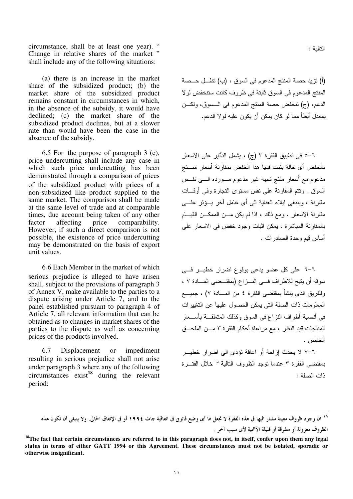circumstance, shall be at least one year). " Change in relative shares of the market " shall include any of the following situations:

(a) there is an increase in the market share of the subsidized product: (b) the market share of the subsidized product remains constant in circumstances in which, in the absence of the subsidy, it would have declined; (c) the market share of the subsidized product declines, but at a slower rate than would have been the case in the absence of the subsidy.

6.5 For the purpose of paragraph  $3$  (c), price undercutting shall include any case in which such price undercutting has been demonstrated through a comparison of prices of the subsidized product with prices of a non-subsidized like product supplied to the same market. The comparison shall be made at the same level of trade and at comparable times, due account being taken of any other factor affecting price comparability. However, if such a direct comparison is not possible, the existence of price undercutting may be demonstrated on the basis of export unit values.

6.6 Each Member in the market of which serious prejudice is alleged to have arisen shall, subject to the provisions of paragraph 3 of Annex V, make available to the parties to a dispute arising under Article 7, and to the panel established pursuant to paragraph 4 of Article 7, all relevant information that can be obtained as to changes in market shares of the parties to the dispute as well as concerning prices of the products involved.

Displacement or 6.7 impediment resulting in serious prejudice shall not arise under paragraph 3 where any of the following circumstances  $exist^{18}$  during the relevant period:

التالبة :

(أ) تزيد حصة المنتج المدعوم في السوق ، (ب) تظــل حــصة المنتج المدعوم في السوق ثابتة في ظروف كانت ستتخفض لولا الدعم، (ج) نتخفض حصة المنتج المدعوم في الــــسوق، ولكـــن بمعدل أبطأ مما لو كان بمكن أن بكون علبه لو لا الدعم.

٦–٥ في تطبيق الفقر ة ٣ (ج) ، يشمل التأثير على الاسعار .<br>بالخفض أي حالة بثبت فيها هذا الخفض بمقارنة أسعار منستج مدعوم مع أسعار منتج شبيه غير مدعوم مـــورده الــــي نفــس السوق . ونتم المقارنة على نفس مستوى التجارة وفي أوقـــات مقارنة ، وينبغي ايلاء العناية الى أي عامل آخر يــؤثر علـــي مقارنة الاسعار . ومع ذلك ، اذا لم يكن مـــن الممكـــن القيـــام بالمقارنة المباشرة ، بمكن اثبات وجود خفض في الاسعار على أساس قبيم وحدة الصبادر ات .

٦-٦ على كل عضو يدعى بوقوع اضرار خطيـر فــى سوقه أن يتيح للاطراف فـــى النـــزاع (بمقتــضي المـــادة ٧ ، وللفريق الذى ينشأ بمقتضى الفقرة ٤ من المسادة ٧) ، جميــــع المعلومات ذات الصلة التي يمكن الحصول عليها عن التغيير ات في أنصبة أطر اف النز اع في السوق وكذلك المتعلقـــة بأســـعار المنتجات قيد النظر ، مع مراعاة أحكام الفقرة ٣ مــن الملحــق الخامس .

٧-٧ لا يحدث إزاحة أو اعاقة تؤدي الى اضرار خطيــر بمقتضى الفقر ة ٣ عندما توجد الظروف التالية ^` خلال الفتير ة ذات الصلة :

<sup>&</sup>lt;sup>۱۸</sup> ان وجود ظروف معينة مشار اليها فى هذه الفقرة لا تجعل لها أى وضع قانوين فى اتفاقية جات ١٩٩٤ أو فى الإتفاق الحالى. ولا ينبغى أن تكون هذه الظروف معزولة أو متفرقة أو قليلة الأهمية لأي سبب آخر .

<sup>&</sup>lt;sup>18</sup>The fact that certain circumstances are referred to in this paragraph does not, in itself, confer upon them any legal status in terms of either GATT 1994 or this Agreement. These circumstances must not be isolated, sporadic or otherwise insignificant.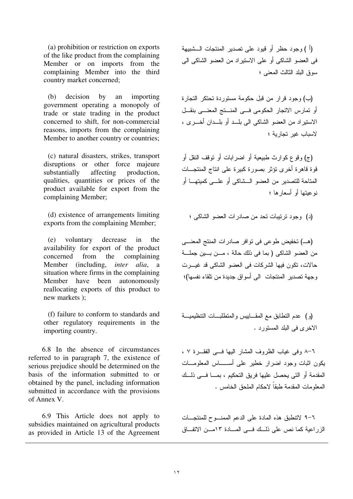(a) prohibition or restriction on exports of the like product from the complaining Member or on imports from the complaining Member into the third country market concerned;

(b) decision by an importing government operating a monopoly of trade or state trading in the product concerned to shift, for non-commercial reasons, imports from the complaining Member to another country or countries;

(c) natural disasters, strikes, transport disruptions or other force majeure substantially affecting production, qualities, quantities or prices of the product available for export from the complaining Member;

(d) existence of arrangements limiting exports from the complaining Member;

(e) voluntary decrease in the availability for export of the product concerned from the complaining Member (including, *inter alia*, a situation where firms in the complaining Member have been autonomously reallocating exports of this product to new markets );

(f) failure to conform to standards and other regulatory requirements in the importing country.

6.8 In the absence of circumstances referred to in paragraph 7, the existence of serious prejudice should be determined on the basis of the information submitted to or obtained by the panel, including information submitted in accordance with the provisions of Annex V.

6.9 This Article does not apply to subsidies maintained on agricultural products as provided in Article 13 of the Agreement

-

(أ ) وجود حظر أو قيود على نصدير المنتجات الـــشبيهة في العضو الشاكي أو على الاستير إد من العضو الشاكي الي سوق البلد الثالث المعنى ؛

(ب) وجود قرار من قبل حكومة مستوردة تحتكر التجارة أو تمارس الاتجار الحكومي فــي المنـــنج المعنـــي بنقـــل الاستير اد من العضو الشاكي الى بلــد أو بلــدان أخــرى ، لاسباب غير تجارية ؛

(ج) وقوع كوارث طبيعية أو اضرابات أو توقف النقل أو قوة قاهرة أخرى نؤثر بصورة كبيرة على انتاج المنتجـــات المتاحة للتصدير من العضو الــشاكي أو علـــي كميتهـــا أو نه عينها أو أسعار ها ؛

(د) وجود ترتيبات تحد من صادرات العضو الشاكي ؛

(هـ) تخفيض طوعي في توافر صادرات المنتج المعنـــي من العضو الشاكي ( بما في ذلك حالة ، مـــن بـــين جملـــة حالات، نكون فيها الشركات في العضو الشاكي قد غيـــرت وجهة تصدير المنتجات الى أسواق جديدة من تلقاء نفسها)؛

(و) عدم النطابق مع المقــابيس والمنطلبــات النتظيميــة الاخرى في البلد المستورد .

٦–٨ وفي غياب الظروف المشار اليها فـــي الفقـــرة ٧ ، يكون اثبات وجود اضرار خطير على أســــــــاس المعلومــــات المقدمة أو التي يحصل عليها فريق التحكيم ، بمـــا فـــى ذلــك المعلو مات المقدمة طبقاً لاحكام الملحق الخامس .

٩-٦ لانتطبق هذه المادة على الدعم الممنـــوح للمنتجـــات الزراعية كما نص على ذلك في المسادة ١٣مــن الاتفــاق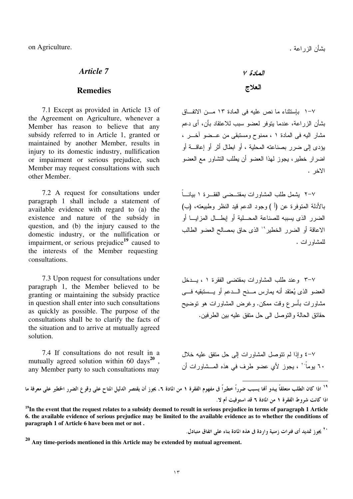## *Article 7*

#### **Remedies**

7.1 Except as provided in Article 13 of the Agreement on Agriculture, whenever a Member has reason to believe that any subsidy referred to in Article 1, granted or maintained by another Member, results in injury to its domestic industry, nullification or impairment or serious prejudice, such Member may request consultations with such other Member.

7.2 A request for consultations under paragraph 1 shall include a statement of available evidence with regard to (a) the existence and nature of the subsidy in question, and (b) the injury caused to the domestic industry, or the nullification or impairment, or serious prejudice**<sup>19</sup>** caused to the interests of the Member requesting consultations.

7.3 Upon request for consultations under paragraph 1, the Member believed to be granting or maintaining the subsidy practice in question shall enter into such consultations as quickly as possible. The purpose of the consultations shall be to clarify the facts of the situation and to arrive at mutually agreed solution.

7.4 If consultations do not result in a mutually agreed solution within 60 days<sup>20</sup>, any Member party to such consultations may

المصادة ٧ العلاج

١-٧ باستثناء ما نص عليه في المادة ١٣ مــن الاتفــاق بشأن الزراعة، عندما بِتوفر لعضو سبب للاعتقاد بأن، أي دعم مشار اليه في المادة ١ ، ممنوح ومستبقى من عــضو آخــر ، بؤدي الى ضر ر يصناعته المحلبة ، أو ابطال أثر أو اعاقــة أو اضرار خطير، يجوز لهذا العضو أن يطلب التشاور مع العضو الاخر .

٢–٢ يشمل طلب المشاورات بمقتــضـى الفقــــرة ١ بيانــــا بالأدلة المتوفرة عن (أ ) وجود الدعم قيد النظر وطبيعته، (ب) الضرر الذي بسببه للصناعة المحــلية أو ابطــال المزابــا أو الاعاقة أو الضرر الخطير أ` الذي حاق بمصالح العضو الطالب للمشاور ات .

٣-٣ وعند طلب المشاورات بمقتضىي الفقرة ١ ، يـــدخل العضو الذي يُعتقد أنه يمارس مسنح السدعم أو يسستبقيه فسي مشاور ات بأسر ع وقت ممكن. و غرض المشاور ات هو توضيح حقائق الحالة والتوصل الى حل متفق علبه بين الطر فين.

٤–٢ وإذا لم نتوصل المشاورات إلى حل متفق عليه خلال ٦٠ يوماً ٰ ٗ ، يجوز لأي عضو طرف في هذه المـــشاورات أن

 $\overline{a}$ 

<sup>19</sup> اذا كان الطلب متعلقاً يبدو ألها يسبب ضرراً خطيراً فى مفهوم الفقرة ١ من المادة ٦، يجوز أن يقتصر الدليل المتاح على وقوع الضرر الخطير على معرفة ما اذا كانت شروط الفقرة ١ من المادة ٦ قد استوفيت أم لا.

`` يجوز تمديد أي فترات زمنية واردة في هذه المادة بناء على اتفاق متبادل.

**<sup>19</sup>In the event that the request relates to a subsidy deemed to result in serious prejudice in terms of paragraph 1 Article 6. the available evidence of serious prejudice may be limited to the available evidence as to whether the conditions of paragraph 1 of Article 6 have been met or not .**

**<sup>20</sup> Any time-periods mentioned in this Article may be extended by mutual agreement.**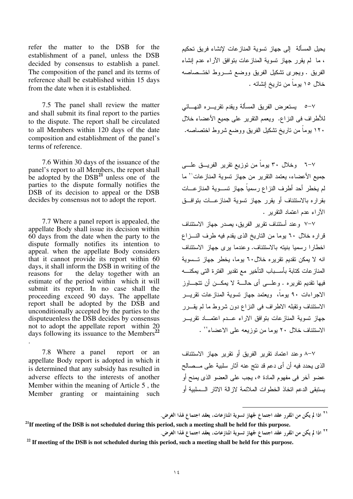refer the matter to the DSB for the establishment of a panel, unless the DSB decided by consensus to establish a panel. The composition of the panel and its terms of reference shall be established within 15 days from the date when it is established.

7.5 The panel shall review the matter and shall submit its final report to the parties to the dispute. The report shall be circulated to all Members within 120 days of the date composition and establishment of the panel's terms of reference.

7.6 Within 30 days of the issuance of the panel's report to all Members, the report shall be adopted by the DSB**<sup>21</sup>** unless one of the parties to the dispute formally notifies the DSB of its decision to appeal or the DSB decides by consensus not to adopt the report.

7.7 Where a panel report is appealed, the appellate Body shall issue its decision within 60 days from the date when the party to the dispute formally notifies its intention to appeal. when the appellate Body considers that it cannot provide its report within 60 days, it shall inform the DSB in writing of the reasons for the delay together with an estimate of the period within which it will submit its report. In no case shall the proceeding exceed 90 days. The appellate report shall be adopted by the DSB and unconditionally accepted by the parties to the disputeuenless the DSB decides by consensus not to adopt the appellate report within 20 days following its issuance to the Members**<sup>22</sup>** .

7.8 Where a panel report or an appellate Body report is adopted in which it is determined that any subsidy has resulted in adverse effects to the interests of another Member within the meaning of Article 5 , the Member granting or maintaining such

يحيل المسألة إلى جهاز تسوية المنازعات لإنشاء فريق تحكيم ، ما ً لم يقرر جهاز تسوية المنازعات بتوافق الأراء عدم إنشاء الفريق . ويجرى تشكيل الفريق ووضع شــــروط اختـــصـاصـه خلال ١٥ بوماً من تاريخ إنشائه .

0−۷ يستعرض الفريق المسألة ويقدم نقريــــره النهــــائـي للأطراف في النزاع. ويعمم النقرير على جميع الأعضاء خلال ١٢٠ بوماً من ناريخ تشكيل الفريق ووضع شروط اختصاصه.

٦–٧ وخلال ٣٠ يوما من نوزيع نقرير الفريـــق علــــي جميع الأعضاء، يعتمد النقرير من جهاز تسوية المنازعات'' ما لم يخطر أحد أطرف النزاع رسميا جهاز تســـوية المنازعــــات بقراره بالاستئناف أو يقرر جهاز تسوية المنازعـــات بتوافـــق الآراء عدم اعتماد النقرير .

٧–٧ وعند أستئناف نقرير الفريق، يصدر جهاز الاستئناف قراره خلال ٦٠ يوما من الناريخ الذي يقدم فيه طرف النــزاع اخطارا رسميا بنيته بالاستئناف. وعندما يرى جهاز الاستئناف انه لا يمكن نقديم نقريره خلال٢٠ يوما، يخطر جهاز تـــسوية المناز عات كتابة بأســباب التأخير مع تقدير الفتر ة التي بمكنـــه فيها نقديم نقريره . وعلــــي أي حالــــة لا يمكـــن أن نتجــــاوز الاجراءات ٩٠ بوما، ويعتمد جهاز نسوية المنازعات تقريـــر الاستئناف وتقبله الاطراف في النزاع دون شروط ما لم يقـــرر جهاز تسوية المنازعات بتوافق الاراء عــدم اعتمـــاد تقريـــر الاستئناف خلال ٢٠ بوما من توزيعه على الاعضاء'' .

٨–٧ وعند اعتماد نقرير الفريق أو نقرير جهاز الاستئناف الذي يحدد فيه أن أي دعم قد نتج عنه آثار سلبية على مــصالح عضو آخر في مفهوم المادة ٥، يجب على العضو الذي يمنح أو يستيقى الدعم اتخاذ الخطوات الملائمة لإز الة الإثار الـسليبة أو

 $\overline{a}$ `` اذا لم يكن من المقرر عقد اجتماع لجهاز تسوية المنازعات، يعقد اجتماع لهذا الغرض.

**<sup>21</sup>If meeting of the DSB is not scheduled during this period, such a meeting shall be held for this purpose.** <sup>٢٢</sup> اذا لم يكن من المقرر عقد اجتماع لجهاز تسوية المنازعات، يعقد اجتماع لهذا الغرض.

<sup>&</sup>lt;sup>22</sup> If meeting of the DSB is not scheduled during this period, such a meeting shall be held for this purpose.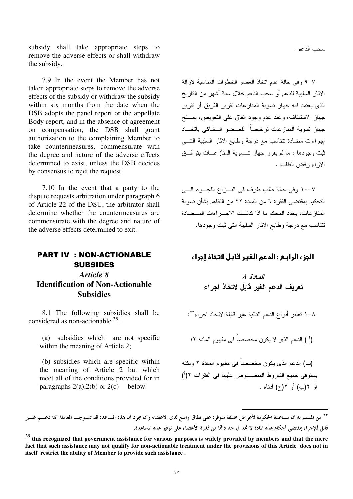subsidy shall take appropriate steps to remove the adverse effects or shall withdraw the subsidy.

7.9 In the event the Member has not taken appropriate steps to remove the adverse effects of the subsidy or withdraw the subsidy within six months from the date when the DSB adopts the panel report or the appellate Body report, and in the absence of agreement on compensation, the DSB shall grant authorization to the complaining Member to take countermeasures, commensurate with the degree and nature of the adverse effects determined to exist, unless the DSB decides by consensus to rejet the request.

7.10 In the event that a party to the dispute requests arbitration under paragraph 6 of Article 22 of the DSU, the arbitrator shall determine whether the countermeasures are commensurate with the degree and nature of the adverse effects determined to exit.

## **PART IV : NON-ACTIONABLE SUBSIDES** Article 8 **Identification of Non-Actionable Subsidies**

8.1 The following subsidies shall be considered as non-actionable  $^{23}$ :

(a) subsidies which are not specific within the meaning of Article 2;

(b) subsidies which are specific within the meaning of Article 2 but which meet all of the conditions provided for in paragraphs  $2(a)$ ,  $2(b)$  or  $2(c)$ below.

سحب الدعم .

٩-٧ وفي حالة عدم اتخاذ العضو الخطوات المناسبة لاز الة الاثار السلبية للدعم أو سحب الدعم خلال سنة أشهر من التاريخ الذي يعتمد فيه جهاز تسوية المنازعات تقرير الفريق أو تقرير جهاز الاستئناف، وعند عدم وجود اتفاق على النعويض، بمـــنح جهاز تسوية المنازعات ترخيصاً للعسضو السشاكي باتخساذ إجر اءات مضادة تتتاسب مع درجة وطابع الاثار السلببة التبي ثبت وجودها ، ما لم يقرر جهاز تسموية المناز عسات بتوافيق الاراء رفض الطلب .

٠-١٠ وفي حالة طلب طرف في النــزاع اللجــوء الـــي التحكيم بمقتضبي الفقر ة ٦ من المادة ٢٢ من التفاهم بشأن تسوية المناز عات، بحدد المحكم ما اذا كانـــت الإجـــر اءات المـــضادة نتتاسب مع درجة وطابع الاثار السلبية التي ثبت وجودها.

## الجزء الرابيع : الدعم الغير قابل لاتخاذ اجراء

٨-١ تعتبر أنواع الدعم التالية غير قابلة لاتخاذ اجراء ٢٠

(ب) الدعم الذي يكون مخصصاً في مفهوم المادة ٢ ولكنه يستوفى جميع الشروط المنصوص عليها في الفقرات ٢(أ) أو ٢ (ب) أو ٢ (ج) أدناه .

٢٣ من المسلم به أن مساعدة الحكومة لأغراض مختلفة متوفره على نطاق واسع لدى الأعضاء وأن مجرد أن هذه المساعدة قد تستوجب المعاملة ألها دعـــم غـــير قابل للإجراء بمقتضى أحكام هذه المادة لا تحد في حد ذامًّا من قدرة الأعضاء على توفير هذه المساعدة.

<sup>&</sup>lt;sup>23</sup> this recognized that government assistance for various purposes is widely provided by members and that the mere fact that such assistance may not qualify for non-actionable treatment under the provisions of this Article does not in itself restrict the ability of Member to provide such assistance.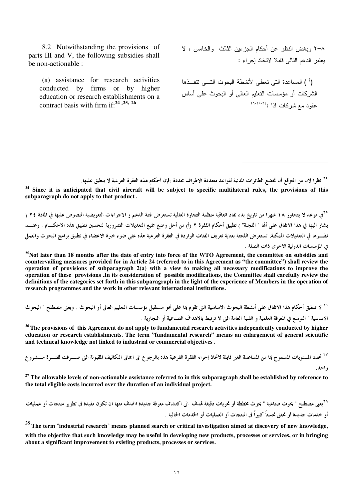8.2 Notwithstanding the provisions of parts III and V, the following subsidies shall he non-actionable ·

(a) assistance for research activities conducted by firms or by higher education or research establishments on a contract basis with firm if:<sup>24,25,26</sup>

٢–٢ وبغض النظر عن أحكام الجزءين الثالث والخامس ، لا يعتبر الدعم التالي قابلا لاتخاذ إجراء :

(أ ) المساعدة التي تعطي لأنشطة البحوث التسى نتف1ها الشركات أو مؤسسات النعليم العالى أو البحوث على أساس عقود مع شركات اذا :<sup>۲٦،٢٥،٢٤</sup>

<sup>٢٤</sup> نظرا لان من المتوقع أن تخضع الطائرات المدنية لقواعد متعددة الاطراف محددة ،فإن أحكام هذه الفقرة الفرعية لا ينطبق عليها.

<sup>24</sup> Since it is anticipated that civil aircraft will be subject to specific multilateral rules, the provisions of this subparagraph do not apply to that product.

°'في موعد لا يتجاوز ١٨ شهرا من تاريخ بدء نفاذ اتفاقية منظمة التجارة العالمية تستعرض لجنة الدعم و الاجراءات التعويضية المنصوص عليها في المادة ٢٤ ( يشار اليها في هذا الاتفاق على ألها " اللجنة" ) تطبيق أحكام الفقرة ٢ (أ) من أجل وضع جميع التعديلات الضرورية لتحسين تطبيق هذه الاحكسام . وعنسد نظب ها في التعديلات المكنة، تستعرض اللجنة بعناية تعريف الفئات الواردة في الفقرة الفرعية هذه على ضوء خبرة الاعضاء في تطبيق برامج البحوث والعمل في المؤسسات الدولية الاخرى ذات الصلة .

<sup>25</sup>Not later than 18 months after the date of entry into force of the WTO Agreement, the committee on subsidies and countervailing measures provided for in Article 24 (referred to in this Agreement as "the committee") shall review the operation of provisions of subparagraph  $2(a)$  with a view to making all necessary modifications to improve the operation of these provisions .In its consideration of possible modifications, the Committee shall carefully review the definitions of the categories set forth in this subparagraph in the light of the experience of Members in the operation of research programmes and the work in other relevant international institutions.

<sup>26</sup> The provisions of this Agreement do not apply to fundamental research activities independently conducted by higher education or research establishments. The term "fundamental research" means an enlargement of general scientific and technical knowledge not linked to industrial or commercial objectives.

 $27$  The allowable levels of non-actionable assistance referred to in this subparagraph shall be established by reference to the total eligible costs incurred over the duration of an individual project.

<sup>28</sup> The term "industrial research" means planned search or critical investigation aimed at discovery of new knowledge, with the objective that such knowledge may be useful in developing new products, processes or services, or in bringing about a significant improvement to existing products, processes or services.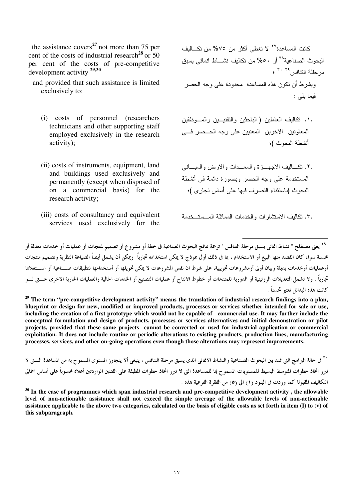the assistance covers<sup>27</sup> not more than 75 per cent of the costs of industrial research<sup>28</sup> or 50 per cent of the costs of pre-competitive<br>development activity  $^{29,30}$ 

and provided that such assistance is limited exclusively to:

- (i) costs of personnel (researchers technicians and other supporting staff employed exclusively in the research activity);
- (ii) costs of instruments, equipment, land and buildings used exclusively and permanently (except when disposed of on a commercial basis) for the research activity;
- (iii) costs of consultancy and equivalent services used exclusively for the

كانت المساعدة لا تغطي أكثر من ٧٥% من تكساليف البحوث الصناعية<sup>٢٨</sup> أو ٥٠% من تكاليف نشـــاط انمائ<sub>ك</sub> يسبق مر حللة التنافس ٢٠ ٣٠ ؛ وبشرط أن نكون هذه المساعدة ً محدودة على وجه الحصر فيما بله :

- .١. نكاليف العاملين (الباحثين والنقنيـــين والمـــوظفين المعاونين الاخرين المعنيين على وجه الحــصر فـــي أنشطة البحوث )؛
- ٢. نكساليف الإجهيز ة والمعبدات والارض والمبساني المستخدمة على وجه الحصر ويصورة دائمة في أنشطة البحوث (باستثناء النصرف فيها على أساس نجاري )؛
- .٣. نكاليف الاستشارات والخدمات المماثلة المسستنخدمة

٢٩ يعني مصطلح " نشاط انمائي يسبق مرحلة التنافس " ترجمة نتائج البحوث الصناعية في خطة أو مشروع أو تصميم لمنتجات أو عمليات أو خدمات معدلة أو محسنة سواء كان القصد منها البيع أو الاستخدام ، بما في ذلك أول نموذج لا يمكن استخدامه تجارياً ويمكن أن يشمل أيضاً الصياغة النظرية وتصميم منتجات أوعمليات أوخدمات بديلة وبيان أولى أومشروعات تجريبية، على شرط ان نفس المشروعات لا يمكن تحويلها أو أستخدامها لتطبيقات صــناعية أو اســـتغلالها تجارياً . ولا تشمل التعديلات الروتينية أو الدورية للمنتجات أو خطوط الانتاج أو عمليات التصنيع أو الحندمات الحالية والعمليات الجارية الاخرى حـــتى لـــو كانت هذه البدائل تعتبر تحسناً .

<sup>29</sup> The term "pre-competitive development activity" means the translation of industrial research findings into a plan, blueprint or design for new, modified or improved products, processes or services whether intended for sale or use, including the creation of a first prototype which would not be capable of commercial use. It may further include the conceptual formulation and design of products, processes or services alternatives and initial demonstration or pilot projects, provided that these same projects cannot be converted or used for industrial application or commercial exploitation. It does not include routine or periodic alterations to existing products, production lines, manufacturing processes, services, and other on-going operations even though those alterations may represent improvements.

<sup>30</sup> In the case of programmes which span industrial research and pre-competitive development activity, the allowable level of non-actionable assistance shall not exceed the simple average of the allowable levels of non-actionable assistance applicable to the above two categories, calculated on the basis of eligible costs as set forth in item  $(I)$  to  $(v)$  of this subparagraph.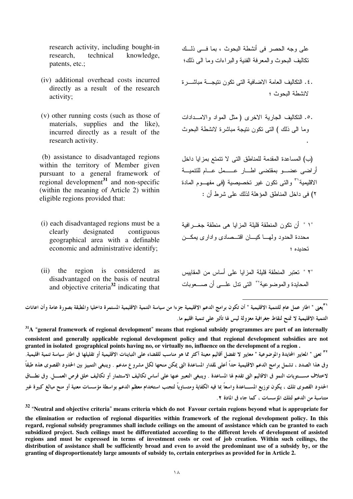research activity, including bought-in research, technical knowledge, patents, etc.;

- (iv) additional overhead costs incurred directly as a result of the research activity;
- (v) other running costs (such as those of materials, supplies and the like), incurred directly as a result of the research activity.

(b) assistance to disadvantaged regions within the territory of Member given pursuant to a general framework of regional development**<sup>31</sup>** and non-specific (within the meaning of Article 2) within eligible regions provided that:

- (i) each disadvantaged regions must be a clearly designated contiguous geographical area with a definable economic and administrative identify;
- (ii) the region is considered as disadvantaged on the basis of neutral and objective criteria**<sup>32</sup>** indicating that

على وجه الحصر في أنشطة البحوث ، بما فـــي ذلـــك نكاليف البحوث والمعرفة الفنية والبر اءات وما الى ذلك؛

.٤. التكاليف العامة الاضافية التي نكون نتيجـــة مباشـــــرة لانشطة البحوث ؛

.٥. النكاليف الجارية الاخرى (مثل المواد والامــدادات وما البي ذلك ) التبي نكون نتيجة مباشرة لانشطة البحوث .

(ب) المساعدة المقدمة للمناطق التي لا تتمتع بمز ابا داخل أراضبي عضب بمقتضبي اطبار عسيمل عبام للتنميسة الاقليمية<sup>'؟</sup> والتـى نكون غير تخصيصية (فى مفهـــوم المادة ٢) في داخل المناطق المؤهلة لذلك على شرط أن :

"١ " أن تكون المنطقة قليلة المزايا هي منطقة جغـــرافية محددة الحدود ولهيا كيسان اقتبصيادي وإداري بمكين تحديده ؛

"٢ " تعتبر المنطقة قلبلة المزابا على أساس من المقابيس المحايدة والموضوعية''' النبي ندل علـــي أن صــــعوبات

 $\overline{a}$ 

``يعني " اطار عمل عام للتنمية الاقليمية " أن تكون برامج الدعم الاقليمية جزءا من سياسة التنمية الاقليمية المستمرة داخليا والمطبقة بصورة عامة وأن اعانات التنمية الاقليمية لا تمنح لنقاط جغرافية معزولة ليس لها تأثير على تنمية اقليم ما.

**<sup>31</sup>A** "**general framework of regional development**" **means that regional subsidy programmes are part of an internally consistent and generally applicable regional development policy and that regional development subsidies are not granted in isolated geographical points having no, or virtually no, influence on the development of a region .** <sup>٢٢</sup> تعنى " المعايير المحايدة والموضوعية " معايير لا تفضل أقاليم معينة أكثر مما هو مناسب للقضاء على الأقليمية المعنى المعليا في اطار سياسة تنمية اقليمية. وفى هذا الصدد ، تشمل برامج الدعم الاقليمية حداً أعلى لمقدار المساعدة التي يمكن منحها لكل مشروع مدعم . وينبغي التمييز بين الحدود القصوى هذه طبقاً لاختلاف مســـتويات النمو في الاقاليم التي تقدم لها المساعدة . وينبغي التعبير عنها على أساس تكاليف الاستثمار أو تكاليف خلق فرص العمـــل. وفي نطـــاق الحدود القصوى تلك ، يكون توزيع المســـاعدة واسعاً بما فيه الكفاية ومتساوياً لتجنب استخدام معظم الدعم بواسطة مؤسسات معنية أو منح مبالغ كبيرة غبر متناسبة من الدعم لتلك المؤسسات ، كما جاء في المادة ٢.

**<sup>32</sup>** "**Neutral and objective criteria**" **means criteria which do not Favour certain regions beyond what is appropriate for the elimination or reduction of regional disparities within framework of the regional development policy. In this regard, regional subsidy programmes shall include ceilings on the amount of assistance which can be granted to each subsidized project. Such ceilings must be differentiated according to the different levels of development of assisted regions and must be expressed in terms of investment costs or cost of job creation. Within such ceilings, the distribution of assistance shall be sufficiently broad and even to avoid the predominant use of a subsidy by, or the granting of disproportionately large amounts of subsidy to, certain enterprises as provided for in Article 2.**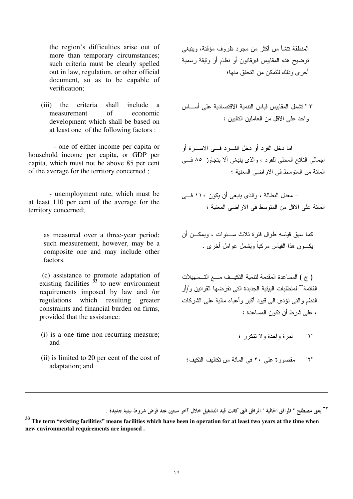the region's difficulties arise out of more than temporary circumstances; such criteria must be clearly spelled out in law, regulation, or other official document, so as to be capable of verification:

the criteria  $(iii)$ shall include a measurement of economic development which shall be based on at least one of the following factors :

- one of either income per capita or household income per capita, or GDP per capita, which must not be above 85 per cent of the average for the territory concerned;

- unemployment rate, which must be at least 110 per cent of the average for the territory concerned;

> as measured over a three-year period; such measurement, however, may be a composite one and may include other factors

(c) assistance to promote adaptation of existing facilities  $33$  to new environment requirements imposed by law and /or regulations which resulting greater constraints and financial burden on firms. provided that the assistance:

- (i) is a one time non-recurring measure; and
- (ii) is limited to 20 per cent of the cost of adaptation; and

المنطقة نتشأ من أكثر ٍ من مجرد ظروف مؤقتة، وبنبغي توضيح هذه المقابيس فيقانون أو نظام أو وثيقة رسمية أخر ي وذلك للتمكن من التحقق منها؛

– اما دخل الفرد أو دخل الفيرد في الاسير ة أو اجمالي الناتج المحلي للفرد ، والذي ينبغي ألا يتجاوز ٨٥ فسي المائة من المتوسط في الإراضي المعنبة ؛

– معدل البطالة ، والذي ينبغي أن يكون ١١٠ فـــي المائة على الإقل من المتوسط في الإر اضي المعنية ؛

كما سبق قياسه طوال فترة ثلاث ســــنوات ، ويمكــــن أن بكــون هذا القباس مركباً وبشمل عوامل أخرى .

(ج) المساعدة المقدمة لتتمية التكبيف مسع التسسهيلات القائمةَ" لمتطلبات البيئية الجديدة التي تفر ضبها القو انين و/أو النظم والتبي نؤدي البي قيود أكبر وأعباء مالية على الشركات ، علي شرط أن تكون المساعدة :

> لمرة واحدة ولا تتكرر ؛  $" \Upsilon"$

مقصور ة على ٢٠ في المائة من تكاليف التكيف؛ " $\Upsilon$ "

٣٣ يعني مصطلح " المرافق الحالية " المرافق التي كانت قيد التشغيل خلال آخر سنتين عند فرض شروط بيئية جديدة .

<sup>33</sup> The term "existing facilities" means facilities which have been in operation for at least two years at the time when new environmental requirements are imposed.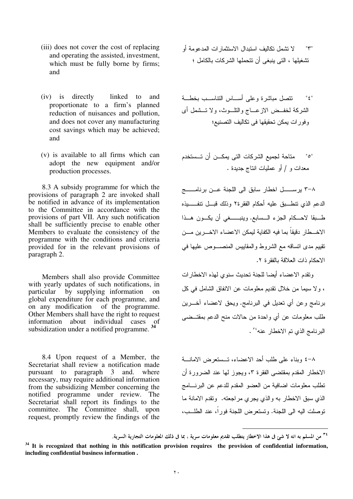- (iii) does not cover the cost of replacing and operating the assisted, investment, which must be fully borne by firms; and
- (iv) is directly linked to and proportionate to a firm's planned reduction of nuisances and pollution, and does not cover any manufacturing cost savings which may be achieved; and
- (v) is available to all firms which can adopt the new equipment and/or production processes.

8.3 A subsidy programme for which the provisions of paragraph 2 are invoked shall be notified in advance of its implementation to the Committee in accordance with the provisions of part VII. Any such notification shall be sufficiently precise to enable other Members to evaluate the consistency of the programme with the conditions and criteria provided for in the relevant provisions of paragraph 2.

Members shall also provide Committee with yearly updates of such notifications, in particular by supplying information on global expenditure for each programme, and on any modification of the programme. Other Members shall have the right to request information about individual cases of subsidization under a notified programme. **<sup>34</sup>**

8.4 Upon request of a Member, the Secretariat shall review a notification made pursuant to paragraph 3 and. where necessary, may require additional information from the subsidizing Member concerning the notified programme under review. The Secretariat shall report its findings to the committee. The Committee shall, upon request, promptly review the findings of the "٣" لا تشمل تكاليف استبدال الاستثمار ات المدعو مة أو تشغيلها ، التي ينبغي أن تتحملها الشركات بالكامل ؛

 -I8 H-&( J-& +?
 0/ 43 " "D " 4/- K -? Q= -8 #/ ;B(3 W# +, .::\$ %# ) , 

 8&- % %-# + )#/ B \$ "Z" . 0 Q( )?
 / )

٣-٨ يرســـــــل اخطار سابق الى اللجنة عـــن برنامـــــــج الدعم الذي نتطـــبق عليه أحكام الفقرة٢ وذلك قبـــل نتفــــــيذه طـــبقا لاحـــكام الـجزء الــــسابـع. وينبــــــغي أن يكـــون هـــذا الاخـــطار دقيقاً بما فيه الكفاية ليمكن الاعضاء الاخـــر بن مـــن تقبيم مدى انساقه مع الشر وط و المقابيس المنصب ص عليها في الاحكام ذات العلاقة بالفقر ة ٢.

ونقدم الاعضاء أيضا للجنة تحديث سنوي لهذه الاخطارات ، و لا سبما من خلال تقديم معلومات عن الإنفاق الشامل في كل برنامج وعن أي تعديل في البرنامج. ويحق لاعضاء آخـــرين طلب معلومات عن أي واحدة من حالات منح الدعم بمقتــضـي البرنامج الذي تم الاخطار عنه<sup>٢٤</sup> .

٨–٤ وبناء على طلب أحد الاعضاء، تـــستعرض الامانــــة الاخطار المقدم بمقتضىي الفقرة ٣، ويجوز لمها عند الضرورة أن تطلب معلومات اضافية من العضو المقدم للدعم عن البرنسامج الذي سبق الاخطار به والذي يجري مراجعته. وتقدم الامانة ما نوصلت اليه الى اللجنة. وتستعرض اللجنة فورًا، عند الطلـــب،

 $\overline{a}$ 

<sup>&</sup>lt;sup>٣٤</sup> من المسلم به انه لا شئ فى هذا الاخطار يتطلب تقديم معلومات سرية ، بما فى ذلك المعلومات التجارية السرية.

<sup>&</sup>lt;sup>34</sup> It is recognized that nothing in this notification provision requires the provision of confidential information, **including confidential business information .**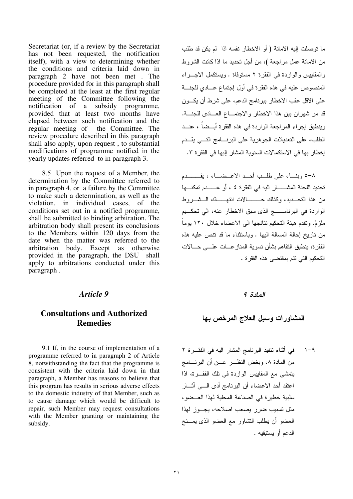Secretariat (or, if a review by the Secretariat has not been requested, the notification itself), with a view to determining whether the conditions and criteria laid down in paragraph 2 have not been met . The procedure provided for in this paragraph shall be completed at the least at the first regular meeting of the Committee following the notification of a subsidy programme, provided that at least two months have elapsed between such notification and the regular meeting of the Committee. The the Committee. The review procedure described in this paragraph shall also apply, upon request , to substantial modifications of programme notified in the yearly updates referred to in paragraph 3.

8.5 Upon the request of a Member, the determination by the Committee referred to in paragraph 4, or a failure by the Committee to make such a determination, as well as the violation, in individual cases, of the conditions set out in a notified programme, shall be submitted to binding arbitration. The arbitration body shall present its conclusions to the Members within 120 days from the date when the matter was referred to the arbitration body. Except as otherwise provided in the paragraph, the DSU shall apply to arbitrations conducted under this paragraph .

## *Article 9*

## **Consultations and Authorized Remedies**

9.1 If, in the course of implementation of a programme referred to in paragraph 2 of Article 8, notwithstanding the fact that the programme is consistent with the criteria laid down in that paragraph, a Member has reasons to believe that this program has results in serious adverse effects to the domestic industry of that Member, such as to cause damage which would be difficult to repair, such Member may request consultations with the Member granting or maintaining the subsidy.

ما توصلت إليه الامانة ( أو الاخطار نفسه اذا لم يكن قد طلب من الامانة عمل مراجعة )، من أجل تحديد ما اذا كانت الشروط والمقاييس والواردة في الفقرة ٢ مستوفاة . ويستكمل الاجـــراء المنصوص عليه في هذه الفقرة في أول إجتماع عـــادي للجنــــة على الاقل عقب الاخطار ببرنامج الدعم، على شرط أن يكـــون قد مر شهران بين هذا الاخطار والاجتمـــاع العـــادى للـجنـــة. وينطبق إجراء المراجعة الواردة في هذه الفقرة أيـــضا ، عنـــد الطلب، على النعديلات الجوهرية على البرنــــامج النــــى يقـــدم إخطار بها في الاستكمالات السنوية المشار إليها في الفقر ة ٣.

٨–٥ وبنـــاء على طلــب أحــد الاعــضـــاء ، يقــــــــدم تحديد اللجنة المشـــــــــار اليه فـي الفقرة ٤ ، أو عــــــــدم تمكنــــها من هذا التحـــديد، وكذلك حــــــــــالات انتهـــــاك الـــشـــر وط الو ار دة في البر نامـــــــج الذي سبق الإخطار عنه، الى تحكـــبم ملزمْ. ونقدم هيئة التحكيم نتائجها الىي الاعضاء خلال ١٢٠ يوما من ناريخ إحالة المسالة البها . وباستثناء ما قد نتص عطيه هذه الفقر ة، ينطبق التفاهم بشأن تسوية المناز عسات علـــى حــــالات التحكيم التي نتم بمقتضبي هذه الفقر ة .

المصادة ٩

المشاورات وسبل العلاج المرخص بها

في أثناء نتفيذ البرنامج المشار اليه في الفقــرة ٢  $1 - 9$ من المادة ٨، وبغض النظـــر عـــن أن البرنـــــامج يتمشى مع المقابيس الواردة في تلك الفقـــرة، اذا اعتقد أحد الاعضاء أن البرنامج أدى الــــى أثــــار سلبية خطير ة في الصناعة المحلية لمهذا العــضو ، مثل تسبيب ضرر يصعب اصلاحه، يجــوز لمهذا العضو أن يطلب التشاور مع العضو الذي يمـــنح الدعم أو يستنقيه .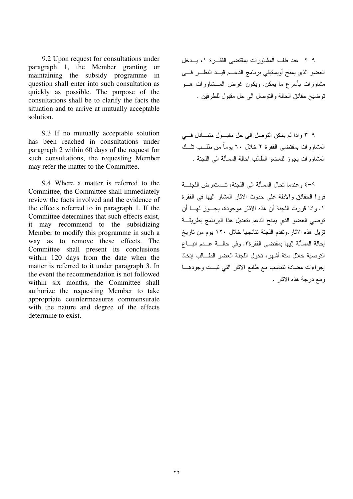9.2 Upon request for consultations under paragraph 1, the Member granting or maintaining the subsidy programme in question shall enter into such consultation as quickly as possible. The purpose of the consultations shall be to clarify the facts the situation and to arrive at mutually acceptable solution.

9.3 If no mutually acceptable solution has been reached in consultations under paragraph 2 within 60 days of the request for such consultations, the requesting Member may refer the matter to the Committee.

9.4 Where a matter is referred to the Committee, the Committee shall immediately review the facts involved and the evidence of the effects referred to in paragraph 1. If the Committee determines that such effects exist, it may recommend to the subsidizing Member to modify this programme in such a way as to remove these effects. The Committee shall present its conclusions within 120 days from the date when the matter is referred to it under paragraph 3. In the event the recommendation is not followed within six months, the Committee shall authorize the requesting Member to take appropriate countermeasures commensurate with the nature and degree of the effects determine to exist.

8-٢ عند طلب المشاورات بمقتضى الفقـــرة ١، يـــدخل العضو الذي يمنح أويستبقى برنامج الدعــم قيــد النظــر فـــى مشاورات بأسرع ما يمكن. ويكون غرض المسشاورات هــو نو ضبح حقائق الحالة و النو صل الى حل مقبول للطرفين .

٩-٣ و اذا لم يمكن النوصل الى حل مقبـــول منبــــادل فــــى المشاور ات بمقتضى الفقر ة ٢ خلال ٦٠ بوماً من طلــب تلــك المشاورات يجوز للعضو الطالب احالة المسألة البي اللجنة .

٩-٤ وعندما نحال المسألة الى اللجنة، نـــستعرض اللجنـــة فورا الحقائق والادلة على حدوث الاثار المشار اليها في الفقرة ٠. واذا قررت اللجنة أن هذه الاثار موجودة، يجـــوز لمهـــا أن توصبي العضو الذي يمنح الدعم بتعديل هذا البر نامج بطريقة تزيل هذه الأثار ونقدم اللجنة نتائجها خلال ١٢٠ بوم من تاريخ إحالة المسألة إليها بمقتضبي الفقر ٣: و في حالسة عسدم اتبياع التوصية خلال سنة أشهر، نخول اللجنة العضو الطـــالب إنخاذ إجراءات مضادة تتناسب مع طابع الاثار التبي ثبــت وجودهـــا ومع درجة هذه الاثار .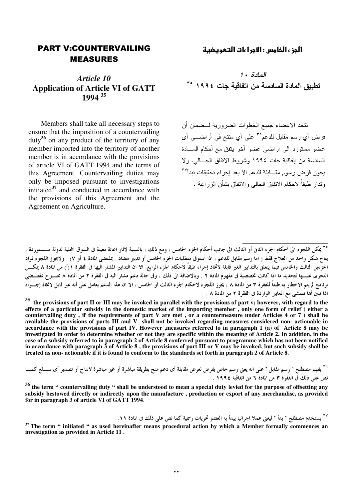## **PART V:COUNTERVAILING MEASURES**

## **Article 10 Application of Article VI of GATT** 1994 $35$

Members shall take all necessary steps to ensure that the imposition of a countervailing duty<sup>36</sup> on any product of the territory of any member imported into the territory of another member is in accordance with the provisions of article VI of GATT 1994 and the terms of this Agreement. Countervailing duties may only be imposed pursuant to investigations initiated<sup>37</sup> and conducted in accordance with the provisions of this Agreement and the Agreement on Agriculture.

#### الحزء الخامس : الأحراءات التعميضية

نتخذ الاعضاء جميع الخطوات الضرورية لــضمان أن فرض أي رسم مقابل للدعم" على أي منتج في أراضــــي أي عضو مستورد الى اراضى عضو آخر بنفق مع أحكام المسادة السادسة من إنفاقية جات ١٩٩٤ وشروط الاتفاق الحسالي. ولا بجوز فرض رسوم مقــابلة للدعم الا بعد اجراء تحقيقات تبدأ<sup>٣٧</sup> وتدار طبقاً لاحكام الاتفاق الحالي والاتفاق بشأن الزر اعة .

<sup>36</sup> the term " countervailing duty " shall be understood to mean a special duty levied for the purpose of offsetting any subsidy bestowed directly or indirectly upon the manufacture, production or export of any merchandise, as provided for in paragraph 3 of article VI of GATT 1994.

<sup>٣٧</sup> يستخدم مصطلح " بدأ " ليعني عملا اجرائيا يبدأ به العضو تحريات رسمية كما نص على ذلك في المادة ١١.

<sup>37</sup> The term " initiated " as used hereinafter means procedural action by which a Member formally commences an investigation as provided in Article 11.

م<br>متح يمكن اللجوء الى أحكام الجزء الثانى أو الثالث الى جانب أحكام الجزء الخامس ، ومع ذلك ، بالنسبة لاثار اعانة معينة فى السوق المحلية لدولة مـــستوردة ، يتاح شكل واحد من العلاج فقط ( اما رسم مقابل للدعم ، اذا استوفى متطلبات الجزء الخامس أو تدبير مضاد . بمقتضى المادة ٤ أو ٧) . ولايجوز اللجوء لمواد الجزءين الثالث والحامس فيما يتعلق بالتدابير الغير قابلة لاتخاذ إجراء طبقاً لاحكام الجزء الرابع. الا ان التدابير المشار اليها في الفقرة ١(أ) من المادة ٨ يمكـــن التحرى عنـــها لتحديد ما اذا كانت تخصصية فى مفهوم المادة ٢ . وبالاضافة الى ذلك ، وفى حالة دعم مشار اليه فى الفقرة ٢ من المادة ٨ ممنـــوح بمقتـــضى برنامج لم يتم الاخطار به طبقاً للفقرة ٣ من المادة ٨ ، يجوز اللجوء لاحكام الجزء الثالث أو الخامس ، الا ان هذا الدعم يعامل على أنه غير قابل لاتخاذ إجـــراء اذا تبين ألها تتمشى مع المعايير الواردة في الفقرة ٢ من المادة ٨ .

<sup>35</sup> the provisions of part II or III may be invoked in parallel with the provisions of part v: however, with regard to the effects of a particular subsidy in the domestic market of the importing member, only one form of relief (either a countervailing duty, if the requirements of part V are met, or a countermeasure under Articles 4 or 7) shall be available the provisions of parts III and V shall not be invoked regarding measures considered non-actionable in accordance with the provisions of part IV. However measures referred to in paragraph 1 (a) of Article 8 may be investigated in order to determine whether or not they are specific within the meaning of Article 2. In addition, in the case of a subsidy referred to in paragraph 2 of Article 8 conferred pursuant to programme which has not been notified in accordance with paragraph  $3$  of Article 8, the provisions of part III or V may be invoked, but such subsidy shall be treated as non- actionable if it is found to conform to the standards set forth in paragraph 2 of Article 8.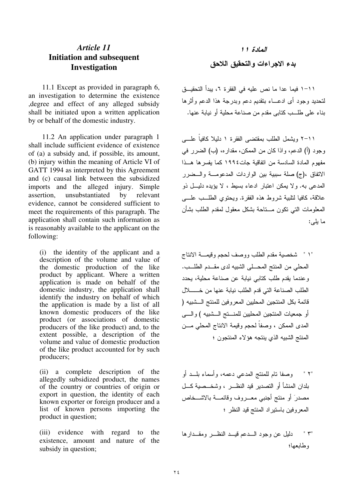## *Article 11*  **Initiation and subsequent Investigation**

11.1 Except as provided in paragraph 6, an investigation to determine the existence ,degree and effect of any alleged subsidy shall be initiated upon a written application by or behalf of the domestic industry.

11.2 An application under paragraph 1 shall include sufficient evidence of existence of (a) a subsidy and, if possible, its amount, (b) injury within the meaning of Article VI of GATT 1994 as interpreted by this Agreement and (c) causal link between the subsidized imports and the alleged injury. Simple assertion, unsubstantiated by relevant evidence, cannot be considered sufficient to meet the requirements of this paragraph. The application shall contain such information as is reasonably available to the applicant on the following:

(i) the identity of the applicant and a description of the volume and value of the domestic production of the like product by applicant. Where a written application is made on behalf of the domestic industry, the application shall identify the industry on behalf of which the application is made by a list of all known domestic producers of the like product (or associations of domestic producers of the like product) and, to the extent possible, a description of the volume and value of domestic production of the like product accounted for by such producers;

(ii) a complete description of the allegedly subsidized product, the names of the country or countries of origin or export in question, the identity of each known exporter or foreign producer and a list of known persons importing the product in question;

(iii) evidence with regard to the existence, amount and nature of the subsidy in question;

# العبادة ال بدء الإجراءات والتحقيق اللاحق

1\-1 فيما عدا ما نص عليه في الفقرة ٦، يبدأ التحقيــق لنحديد وجود أى ادعـــاء بنقديم دعم وبدرجة هذا الدعم وأثرها بناء على طلَّــب كنابي مقدم من صناعة محلية أو نيابة عنها.

1\-7 ويشمل الطلب بمقتضىي الفقرة ١ دليلا كافيا علـــي وجود (أ) الدعم، و اذا كان من الممكن، مقدار ه، (ب) الضرر في مفهوم المادة السادسة من اتفاقية جات١٩٩٤ كما يفسرها هــذا الاتفاق ،(ج) صلة سببية بين الواردات المدعومـــة والـــضرر المدعى به. ولا يمكن اعتبار ادعاء بسيط ، لا يؤيده دليــل ذو علاقة، كافيا لتلبية شروط هذه الفقر ة. ويحتوى الطلب علي المعلومات التبي نكون مستاحة بشكل معقول لمقدم الطلب بشأن ما بلي:

"١ " شخصية مقدم الطلب ووصف لحجم وقيمــــة الانتاج المحلي من المنتج المحـــلى الشبيه لدى مقـــدم الطلـــب. وعندما يقدم طلب كتابي نيابة عن صناعة محلية، يحدد الطلب الصناعة التي قدم الطلب نيابة عنها من خـــــــــلال قائمة بكل المنتجين المحليين المعروفين للمنتج الـــشبيه ( أو جمعيات المنتجين المحليين للمنــــنج الــــشبيه ) والـــــى المدى الممكن ، وصفا لحجم وقيمة الانتاج المحلبي مـــن المنتج الشبيه الذي ينتجه هؤ لاء المنتجون ؛

وصفا تام للمنتج المدعى دعمه، وأسماء بلــد أو بلدان المنشأ أو التصدير قيد النظــر ، وشخــصبـة كـــل مصدرَ أو منتج أجنبي معــــروف وقائمــــة بالاشــــخاص المعروفين باستيراد المنتج قيد النظر ؛

٣" لنليل عن وجود السدعم قيـــد النظــــر ومقـــدارها " ه طابعها؛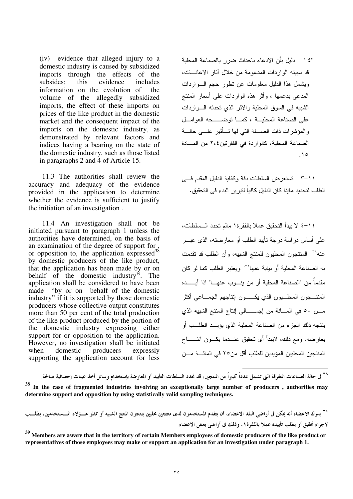(iv) evidence that alleged injury to a domestic industry is caused by subsidized imports through the effects of the subsides: this evidence includes information on the evolution of the volume of the allegedly subsidized imports, the effect of these imports on prices of the like product in the domestic market and the consequent impact of the imports on the domestic industry, as demonstrated by relevant factors and indices having a bearing on the state of the domestic industry, such as those listed in paragraphs 2 and 4 of Article 15.

11.3 The authorities shall review the accuracy and adequacy of the evidence provided in the application to determine whether the evidence is sufficient to justify the initiation of an investigation.

11.4 An investigation shall not be initiated pursuant to paragraph 1 unless the authorities have determined, on the basis of an examination of the degree of support for, or opposition to, the application expressed<sup>38</sup> by domestic producers of the like product, that the application has been made by or on behalf of the domestic industry<sup>39</sup>. The application shall be considered to have been "by or on behalf of the domestic made industry" if it is supported by those domestic producers whose collective output constitutes more than 50 per cent of the total production of the like product produced by the portion of the domestic industry expressing either support for or opposition to the application. However, no investigation shall be initiated producers when domestic expressly supporting the application account for less

"٤ " دليل بأن الإدعاء باحداث ضرر بالصناعة المحلبة قد سببته الوار دات المدعومة من خلال آثار الإعانـــات، ويشمل هذا الدليل معلومات عن تطور حجم السواردات المدعى بدعمها ، وأثر هذه الواردات على أسعار المنتج الشيبه في السوق المحلبة والاثر الذي تحدثه السواردات على الصناعة المحلبــة ، كمـــا توضــــــحه العوامــل والمؤشرات ذات الصبلة التي لمها تسأثير علي حالسة الصناعة المحلية، كالواردة في الفقر نين ٢،٤ من المسادة  $\cdot$  10

٢-١١ تستعرض السلطات دقة وكفاية الدليل المقدم في الطلب لتحديد ماإذا كان الدليل كافياً لنبرير البدء في التحقيق.

11-٤ لا يبدأ التحقيق عملا بالفقر ١٥ مالم تحدد الــسلطات، علم أساس در اسة درجة تأييد الطلب أو معارضته، الذي عبـــر عنه<sup>^</sup>" المنتجون المحليون للمنتج الشبيه، وأن الطلب قد تقدمت به الصناعة المحلية أو نيابة عنها<sup>٣٩.</sup> ويعتبر الطلب كما لو كان مقدماً من "الصناعة المحلية أو من بنسوب عنهـــا" اذا أبـــــده مـــن ٥٠ في المــــائة من إجمـــــــالي إنتاج المنتج الشبيه الذي ينتجه ذلك الجزء من الصناعة المحلية الذي يؤيــد الطلــب أو يعارضه. ومع ذلك، لايبدأ أي تحقيق عنـــدما يكـــون انتــــــاج المنتجين المحلبين المؤيدين للطلب أقل من٢٥ في المائــــة مــــن

<sup>٣٨</sup> في حالة الصناعات المتفرقة التي تشمل عدداً كبيراً من المنتجين، قد تحدد السلطات التأييد أو المعارضة بإستخدام وسائل أخذ عينات إحصائية صالحة. 38 In the case of fragmented industries involving an exceptionally large number of producers, authorities may determine support and opposition by using statistically valid sampling techniques.

<sup>٣٩</sup> يدرك الاعضاء أنه يمكن في أراضي البلد الاعضاء، أن يتقدم المستخدمون لدى منتجن محلين ينتجون المنتج الشبيه أو ممثلو هــؤلاء المـــستخدمن، بطلـــ لاجراء تحقيق أو بطلب تأييده عملا بالفقرة١، وذلك في أراضي بعض الاعضاء.

<sup>39</sup> Members are aware that in the territory of certain Members employees of domestic producers of the like product or representatives of those employees may make or support an application for an investigation under paragraph 1.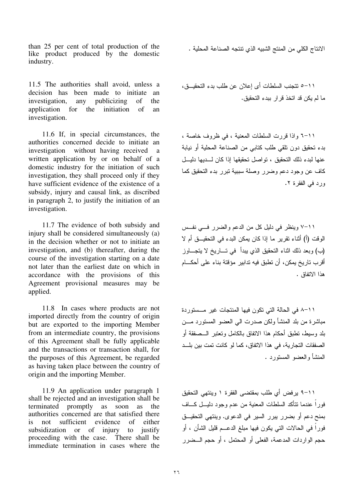than 25 per cent of total production of the like product produced by the domestic industry.

11.5 The authorities shall avoid, unless a decision has been made to initiate an investigation, any publicizing of the application for the initiation of an investigation.

11.6 If, in special circumstances, the authorities concerned decide to initiate an investigation without having received a written application by or on behalf of a domestic industry for the initiation of such investigation, they shall proceed only if they have sufficient evidence of the existence of a subsidy, injury and causal link, as discribed in paragraph 2, to justify the initiation of an investigation.

11.7 The evidence of both subsidy and injury shall be considered simultaneously (a) in the decision whether or not to initiate an investigation, and (b) thereafter, during the course of the investigation starting on a date not later than the earliest date on which in accordance with the provisions of this Agreement provisional measures may be applied.

11.8 In cases where products are not imported directly from the country of origin but are exported to the importing Member from an intermediate country, the provisions of this Agreement shall be fully applicable and the transactions or transaction shall, for the purposes of this Agreement, be regarded as having taken place between the country of origin and the importing Member.

11.9 An application under paragraph 1 shall be rejected and an investigation shall be terminated promptly as soon as the authorities concerned are that satisfied there is not sufficient evidence of either subsidization or of injury to justify proceeding with the case. There shall be immediate termination in cases where the

الانتاج الكلي من المنتج الشبيه الذي نتتجه الصناعة المحلية .

1 \ -0 تتجنب السلطات أي إعلان عن طلب بدء التحقيــق، ما لم يكن قد اتخذ قرار ببدء التحقيق.

1\-٦ واذا قررت السلطات المعنية ، في ظروف خاصة ، بدء تحقيق دون تلقي طلب كتابي من الصناعة المحلية أو نيابة عنها لبدء ذلك التحقيق ، تو اصل تحقيقها إذا كان لـــديها دليـــل كاف عن وجود دعم وضرر وصلة سببية نبرر بدء التحقيق كما ورد في الفقرة ٢.

\ V-۱۱ وينظر في دليل كل من الدعم والضرر فـــي نفــس الوقت (أ) أثناء تقرير ما إذا كان بمكن البدء في التحقيـــق أم لا (ب) وبعد ذلك اثناء النحقيق الذي يبدأ ۖ في تـــاريخ لا يتجــــاوز أقرب تاريخ بمكن، أن تطبق فيه تدابير ٍ مؤقتة بناء على أحكـــام هذا الاتفاق .

1 \ - ^ في الحالة التي نكون فيها المنتجات غير مـــستوردة مباشر ة من بلد المنشأ ولكن صدرت الى العضو المستورد مـــن بلد وسيط، تطبق أحكام هذا الاتفاق بالكامل وتعتبر الـــصفقة أو الصفقات التجارية، في هذا الاتفاق، كما لو كانت تمت بين بلـــد المنشأ والعضو المستورد .

\ 1 \- 9 يرفض أي طلب بمقتضى الفقرة \ وينتهى التحقيق فورًا عندما نتأكد السلطات المعنية من عدم وجود دليـــل كــــاف بمنح دعم أو بضرر يبرر السير في الدعوى. وينتهي التحقيــق فوراً في الحالات التي يكون فيها مبلغ الدعــم قليل الشأن ، أو حجم الواردات المدعمة، الفعلي أو المحتمل ، أو حجم الـــضرر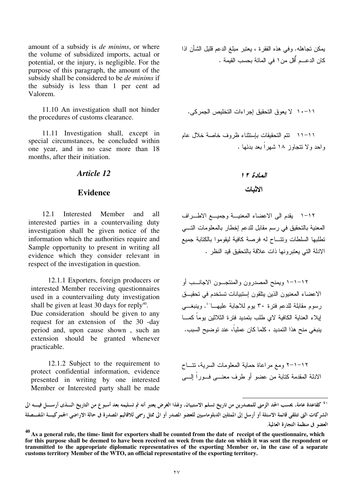amount of a subsidy is *de minims*, or where the volume of subsidized imports, actual or potential, or the injury, is negligible. For the purpose of this paragraph, the amount of the subsidy shall be considered to be *de minims* if the subsidy is less than 1 per cent ad Valorem.

11.10 An investigation shall not hinder the procedures of customs clearance.

11.11 Investigation shall, except in special circumstances, be concluded within one year, and in no case more than 18 months, after their initiation.

#### Article 12

#### **Evidence**

 $12.1$ Interested Member and all interested parties in a countervailing duty investigation shall be given notice of the information which the authorities require and Sample opportunity to present in writing all evidence which they consider relevant in respect of the investigation in question.

12.1.1 Exporters, foreign producers or interested Member receiving questionnaires used in a countervailing duty investigation shall be given at least 30 days for reply<sup>40</sup>. Due consideration should be given to any request for an extension of the 30 -day period and, upon cause shown, such an

extension should be granted whenever practicable.

12.1.2 Subject to the requirement to protect confidential information, evidence presented in writing by one interested Member or Interested party shall be made

يمكن تجاهله. و في هذه الفقرة ، يعتبر مبلغ الدعم قليل الشأن اذا كان الدعـــم أُقل من ١ في المائة بـحسب القيمة .

1\-1\ نتم التحقيقات بإستثناء ظروف خاصة خلال عام واحد و لا تتجاوز ۱۸ شهر اً بعد بدئها .

العادة ٢ ١ الاثمات

١٦-١ يقدم الى الاعضاء المعنيـــة وجميـــع الاطــــراف المعنية بالتحقيق في رسم مقابل للدعم إخطار بالمعلومات التسي تطلبها السلطات ونتساح له فرصة كافية ليقوموا بالكتابة جميع الادلة التي يعتبر ونها ذات علاقة بالتحقيق قيد النظر .

١٦–١-١ ويمنح المصدرون والمنتجــون الاجانــب أو الاعضاء المعنيون الذين يتلقون إستبيانات تستخدم في تحقيق رسوم مقابلة للدعم فترة ٣٠ بوم للإجابة عليهـــا في بنبغـــى ايلاء العناية الكافية لاى طلب بتمديد فتر ة الثلاثين بوماً كمـــا ينبغي منح هذا التمديد ، كلما كان عملياً، عند توضيح السبب.

١٦–٢–٢ ومع مراعاة حماية المعلومات السرية، نتساح الادلة المقدمة كتابة من عضو أو طرف معنـــي فــوراً الِـــي

<sup>.&</sup>lt;br>\* كقاعدة عامة، يحسب الحد الزمني للمصدرين من تاريخ تسلم الاستبيان، ولهذا الغرض يعتبر أنه تم تسليمه بعد أسبوع من التاريخ الـــذي أرســــل فيــــه الى الشركات التي تتلقى قائمة الاسئلة أو أرسل إلى الممثلين الدبلوماسيين للعضو المصدر أو الى ممثل رسمي للاقاليم المصدرة في حالة الاراضي الجمركيسة المنفسصلة العضو في منظمة التجارة العالمية.

 $40$  As a general rule, the time-limit for exporters shall be counted from the date of receipt of the questionnaire, which for this purpose shall be deemed to have been received on week from the date on which it was sent the respondent or transmitted to the appropriate diplomatic representatives of the exporting Member or, in the case of a separate customs territory Member of the WTO, an official representative of the exporting territory.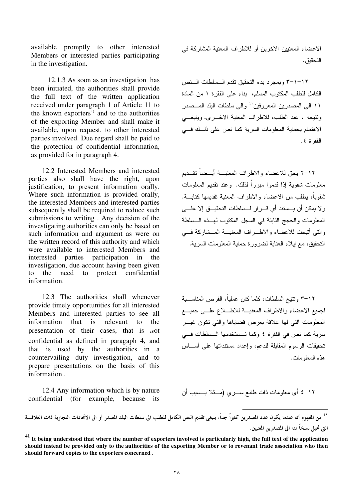available promptly to other interested Members or interested parties participating in the investigation.

12.1.3 As soon as an investigation has been initiated, the authorities shall provide the full text of the written application received under paragraph 1 of Article 11 to the known exporters $41$  and to the authorities of the exporting Member and shall make it available, upon request, to other interested parties involved. Due regard shall be paid to the protection of confidential information, as provided for in paragraph 4.

12.2 Interested Members and interested parties also shall have the right, upon justification, to present information orally. Where such information is provided orally, the interested Members and interested parties subsequently shall be required to reduce such submissions to writing . Any decision of the investigating authorities can only be based on such information and argument as were on the written record of this authority and which were available to interested Members and interested parties participation in the investigation, due account having been given to the need to protect confidential information.

12.3 The authorities shall whenever provide timely opportunities for all interested Members and interested parties to see all information that is relevant to the presentation of their cases, that is ot confidential as defined in paragaph 4, and that is used by the authorities in a countervailing duty investigation, and to prepare presentations on the basis of this information .

confidential (for example, because its

الاعضاء المعنيين الاخرين أو للاطراف المعنية المشاركة في التحقبق .

١٢–١-٣ وبمجرد بدء النحقيق نقدم الــسلطات الـــنص الكامل للطلب المكتوب المسلم، بناء على الفقرة ١ من المادة ١١ الى المصدرين المعروفين' والى سلطات البلد المــصدر ونتنحه ، عند الطلب، للاطراف المعنية الاخـــرى. وينبغـــي الاهتمام بحماية المعلومات السرية كما نص على ذلك في الفقر ۃ ٤.

٢-١٢ يحق للاعضاء والاطراف المعنيـــة أيــضا تقـــديم معلومات شفوبة اذا قدموا ميرراً لذلك. وعند تقديم المعلومات شفوياً، يطلب من الاعضاء والاطراف المعنية نقديمها كتابـــة. , لا بمكن أن بـــستند أي قـــر ار لــسلطات التحقيـــق إلا علــــي المعلومات والحجج الثابتة في السجل المكتوب لمهــذه الـــسلطة والتي أنبحت للاعضاء والاطب اف المعنبية المسشاركة في النحقيق، مع ايلاء العناية لضرورة حماية المعلومات السرية.

٢-١٢ وتتيح السلطات، كلما كان عمليا، الفرص المناســـبة لجميع الاعضاء والاطراف المعنيسة للاطسلاع علسي جميسع المعلومات التي لمها علاقة بعرض قضاياها والتي نكون غيـــر سرية كما نص في الفقرة ٤ وكما تــستخدمها الــسلطات فـــي تحقيقات الرسوم المقابلة للدعم، وإعداد مستنداتها على أســـاس هذه المعلومات.

12.4 Any information which is by nature % H&- 95-) c-& BI ) ) ? " D-<

 $\overline{a}$ 

<sup>.&</sup>lt;br>' من المفهوم أنه عندما يكون عدد المصدرين كثيراً جداً، ينبغي تقديم النص الكامل للطلب الى سلطات البلد المصدر أو الى الاتحادات التجارية ذات العلاقسة التي تحيل نسخاً منه الى المصدرين المعنيين.

**<sup>41</sup> It being understood that where the number of exporters involved is particularly high, the full text of the application should instead be provided only to the authorities of the exporting Member or to revenant trade association who then should forward copies to the exporters concerned .**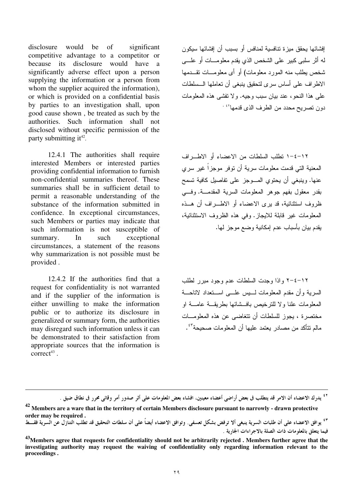disclosure would be of significant competitive advantage to a competitor or because its disclosure would have a significantly adverse effect upon a person supplying the information or a person from whom the supplier acquired the information). or which is provided on a confidential basis by parties to an investigation shall, upon good cause shown, be treated as such by the authorities. Such information shall not disclosed without specific permission of the party submitting it<sup>42</sup>.

12.4.1 The authorities shall require interested Members or interested parties providing confidential information to furnish non-confidential summaries thereof. These summaries shall be in sufficient detail to permit a reasonable understanding of the substance of the information submitted in confidence. In exceptional circumstances, such Members or parties may indicate that such information is not susceptible of summary.  $In$ such exceptional circumstances, a statement of the reasons why summarization is not possible must be provided.

12.4.2 If the authorities find that a request for confidentiality is not warranted and if the supplier of the information is either unwilling to make the information public or to authorize its disclosure in generalized or summary form, the authorities may disregard such information unless it can be demonstrated to their satisfaction from appropriate sources that the information is correct<sup>43</sup>.

افشائها بحقق مبز ة تتافسية لمنافس أو يسبب أن افشائها سبكون له أثر سلبي كبير على الشخص الذي يقدم معلومـــات أو علـــي شخص يطلب منه المورد معلومات) أو أي معلومـــات تقـــدمها الاطراف على أساس سرى لتحقيق بنبغي أن تعاملها الـسلطات على هذا النحو ، عند بيان سبب وجيه. ولا تفشى هذه المعلومات دون تصريح محدد من الطرف الذي قدمها<sup>٤٢</sup>٠

١٦-٤-١ تطلب السلطات من الاعضاء أو الإطـراف المعنية التي قدمت معلومات سرية أن توفر موجزاً غير سرى عنها. وبنبغي أن بحتوى المسوجز على تفاصيل كافية تسمح بقدر معقول بفهم جوهر المعلومات السرية المقدمـــة. وفــــى ظروف استثنائية، قد برى الاعضاء أو الاطـــراف أن هـــذه المعلومات غير قابلة للايجاز . وفي هذه الظروف الاستثنائية، يقدم بيان بأسباب عدم إمكانية وضع موجز لمها.

٠١٢–٢-٢ واذا وجدت السلطات عدم وجود مبرر لطلب السرية وأن مقدم المعلومات لسبس علسى اسستعداد لاتاحسة المعلومات علنا ولا للنز خبص بافسشائها بطريقية عامسة او مختصرة ، يجوز للسلطات أن تتغاضبي عن هذه المعلومسات مالم تتأكد من مصادر يعتمد عليها أن المعلومات صحيحة يعني

<sup>٢٢</sup> يدرك الاعضاء أن الامر قد يتطلب فى بعض أراضى أعضاء معينين، افشاء بعض المعلومات على أثر صدور أمر وقائى محرر فى نطاق ضيق .

<sup>42</sup> Members are a ware that in the territory of certain Members disclosure pursuant to narrowly - drawn protective order may be required.

.<br>\*\* يوافق الاعضاء على أن طلبات السرية ينبغي ألا ترفض بشكل تعسفي. وتوافق الاعضاء أيضاً على أن سلطات التحقيق قد تطلب التنازل عن السرية فقسط فيما يتعلق بالمعلومات ذات الصلة بالاجراءات الجارية .

<sup>&</sup>lt;sup>43</sup>Members agree that requests for confidentiality should not be arbitrarily rejected. Members further agree that the investigating authority may request the waiving of confidentiality only regarding information relevant to the proceedings.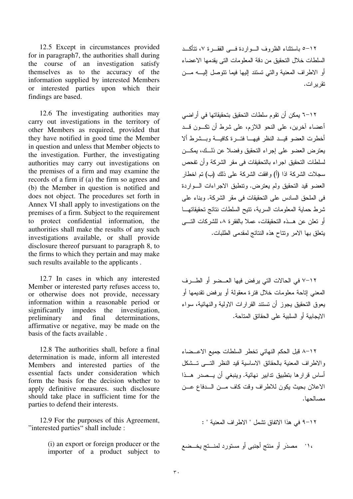12.5 Except in circumstances provided for in paragraph7, the authorities shall during the course of an investigation satisfy themselves as to the accuracy of the information supplied by interested Members or interested parties upon which their findings are based.

12.6 The investigating authorities may carry out investigations in the territory of other Members as required, provided that they have notified in good time the Member in question and unless that Member objects to the investigation. Further, the investigating authorities may carry out investigations on the premises of a firm and may examine the records of a firm if (a) the firm so agrees and (b) the Member in question is notified and does not object. The procedures set forth in Annex VI shall apply to investigations on the premises of a firm. Subject to the requirement to protect confidential information, the authorities shall make the results of any such investigations available, or shall provide disclosure thereof pursuant to paragraph 8, to the firms to which they pertain and may make such results available to the applicants.

12.7 In cases in which any interested Member or interested party refuses access to, or otherwise does not provide, necessary information within a reasonable period or significantly impedes the investigation, preliminary and final determinations, affirmative or negative, may be made on the basis of the facts available.

12.8 The authorities shall, before a final determination is made, inform all interested Members and interested parties of the essential facts under consideration which form the basis for the decision whether to apply definitive measures, such disclosure should take place in sufficient time for the parties to defend their interests.

12.9 For the purposes of this Agreement, "interested parties" shall include :

> (i) an export or foreign producer or the importer of a product subject to

١٢-٥ باستثناء الظروف السواردة فسي الفقيرة ٧، تتأكيد السلطات خلال التحقيق من دقة المعلومات التي يقدمها الاعضاء أو الاطراف المعنية والتي تستند إليها فيما نتوصل إليـــه مـــن نقرير ات.

1 \ - 1 يمكن أن تقوم سلطات التحقيق بتحقيقاتها في أراضي أعضاء آخرين، على النحو اللازم، على شرط أن نكبون قب أخطرت العضو قيسد النظر فيهسا فتسرة كافيسة وبسشرط ألا يعترض العضو على إجراء النحقيق وفضلا عن ذلــك، بمكـــن لسلطات التحقيق اجراء بالتحقيقات في مقر الشركة وأن تفحص سجلات الشركة اذا (أ) وافقت الشركة على ذلك (ب) تم اخطار العضو قيد التحقيق ولم يعترض. ونتطبق الاجر اءات الـــواردة في الملحق السادس على التحقيقات في مقر الشركة. وبناء على شرط حماية المعلومات السرية، نتيح السلطات نتائج تحقيقاتهــا أو تعلن عن هـــذه التحقيقات، عملاً بالفقر ة ٨، للشركات التــــى يتعلَّق بها الامر ونتاح هذه النتائج لمقدمي الطلبات.

١٢–٧ في الحالات التي يرفض فيها العــضو أو الطـــرف المعني إناحة معلومات خلال فترة معقولة أو يرفض نقديمها أو يعوق التحقيق يجوز أن تستند القرارات الاولية والنهائية، سواء الإيجابية أو السلبية على الحقائق المتاحة.

١٢-٨ قبل الحكم النهائي تخطر السلطات جميع الاعــضاء والاطراف المعنية بالحقائق الاساسية قيد النظر التسى تسشكل أساس قرارها بتطبيق تدابير نهائية. وينبغي أن يـــصدر هـــذا الاعلان بحيث يكون للاطراف وقت كاف مـــن الـــدفاع عـــن مصالحها.

١٢-٩ في هذا الاتفاق نشمل " الاطراف المعنية " :

،١٠ مصدَر أو منتج أجنبي أو مستورد لمنستج يخــضع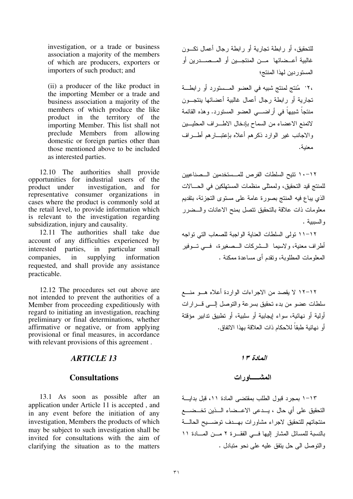investigation, or a trade or business association a majority of the members of which are producers, exporters or importers of such product; and

(ii) a producer of the like product in the importing Member or a trade and business association a majority of the members of which produce the like product in the territory of the importing Member. This list shall not preclude Members from allowing domestic or foreign parties other than those mentioned above to be included as interested parties.

12.10 The authorities shall provide opportunities for industrial users of the product under investigation, and for representative consumer organizations in cases where the product is commonly sold at the retail level, to provide information which is relevant to the investigation regarding subsidization, injury and causality.

12.11 The authorities shall take due account of any difficulties experienced by interested parties, in particular small companies, in supplying information requested, and shall provide any assistance practicable.

12.12 The procedures set out above are not intended to prevent the authorities of a Member from proceeding expeditiously with regard to initiating an investigation, reaching preliminary or final determinations, whether affirmative or negative, or from applying provisional or final measures, in accordance with relevant provisions of this agreement.

## *ARTICLE 13*

## **Consultations**

13.1 As soon as possible after an application under Article 11 is accepted , and in any event before the initiation of any investigation, Members the products of which may be subject to such investigation shall be invited for consultations with the aim of clarifying the situation as to the matters

للنحقيق، أو رابطة نجارية أو رابطة رجال أعمال نكـــون غالبية أعــضائها ًمـــن المنتجـــين أو المـــصـــدرين أو المستوريين لهذا المنتج؛ ٢٠ مُنتج لمنتج شبيه في العضو المسستورد أو رابطة نجارية أو رابطة رجال أعمال غالبية أعضائها ينتجـــون منتجا شبيها في أراضــــي العضو المستورد. وهذه القائمة لاتمنع الاعضاء من السماح بإدخال الاطـــراف المحليـــين والاجانب غير الوارد ذكرهم أعلاه بإعتبـــارهم أطــــراف معنىة.

10−11 نتيح السلطات الفرص للمــستخدمين الـــصناعيين للمنتج قيد التحقيق، ولممثلي منظمات المستهلكين في الحسالات الذي يباع فيه المنتج بصورة عامة على مسنوى التجزئة، بنقديم معلومات ذات علاقة بالتحقيق تتصل بمنح الاعانات والسضرر و السببة .

1\–١٢ نولي السلطات العناية الواجبة للصعاب التي نواجه أطراف معنية، و لاسيما الـــشركات الـــصغير ة، فــــى تـــوفير المعلومات المطلوبة، وتقدم أي مساعدة ممكنة .

١٢–١٢ لا يقصد من الاجراءات الواردة أعلاه هـــو منــــع سلطات عضو من بدء تحقيق بسر عة والتوصل إلـــي قـــر ار ات أولية أو نهائية، سواء إيجابية أو سلبية، أو نطبيق ندابير مؤقتة أو نهائية طبقاً للاحكام ذات العلاقة بهذا الاتفاق.

## الصادة ٣ ا

## المشـــــاور ات

١٠١٣ بمجرد قبول الطلب بمقتضى المادة ٥١١، قبل بدايــــة التحقيق على أى حال ، يــدعى الاعــضاء الــذين تخــضـــع منتجاتهم للتحقيق لاجراء مشاورات بهسدف توضسيح الحالسة بالنسبة للمسائل المشار البها في الفقـر ة ٢ مــن المــادة ١١ و التوصل الى حل بتفق علبه على نحو متبادل .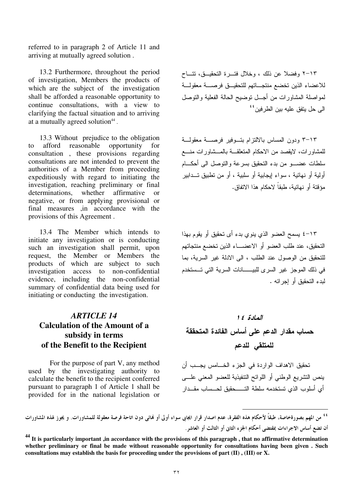referred to in paragraph 2 of Article 11 and arriving at mutually agreed solution .

13.2 Furthermore, throughout the period of investigation, Members the products of which are the subject of the investigation shall be afforded a reasonable opportunity to continue consultations, with a view to clarifying the factual situation and to arriving at a mutually agreed solution<sup>44</sup>.

13.3 Without prejudice to the obligation to afford reasonable opportunity for consultation , these provisions regarding consultations are not intended to prevent the authorities of a Member from proceeding expeditiously with regard to initiating the investigation, reaching preliminary or final determinations, whether affirmative or negative, or from applying provisional or final measures ,in accordance with the provisions of this Agreement .

13.4 The Member which intends to initiate any investigation or is conducting such an investigation shall permit, upon request, the Member or Members the products of which are subject to such investigation access to non-confidential evidence, including the non-confidential summary of confidential data being used for initiating or conducting the investigation.

## *ARTICLE 14*  **Calculation of the Amount of a subsidy in terms of the Benefit to the Recipient**

 For the purpose of part V, any method used by the investigating authority to calculate the benefit to the recipient conferred pursuant to paragraph 1 of Article 1 shall be provided for in the national legislation or ١٣-٢ وفضلاً عن ذلك ، وخلال فتـــرة النحقيـــق، تتـــاح للاعضاء الذين تخضع منتجـــاتهم للتحقيـــق فرصــــة معقولــــة لمواصلة المشاورات من أجــل نوضيح الحالة الفعلية والنوصل الى حل يتفق عليه بين الطرفين<sup>٤٤</sup>

٠١٣–٣ ودون المساس بالالتزام بتـــوفير فرصــــة معقولــــة للمشاورات، لايقصد من الاحكام المتعلقـــة بالمـــشاورات منــــع سلطات عضــــو من بدء التحقيق بسرعة والتوصل الى أحكـــام أولية أو نـهائية ، سواء إيجابية أو سلبية ، أو من نطبيق تـــدابير مؤقتة أو نهائية، طبقاً لاحكام هذا الاتفاق.

١٣-٤ يسمح العضو الذي ينوي بدء أي تحقيق أو يقوم بهذا التحقيق، عند طلب العضو أو الاعضــــاء الذين تخضـع منتجاتهم للتحقيق من الوصول عند الطلب ، الى الإدلة غير السرية، بما في ذلك الموجز غير السرى للبيـــــــانات السرية التي تـــستخدم لبدء التحقيق أو إجرائه .

 &77 8 9(:  7 ;( -7

تحقيق الاهداف الواردة في الجزء الخـــامس يجـــب أن ينص التشريع الوطني أو اللوائح التتفيذية للعضو المعنى علـــي أى أسلوب الذي تستخدمه سلطة التــــــحقيق لـمـــساب مقـــدار

 $\overline{a}$ 

<sup>&</sup>lt;sup>14</sup> من المهم بصورةخاصة، طبقاً لأحكام هذه الفقرة، عدم اصدار قرار ايجابي سواء أولى أو نمائي دون اتاحة فرصة معقولة للمشاورات. و يجوز لهذه المشاورات أن تضع أساس الاجراءات بمقتضى أحكام الجزء الثاني أو الثالث أو العاشر .

**<sup>44</sup> It is particularly important ,in accordance with the provisions of this paragraph , that no affirmative determination whether preliminary or final be made without reasonable opportunity for consultations having been given . Such consultations may establish the basis for proceeding under the provisions of part (II) , (III) or X.**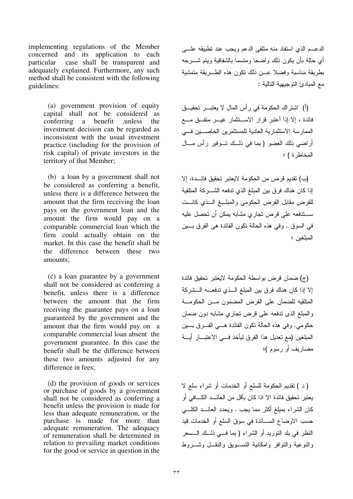implementing regulations of the Member concerned and its application to each particular case shall be transparent and adequately explained. Furthermore, any such method shall be consistent with the following guidelines:

> (a) government provision of equity capital shall not be considered as henefit .unless conferring  $\overline{a}$ the investment decision can be regarded as inconsistent with the usual investment practice (including for the provision of risk capital) of private investors in the territory of that Member;

> (b) a loan by a government shall not be considered as conferring a benefit, unless there is a difference between the amount that the firm receiving the loan pays on the government loan and the amount the firm would pay on a comparable commercial loan which the firm could actually obtain on the market. In this case the benefit shall be the difference between these  $two$ amounts:

> (c) a loan guarantee by a government shall not be considered as conferring a benefit, unless there is a difference between the amount that the firm receiving the guarantee pays on a loan guaranteed by the government and the amount that the firm would pay on a comparable commercial loan absent the government guarantee. In this case the benefit shall be the difference between these two amounts adjusted for any difference in fees:

> (d) the provision of goods or services or purchase of goods by a government shall not be considered as conferring a benefit unless the provision is made for less than adequate remuneration, or the purchase is made for more than adequate remuneration. The adequacy of remuneration shall be determined in relation to prevailing market conditions for the good or service in question in the

الدعــم الذي استفاد منه متلقى الدعم ويجب عند تطبيقه علـــى أي حالة بأن يكون ذلك واضحا ومتسماً بالشفافية ويتم شـــرحه بطريقة مناسبة وفضلا عــن ذلك نكون هذه الطـــريقة متمشية مع المبادئ التوجيهية التالية :

(أ) اشتر اك الحكومة في رأس المال لا يعتبــر تحقيــق فائدة ، إلا إذا أعتبر قرار الاستثمار غيـــر متفـــق مــــع الممارسة الاستثمارية العادية للمستثمرين الخاصسين فبي أراضي ذلك العضو (بما في ذلـك تـوفير رأس مــال المخاطرة)؛

(ب) تقديم قر ض من الحكومة لايعتبر تحقيق فائـــدة، إلا إذا كان هناك فرق بين المبلغ الذي ندفعه الشـــركة المتلقية للقرض مقابل القرض الحكومي والمبلغ السذي كانست ســــندفعه على قرض تجارى مشابه بمكن أن تحصل عليه في السوق . وفي هذه الحالة نكون الفائدة هي الفرق بـــين المطغين ؛

(ج) ضمان قرض بواسطة الحكومة لايعتبر تحقيق فائدة إلا إذا كان هناك فرق بين المبلغ السذي ندفعــــه الـــشركة المتلقيه للضمان على القرض المضمون مسن الحكومسة والمبلغ الذى ندفعه على قرض نجاري مشابه دون ضمان حكومي. وفي هذه الحالة نكون الفائدة هـــي الفـــرق بـــين المبلغين (مع تعديل هذا الفرق ليأخذ فسي الاعتبـــار أيــــة مصاريف أو رسوم)؛

(د ) تقديم الحكومة للسلع أو الخدمات أو شراء سلع لا يعتبر تحقيق فائدة الا اذا كان بأقل من العائـــد الكـــافي أو كان الشراء بمبلغ أكثر مما يجب . ويحدد العائـــد الكلــــي حسب الاوضاع الســائدة في سوق السلع أو الخدمات قيد النظر في بلد التوريد أو الشراء (بما فسي ذلك السسعر والنوعية والنوافر وامكانية التسويق والنقل وشيروط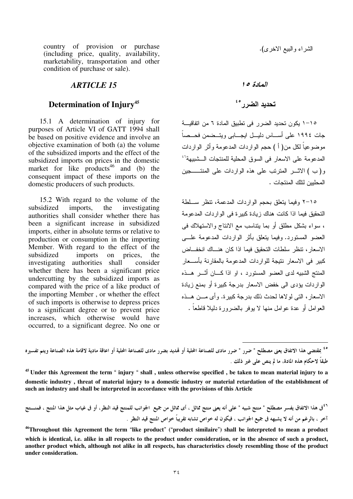country of provision or purchase (including price, quality, availability, marketability, transportation and other condition of purchase or sale).

#### **ARTICLE 15**

## Determination of Injury<sup>45</sup>

15.1 A determination of injury for purposes of Article VI of GATT 1994 shall be based on positive evidence and involve an objective examination of both (a) the volume of the subsidized imports and the effect of the subsidized imports on prices in the domestic<br>market for like products<sup>46</sup> and (b) the consequent impact of these imports on the domestic producers of such products.

15.2 With regard to the volume of the imports. subsidized the investigating authorities shall consider whether there has been a significant increase in subsidized imports, either in absolute terms or relative to production or consumption in the importing Member. With regard to the effect of the subsidized imports on prices, the investigating authorities shall consider whether there has been a significant price undercutting by the subsidized imports as compared with the price of a like product of the importing Member, or whether the effect of such imports is otherwise to depress prices to a significant degree or to prevent price increases, which otherwise would have occurred, to a significant degree. No one or الشراء والبيع الاخر ي).

#### العادة و ا

## تحديد الضرريع

1⁄0-1 يكون تحديد الضرر في تطبيق المادة ٦ من اتفاقيـــة جات ١٩٩٤ على أســـاس دليـــل ايجـــابي ويتـــضمن فحـــصـاً موضوعياً لكل من( أ ) حجم الواردات المدعومة وأثر الواردات المدعومة على الإسعار في السوق المحلية للمنتجات السشبيهة" و(ب ) الاثــــر المنزنب على هذه الواردات على المنتـــــــجين المحليين لتلك المنتحات .

١٥-٢ وفيما يتعلق بحجم الواردات المدعمة، تنظر سططة التحقيق فيما اذا كانت هناك زيادة كبير ة في الو ار دات المدعو مة ، سواء بشكل مطلق أو بما ينتاسب مع الانتاج والاستهلاك في العضو المستورد. وفيما بتعلق بأثر الواردات المدعومة علـــى الاسعار ، تنظر سلطات التحقيق فيما اذا كان هنساك انخفساض كبير في الاسعار نتيجة للواردات المدعومة بالمقارنة بأســـعار المنتج الشبيه لدى العضو المستورد ، او اذا كــان أثــر هــذه الو اردات يؤدي الى خفض الاسعار بدرجة كبيرة أو بمنع زيادة الإسعار ، التي لو لإها لحدث ذلك بدر جة كبير ة. و أي مـــن هـــذه العو امل أو عدة عو امل منها لا بوفر بالضرورة دلبلا قاطعاً .

<sup>&</sup>lt;sup>ه،</sup> بمقتضى هذا الاتفاق يعنى مصطلح " ضرر " ضرر مادى للصناعة الحلية أو مّديد بضرر مادى للصناعة الحلية أو اعاقة مادية لاقامة هذه الصناعة ويتم تفسيره طبقاً لاحكام هذه المادة، ما لم ينص على غير ذلك .

<sup>&</sup>lt;sup>45</sup> Under this Agreement the term " injury " shall, unless otherwise specified, be taken to mean material injury to a domestic industry, threat of material injury to a domestic industry or material retardation of the establishment of such an industry and shall be interpreted in accordance with the provisions of this Article

<sup>&</sup>lt;sup>43</sup>في هذا الاتفاق يفسر مصطلح " منتج شبيه " على أنه يعني منتج مماثل ، أي مماثل من جميع الجوانب للمنتج قيد النظر، أو في غياب مثل هذا المنتج ، فمنــــتج آخر ، بالرغم من أنه لا يشبهه في جميع الجوانب ، فيكون له خواص تشابه تقريباً خواص المنتج قيد النظر .

<sup>&</sup>lt;sup>46</sup>Throughout this Agreement the term "like product" ("product similaire") shall be interpreted to mean a product which is identical, i.e. alike in all respects to the product under consideration, or in the absence of such a product, another product which, although not alike in all respects, has characteristics closely resembling those of the product under consideration.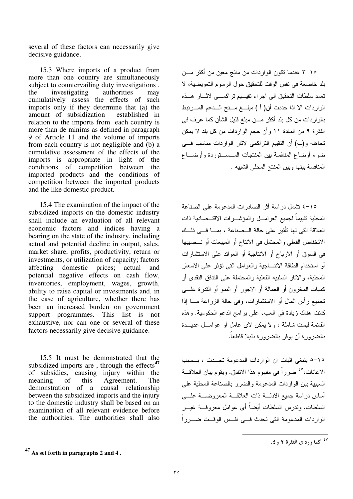several of these factors can necessarily give decisive guidance.

15.3 Where imports of a product from more than one country are simultaneously subject to countervailing duty investigations , the investigating authorities may cumulatively assess the effects of such imports only if they determine that (a) the amount of subsidization established in relation to the imports from each country is more than de minims as defined in paragraph 9 of Article 11 and the volume of imports from each country is not negligible and (b) a cumulative assessment of the effects of the imports is appropriate in light of the conditions of competition between the imported products and the conditions of competition between the imported products and the like domestic product.

15.4 The examination of the impact of the subsidized imports on the domestic industry shall include an evaluation of all relevant economic factors and indices having a bearing on the state of the industry, including actual and potential decline in output, sales, market share, profits, productivity, return or investments, or utilization of capacity; factors affecting domestic prices; actual and potential negative effects on cash flow, inventories, employment, wages, growth, ability to raise capital or investments and, in the case of agriculture, whether there has been an increased burden on government support programmes. This list is not exhaustive, nor can one or several of these factors necessarily give decisive guidance.

15.5 It must be demonstrated that the subsidized imports are , through the effects**<sup>47</sup>** of subsidies, causing injury within the meaning of this Agreement. The demonstration of a causal relationship between the subsidized imports and the injury to the domestic industry shall be based on an examination of all relevant evidence before the authorities. The authorities shall also ١٥–٣ عندما نكون الواردات من منتج معين من أكثر مـــن بلد خاضعة في نفس الوقت للتحقيق حول الرسوم التعويضية، لا نعمد سلطات النحقيق الى اجراء نقيـــيم نراكمــــي لاثـــار هـــذه الواردات الا اذا حددت أن( أ ) مبلغ مـــنح الـــدعم المــــرتبط بالواردات من كل بلد أكثر مـــن مبلغ قليل الشأن كما عرف في الفقرة ۹ من المادة ۱۱ وأن حجم الواردات من كل بلد لا يمكن تجاهله و(ب) أن النقييم النراكمي لاثار الواردات مناسب فـــي ضوء أوضاع المنافسة بين المنتجات المـــســـتوردة وأوضــــاع المنافسة بينها وبين المنتج المحلي الشبيه .

10-2 نشمل در اسة أثر الصادرات المدعومة على الصناعة المحلية نقييما لجميع العوامـــل والمؤشــــرات الاقتـــصـادية ذات العلاقة التي لها تأثير على حالة الــصناعة ، بمــا فـــ ذلــك الانخفاض الفعلي والمحتمل في الانتاج أو المبيعات أو نــصيبها في السوق أو الارباح أو الانتاجية أو العوائد على الاستثمارات أو استخدام الطاقة الانتـــاجية والـعوامل التـي نؤثر علـي الاسعار المحلبة، والإثار السليبه الفعلبة والمحتملة على الندفق النقدى أو كميات المخزون أو العمالة أو الاجور أو النمو أو القدرة علــــي نجميع رأس المال أو الاستثمارات، وفي حالة الزراعة مـــا إذا كانت هناك زيادة في العبء على برامج الدعم الحكومية. وهذه القائمة ليست شاملة ، ولا يمكن لاى عامل أو عوامـــل عديـــدة بالضرورة أن بوفر بالضرور ة دليلا قاطعاً.

0-10 ينبغي اثبات ان الواردات المدعومة تحــدث ، بــسبب الاعانات،<sup>٤٧</sup> ضرراً في مفهوم هذا الاتفاق. ويقوم بيان العلاقـــة السببية بين الواردات المدعومة والضرر بالصناعة المحلية على أساس در اسة جميع الادلــــة ذات العلاقــــة المعروضــــة علــــي السلطات. وندرس السلطات أيضاً أي عوامل معروفة غيـــر الواردات المدعومة التي تحدث فـــي نفــس الوقــت ضـــرراً

 $\overline{a}$ 

<sup>&</sup>lt;sup>٤٧</sup> كما ورد في الفقرة ٢ و ٤ .

**<sup>47</sup> As set forth in paragraphs 2 and 4 .**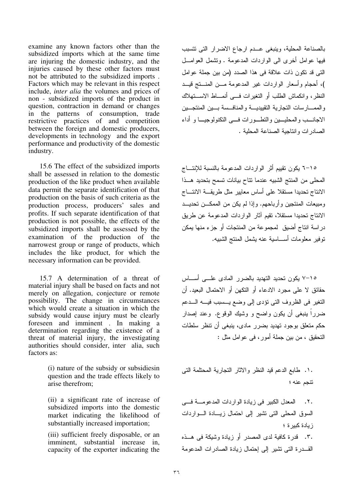examine any known factors other than the subsidized imports which at the same time are injuring the domestic industry, and the injuries caused by these other factors must not be attributed to the subsidized imports. Factors which may be relevant in this respect include, *inter alia* the volumes and prices of non - subsidized imports of the product in question, contraction in demand or changes in the patterns of consumption, trade restrictive practices of and competition between the foreign and domestic producers, developments in technology and the export performance and productivity of the domestic industry.

15.6 The effect of the subsidized imports shall be assessed in relation to the domestic production of the like product when available data permit the separate identification of that production on the basis of such criteria as the production process, producers' sales and profits. If such separate identification of that production is not possible, the effects of the subsidized imports shall be assessed by the examination of the production of the narrowest group or range of products, which includes the like product, for which the necessary information can be provided.

15.7 A determination of a threat of material injury shall be based on facts and not merely on allegation, conjecture or remote possibility. The change in circumstances which would create a situation in which the subsidy would cause injury must be clearly foreseen and imminent . In making a determination regarding the existence of a threat of material injury, the investigating authorities should consider, inter alia, such factors as:

> (i) nature of the subsidy or subsidiesin question and the trade effects likely to arise therefrom:

> (ii) a significant rate of increase of subsidized imports into the domestic market indicating the likelihood of substantially increased importation;

> (iii) sufficient freely disposable, or an imminent, substantial increase in, capacity of the exporter indicating the

بالصناعة المحلية، وينبغي عـدم ارجاع الاضرار التي نتسبب فيها عوامل أخرى الى الواردات المدعومة . وتشمل العوامـــل التي قد نكون ذات علاقة في هذا الصدد (من بين جملة عوامل )، أحجام وأسعار الواردات غير المدعومة مـــن المنـــتج قيـــد النظر، وانكماش الطلب أو التغيرات فـــى أنمــــاط الاســـتهلاك والممسار سات التجارية التقبيديسة والمنافسية بسين المنتجسين الإجانــب والمحليـــين والنطـــورات فــــ النكنولوجيـــا و أداء الصادر ات وانتاجية الصناعة المحلية .

1-10 يكون نقييم أثر الواردات المدعومة بالنسبة للإنتـــاج المحلي من المنتج الشبيه عندما نتاح بيانات تسمح بتحديد هــذا الانتاج تحديدا مستقلا على أساس معابير مثل طريقة الانتساج ومبيعات المنتجين وأرباحهم. وإذا لم يكن من الممكـــن تحديـــد الانتاج تحديدا مستقلا، تقيم أثار الواردات المدعومة عن طريق دراسة انتاج أضيق لمجموعة من المنتجات أو جزء منها بمكن نوفير معلومات أســـاسية عنه يشمل المنتج الشبيه.

١٥-٧ يكون تحديد التهديد بالضرر المادى علـــ أســاس حقائق لا على مجرد الادعاء أو النكهن أو الاحتمال البعيد. أن النغير في الظروف التي نؤدي إلى وضع بـــسبب فيــــه الــــدعم ضرراً بِنبغي أن بكون واضح و وشَيْك الوقوع. وعند إصدار حكم منعلق بوجود تهديد بضرر مادى، ينبغي أن نتظر سلطات النحقيق ، من بين جملة أمور ، في عوامل مثل :

.١. طابع الدعم قبد النظر والاثار النجارية المحتلمة التي نتجم عنه ؛

٢٠. المعدل الكبير في زيادة الواردات المدعومة في السوق المحلي التي تشير إلى احتمال زيسادة السواردات زيادة كبيرة؛ ٣٠. قدرة كافية لدى المصدر أو زيادة وشيكة في هــذه القــدرة التي تشير إلى إحتمال زيادة الصادرات المدعومة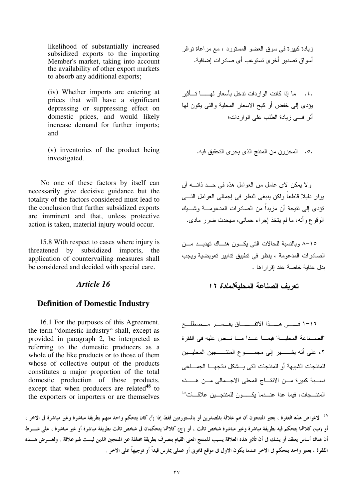likelihood of substantially increased subsidized exports to the importing Member's market, taking into account the availability of other export markets to absorb any additional exports;

(iv) Whether imports are entering at prices that will have a significant depressing or suppressing effect on domestic prices, and would likely increase demand for further imports; and

 $(v)$  inventories of the product being investigated.

 No one of these factors by itself can necessarily give decisive guidance but the totality of the factors considered must lead to the conclusion that further subsidized exports are imminent and that, unless protective action is taken, material injury would occur.

15.8 With respect to cases where injury is threatened by subsidized imports, the application of countervailing measures shall be considered and decided with special care.

#### **Definition of Domestic Industry**

16.1 For the purposes of this Agreement, the term "domestic industry" shall, except as provided in paragraph 2, be interpreted as referring to the domestic producers as a whole of the like products or to those of them whose of collective output of the products constitutes a major proportion of the total domestic production of those products, except that when producers are related<sup>48</sup> to the exporters or importers or are themselves زيادة كبير ة في سوق العضو المستورد ، مع مراعاة توافر أسو اق تصدير ِ أخر ي تستو عب أي صادر ات إضافية.

.٤. ما إذا كانت الواردات ندخل بأسعار لمهــــــا تـــأثير بؤدي إلى خفض أو كبح الاسعار المحلية والتي يكون لها أثر فسي زيادة الطلب على الواردات؛

.0. المخزون من المنتج الذي يجرى التحقيق فيه.

ولا يمكن لاى عامل من العوامل هذه في حــد ذاتـــه أن يوفر دليلا قاطعا ولكن ينبغي النظر في إجمالي العوامل التسبي تؤدى إلى نتيجة أن مزيدا من الصادرات المدعومــــة وشــــيك الوقوع وأنه، ما لم يتخذ إجراء حمائي، سيحدث ضرر مادي.

١٥-٨ وبالنسبة للحالات التي يكـــون هنـــاك تهديـــد مـــن الصادرات المدعومة ، ينظر في نطبيق ندابير نعويضية ويجب بذل عنابة خاصبة عند اقر ار اها .

\$  & &< *Article 16*

 7-?I3- -&- --- -- +--, -[ "الصبيناعة المحلية" فيما عبدا منا نبص عليه في الفقرة %-?\$ % --( E -- + --/ O( +?
 < للمنتجات الشبيهة أو للمنتجات التي يـــشكل ناتجهــــا الجمـــــاعي نســبة كبيرة مــن الانتــاج المحلي الاجــمالي مــن هــــذه المنتـــجات، فيمـا عدا عنــــدما يكـــــــون للمنتجـــين علاقــــات<sup>^</sup>

 $\overline{a}$ 

<sup>&</sup>lt;sup>44</sup> لاغراض هذه الفقرة ، يعتبر المنتجون أن لهم علاقة بالمصدرين أو بالمستوردين فقط إذا (أ) كان يتحكم واحد منهم بطريقة مباشرة وغير مباشرة فى الاخر ، أو (ب) كلاهما يتحكم فيه بطريقة مباشرة وغير مباشرة شخص ثالث ، أو (ج) كلاهما يتحكمان فى شخص ثالث بطريقة مباشرة أو غير مباشرة ، على شــــرط أن هناك أساس يعتقد أو يشك في أن تأثير هذه العلاقة يسبب للمنتج المعنى القيام بتصرف بطريقة مختلفة عن المنتجين الذين ليست لهم علاقة . ولغـــرض هـــذه الفقرة ، يعتبر واحد يتحكم في الاخر عندما يكون الاول في موقع قانوني أو عملي يمارس قيداً أو توجيهاً على الاخر .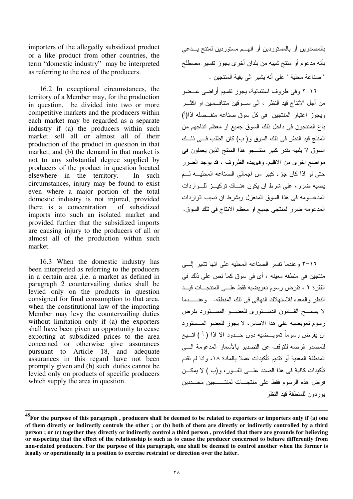importers of the allegedly subsidized product or a like product from other countries, the term "domestic industry" may be interpreted as referring to the rest of the producers.

16.2 In exceptional circumstances, the territory of a Member may, for the production in question, be divided into two or more competitive markets and the producers within each market may be regarded as a separate industry if (a) the producers within such market sell all or almost all of their production of the product in question in that market, and (b) the demand in that market is not to any substantial degree supplied by producers of the product in question located elsewhere in the territory. In such circumstances, injury may be found to exist even where a major portion of the total domestic industry is not injured, provided there is a concentration of subsidized imports into such an isolated market and provided further that the subsidized imports are causing injury to the producers of all or almost all of the production within such market.

16.3 When the domestic industry has been interpreted as referring to the producers in a certain area ,i.e. a market as defined in paragraph 2 countervailing duties shall be levied only on the products in question consigned for final consumption to that area. when the constitutional law of the importing Member may levy the countervailing duties without limitation only if (a) the exporters shall have been given an opportunity to cease exporting at subsidized prices to the area concerned or otherwise give assurances pursuant to Article 18, and adequate assurances in this regard have not been promptly given and (b) such duties cannot be levied only on products of specific producers which supply the area in question.

-

بالمصدر بن أو بالمسنور دين أو انهـــم مسنور دين لمنتج بـــدعى بأنه مدعوم أو منتج شبيه من بلدان أخرى يجوز نفسير مصطلح " صناعة محلية " على أنه يشير الى بقية المنتجين .

1٦–٢ وفي ظروف استثنائية، يجوز نقسيم أراضـي عــضو من أجل الانتاج قيد النظر ، الى ســـوقين متنافـــسين او اكثـــر ويجوز اعتبار المنتجين في كل سوق صناعه منفــصله اذا(أ) باع المنتجون في داخل ذلك السوق جميع او معظم انتاجهم من المنتج قيد النظر في ذلك السوق و(ب) كان الطلب فـــي ذلـــك السوق لا يلبيه بقدر كبير منتــــجو هذا المنتج الذين يعملون في مواضع اخرى من الاقليم. وفىهذه الظروف ، قد بوجد الضرر حتى لو اذا كان جزء كبير من اجمالي الصناعه المحليــــه لــــم بصبه ضرر ، على شرط إن بكون هنساك تركيب ذلله اردات المدعـــومه في هذا السوق المنعزل وبشرط ان تسبب الواردات المدعومه ضرر لمنتجي جميع او معظم الانتاج في تلك السوق.

٢-١٦ وعندما نفس الصناعه المحليه على انها نشير إلـــي منتجين في منطقه معينه ، أي في سوقٍ كما نص على ذلك في الفقرة ٢ ، تفرض رسوم تعويضيه فقط علـــي المنتجـــات قيـــد النظر والمعده للاستهلاك النهائي في نلك المنطقه. وعنــــدما لا يسمـــح القـــانون الدســـنوري للعضـــو المســـنورد بفرض رسوم تعويضيه على هذا الاساس، لا يجوز للعضو المـــستورد ان بفرض رسوماً تعويـــضيه دون حـــدود الا اذا ( أ ) اتـــيح للمصدر فر صـه للتو قف عن التصدير بالأسعار المدعومة الــــى المنطقة المعنية أو تقديم تأكيدات عملا بالمادة ١٨، و اذا لم تقدم تأكيدات كافية في هذا الصدد علـــي الفــور، و(ب ) لا يمكــن فرض هذه الرسوم فقط على منتجـــات لمنتــــــــجين محــــددين بور دون للمنطقة قبد النظر

**<sup>48</sup>For the purpose of this paragraph , producers shall be deemed to be related to exporters or importers only if (a) one of them directly or indirectly controls the other ; or (b) both of them are directly or indirectly controlled by a third person ; or (c) together they directly or indirectly control a third person , provided that there are grounds for believing or suspecting that the effect of the relationship is such as to cause the producer concerned to behave differently from non-related producers. For the purpose of this paragraph, one shall be deemed to control another when the former is legally or operationally in a position to exercise restraint or direction over the latter.**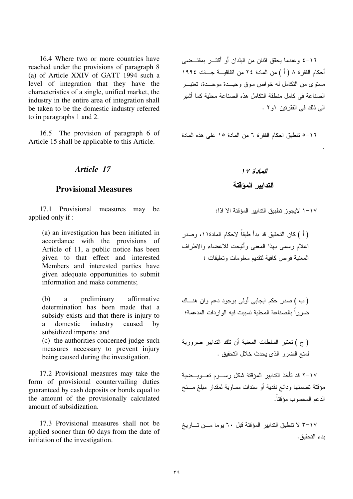16.4 Where two or more countries have reached under the provisions of paragraph 8 (a) of Article XXIV of GATT 1994 such a level of integration that they have the characteristics of a single, unified market, the industry in the entire area of integration shall be taken to be the domestic industry referred to in paragraphs 1 and 2.

16.5 The provision of paragraph 6 of Article 15 shall be applicable to this Article.

*Article 17* 

#### **Provisional Measures**

17.1 Provisional measures may be applied only if :

(a) an investigation has been initiated in accordance with the provisions of Article of 11, a public notice has been given to that effect and interested Members and interested parties have given adequate opportunities to submit information and make comments;

(b) a preliminary affirmative determination has been made that a subsidy exists and that there is injury to a domestic industry caused by subsidized imports; and

(c) the authorities concerned judge such measures necessary to prevent injury being caused during the investigation.

17.2 Provisional measures may take the form of provisional countervailing duties guaranteed by cash deposits or bonds equal to the amount of the provisionally calculated amount of subsidization.

17.3 Provisional measures shall not be applied sooner than 60 days from the date of initiation of the investigation.

1٦-> 5 وعندما يحقق اثنان من البلدان أو أكثـــر بمقتـــضـي أحكام الفقرة ٨ ( أ ) من المادة ٢٤ من اتفاقيــــة جــــات ١٩٩٤ مستوى من النكامل له خواص سوق وحيـــدة موحـــدة، تعتبـــر الصناعة في كامل منطقة النكامل هذه الصناعة محلبة كما أشبر الے ذلك في الفقر تين ١و ٢ .

0-17 نتطبق احكام الفقرة ٦ من المادة ١٥ على هذه المادة

#### العلاة ١٧

#### التدابير المؤقتة

: 6M I = -]

.

( أ ) كان التحقيق قد بدأ طبقاً لاحكام المادة٤١١ وصدر اعلام رسمي بهذا المعنى وأتبحت للاعضاء والاطراف المعنبة فرص كافية لنقديم معلومات وتعليقات ؛

( ب ) صدر حكم ايجابي أولىي بوجود دعم وان هنـــاك ضر ر اً بالصناعة المحلية تسببت فيه الو ار دات المدعمة؛

( ج ) تعتبر السلطات المعنية أن تلك التدابير ضرورية لمنع الضرر الذي بحدث خلال التحقيق .

+\ 1 قد تأخذ التدابير المؤقتة شكل رســـوم تعـــويـــضية مؤقتة تضمنها ودائع نقدية أو سندات مساوية لمقدار مبلغ مسنح الدعم المحسوب مؤقتاً.

٢٠١٧ لا نتطبق التدابير المؤقتة قبل ٦٠ يوما مـــن تـــاريخ يدء التحقيق.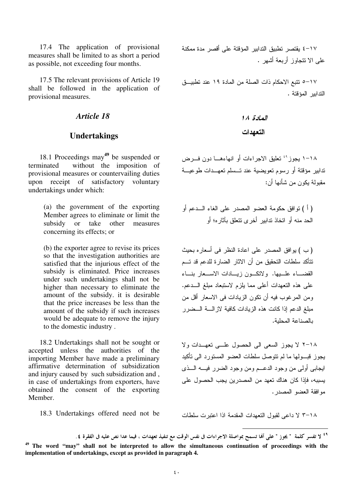17.4 The application of provisional measures shall be limited to as short a period as possible, not exceeding four months.

17.5 The relevant provisions of Article 19 shall be followed in the application of provisional measures.

#### *Article 18*

#### **Undertakings**

18.1 Proceedings may<sup>49</sup> be suspended or terminated without the imposition of provisional measures or countervailing duties upon receipt of satisfactory voluntary undertakings under which:

> (a) the government of the exporting Member agrees to eliminate or limit the subsidy or take other measures concerning its effects; or

> (b) the exporter agree to revise its prices so that the investigation authorities are satisfied that the injurious effect of the subsidy is eliminated. Price increases under such undertakings shall not be higher than necessary to eliminate the amount of the subsidy. it is desirable that the price increases be less than the amount of the subsidy if such increases would be adequate to remove the injury to the domestic industry .

18.2 Undertakings shall not be sought or accepted unless the authorities of the importing Member have made a preliminary affirmative determination of subsidization and injury caused by such subsidization and , in case of undertakings from exporters, have obtained the consent of the exporting Member.

17–٤ يقتصر تطبيق التدابير المؤقتة على أقصر مدة ممكنة على الا نتجاوز أربعة أشهر .

١٧–٥ نتبع الاحكام ذات الصلة من المادة ١٩ عند تطبيــق التدابير المؤقتة .

> المصادة ١٨ التعهدات

١٨-١ يجوزُ أَ نعليق الاجراءات أو انهاءهــا دون فـــرض تدابير مؤقتة أو رسوم تعويضية عند تــسلم تعهــدات طوعيـــة مقبولة بكون من شأنها أن:

( أ ) تو افق حكومة العضو المصدر على الغاء الــدعم أو الحد منه أو اتخاذ تدابير أخرى تتعلق بآثار ه؛ أو

(ب ) يوافق المصدر على اعادة النظر في أسعاره بحيث تتأكد سلطات التحقيق من أن الاثار الضارة للدعم قد تـــم القضـــاء علــبها. ولاتكــون زيـــادات الاســعار بنـــاء علمي هذه النعهدات أعلمي مما يلزم لاستبعاد مبلغ الـــدعم. ومن المرغوب فيه أن تكون الزيادات في الاسعار أقل من مبلغ الدعم إذا كانت هذه الزيادات كافية لاز السة السضرر بالصناعة المحلبة.

+١٨-٢ لا يجوز السعى الى الحصول علـــي تعهــدات ولا يجوز قبـــولـها مـا لـم نتوصل سلطـات الـعضو المستورد الـي تأكيد ايجابـي أولـي من وجود الدعـــم ومن وجود الضرر فيــــه الــــذي يسببه، فإذا كان هناك تعهد من المصدرين يجب الحصول على مو افقة العضو المصدر .

)I?& )
 : ). 4 : +
 @-\_ 18.3 Undertakings offered need not be

 $\overline{a}$ 

<sup>&</sup>lt;sup>49</sup> لا تفسر كلمة " يجوز " على ألها تسمح بمواصلة الاجراءات فى نفس الوقت مع تنفيذ تعهدات ، فيما عدا نص عليه فى الفقرة £ .

**<sup>49</sup>The word "may" shall not be interpreted to allow the simultaneous continuation of proceedings with the implementation of undertakings, except as provided in paragraph 4.**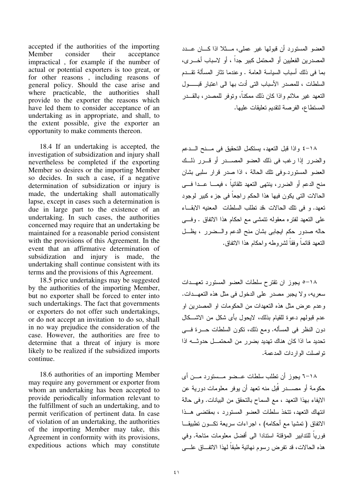accepted if the authorities of the importing Member consider their acceptance impractical, for example if the number of actual or potential exporters is too great, or for other reasons, including reasons of general policy. Should the case arise and where practicable, the authorities shall provide to the exporter the reasons which have led them to consider acceptance of an undertaking as in appropriate, and shall, to the extent possible, give the exporter an opportunity to make comments thereon.

18.4 If an undertaking is accepted, the investigation of subsidization and injury shall nevertheless be completed if the exporting Member so desires or the importing Member so decides. In such a case, if a negative determination of subsidization or injury is made, the undertaking shall automatically lapse, except in cases such a determination is due in large part to the existence of an undertaking. In such cases, the authorities concerned may require that an undertaking be maintained for a reasonable period consistent with the provisions of this Agreement. In the event that an affirmative determination of subsidization and injury is made, the undertaking shall continue consistent with its terms and the provisions of this Agreement.

18.5 price undertakings may be suggested by the authorities of the importing Member, but no exporter shall be forced to enter into such undertakings. The fact that governments or exporters do not offer such undertakings, or do not accept an invitation to do so, shall in no way prejudice the consideration of the case. However, the authorities are free to determine that a threat of injury is more likely to be realized if the subsidized imports continue.

18.6 authorities of an importing Member may require any government or exporter from whom an undertaking has been accepted to provide periodically information relevant to the fulfillment of such an undertaking, and to permit verification of pertinent data. In case of violation of an undertaking, the authorities of the importing Member may take, this Agreement in conformity with its provisions, expeditious actions which may constitute العضو المستورد أن قبولها غير عملي، مــثلا اذا كـــان عــدد المصدر بن الفعليين أو المحتمل كبير جداً ، أو لاسباب أخـــر ي، .<br>بما في ذلك أسباب السياسة العامة . و عندما نثار المسألة تقــدم السلطات ، للمصدر الأسباب التي أدت بها الى اعتبار فبــــول النعهد غير ملائم واذا كان ذلك ممكناً، وتوفر للمصدر ، بالقـــدر المستطاع، الفرصة لتقديم تعليقات عليها.

١٨-٤ وإذا قبل التعهد، يستكمل التحقيق في مــنح الــدعم والضرر إذا رغب في ذلك العضو المصــدر أو قــرر ذلــك العضو المستورد.وفي تلك الحالة ، اذا صدر قرار سلبي بشان منح الدعم أو الضرر، ينتهي النعهد تلقائياً ، فيمـــا عـــدا فـــي الحالات التي يكون فيها هذا الحكم راجعاً في جزء كبير لوجود تعهد. و في تلك الحالات ،قد تطلب السلطات المعنيه الإيقاء على التعهد لفترٍ ه معقوله نتمشى مع احكام هذا الاتفاق . وفيي حاله صدور حكم ايجابي بشان منح الدعم والــضرر ، يظــل النَّعهد قائماً وفقاً لشر وطه و احكام هذا الاتفاق.

٥-١٨ بجوز ان نقترح سلطات العضو المستورد تعهـدات سعريه، ولا يجبر مصدر على الدخول في مثل هذه النعهــدات. و عدم عر ض مثل هذه النعهدات من الحكومات او المصدر بن او عدم قبولهم دعوة للقيام بذلك، لايحول بأى شكل من الاشـــكال دون النظر في المسأله. ومع ذلك، نكون السلطات حـــرة فـــي تحديد ما اذا كان هناك تهديد بضر ر من المحتمـــل حدو ثــــه اذا نواصلت الواردات المدعمة.

٦-١٨ يجوز أن تطلب سلطات عــضو مــستورد مـــن أي الإيفاء بهذا النعهد ، مع السماح بالنحقق من البيانات. وفي حالة انتهاك التعهد، تتخذ سلطات العضو المستورد ، بمقتضى هــذا الاتفاق ( تمشيا مع أحكامه) ، اجراءات سريعة تكــون تطبيقــا فورياً للندابير المؤقتة استنادا الى أفضل معلومات متاحة. وفي هذه الحالات، قد تفرض رسوم نهائية طبقاً لهذا الانفــاق علــــى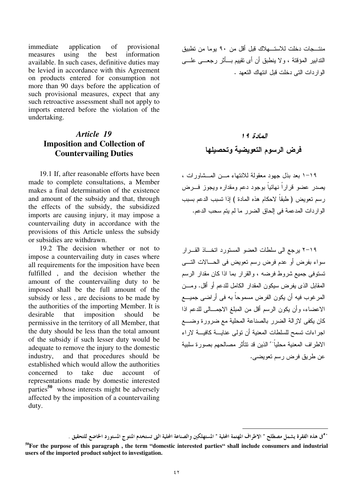immediate application of provisional measures using the best information available. In such cases, definitive duties may be levied in accordance with this Agreement on products entered for consumption not more than 90 days before the application of such provisional measures, expect that any such retroactive assessment shall not apply to imports entered before the violation of the undertaking.

# *Article 19* **Imposition and Collection of Countervailing Duties**

19.1 If, after reasonable efforts have been made to complete consultations, a Member makes a final determination of the existence and amount of the subsidy and that, through the effects of the subsidy, the subsidized imports are causing injury, it may impose a countervailing duty in accordance with the provisions of this Article unless the subsidy or subsidies are withdrawn.

19.2 The decision whether or not to impose a countervailing duty in cases where all requirements for the imposition have been fulfilled , and the decision whether the amount of the countervailing duty to be imposed shall be the full amount of the subsidy or less , are decisions to be made by the authorities of the importing Member. It is desirable that imposition should permissive in the territory of all Member, that the duty should be less than the total amount of the subsidy if such lesser duty would be adequate to remove the injury to the domestic industry, and that procedures should be established which would allow the authorities concerned to take due account of representations made by domestic interested parties<sup>50</sup> whose interests might be adversely affected by the imposition of a countervailing duty.

منتـــــجات دخلت لـلاستـــــهلاك قبل أقل من ٩٠ يوما من تطبيق الندابير المؤقتة ، ولا ينطبق أن أى نقييم بــــأثر رجعــــي علــــي الو ار دات التي دخلت قبل انتهاك التعهد .

# المعادة ١٩ فرض الرسوم التعويضية وتحصيلها

1-۱۹ بعد بذل جهود معقولة للانتهاء مـــن المـــشاورات ، يصدر عضو قرارا نهائيا بوجود دعم ومقداره ويجوز فسرض رسم تعويض ( طبقاً لاحكام هذه المادة ) إذا تسبب الدعم بسبب الو ار دات المدعمة في الحاق الضر ر ما لم بتم سحب الدعم.

٢-١٩ يرجع الى سلطات العضو المستورد اتخـــاذ القـــرار سواء بفرض أو عدم فرض رسم تعويض في الحـــالات التــــي نستوفي جميع شروط فرضه ، والقرار بما اذا كان مقدار الرسم المقابل الذي يفرض سيكون المقدار الكامل للدعم أو أقل. ومـــن المرغوب فيه أن يكون الفرض مسموحا به في أراضي جميـــع الاعضاء، وأن يكون الرسم أقل من المبلغ الاجمـــالـي للدعم اذا كان بكفي لاز الة الضرر بالصناعة المحلية مع ضرورة وضـــع اجراءات تسمح للسلطات المعنية أن تولى عنايـــــة كافيــــة لاراء الإطر اف المعنية مجلياً<sup>. •</sup> الذين قد تتأثر مصبالجهم بصور ة سلبية عن طريق فرض رسم تعويضي.

 $\overline{a}$ 

<sup>. °</sup>في هذه الفقرة يشمل مصطلح " الاطراف المهتمة المحلية " المستهلكين والصناعة المحلية التي تستخدم المنتوج المستورد الخاضع للتحقيق .

**<sup>50</sup>For the purpose of this paragraph , the term "domestic interested parties" shall include consumers and industrial users of the imported product subject to investigation.**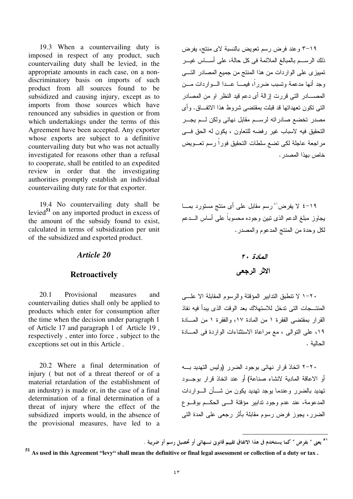19.3 When a countervailing duty is imposed in respect of any product, such countervailing duty shall be levied, in the appropriate amounts in each case, on a nondiscriminatory basis on imports of such product from all sources found to be subsidized and causing injury, except as to imports from those sources which have renounced any subsidies in question or from which undertakings under the terms of this Agreement have been accepted. Any exporter whose exports are subject to a definitive countervailing duty but who was not actually investigated for reasons other than a refusal to cooperate, shall be entitled to an expedited review in order that the investigating authorities promptly establish an individual countervailing duty rate for that exporter.

19.4 No countervailing duty shall be levied**<sup>51</sup>** on any imported product in excess of the amount of the subsidy found to exist, calculated in terms of subsidization per unit of the subsidized and exported product.

*Article 20*

# 1۹–۳ وعند فرض رسم نعويض بالنسبة لاي منتج، يفرض ذلك الرســم بالمبالغ الملائمة في كل حالة، على أســـاس غيـــر نمييزي على الواردات من هذا المنتج من جميع المصادر التسي وجد أنها مدعمة وتسبب ضررا، فيمـــا عـــدا الـــواردات مـــن المصــــادر التي قررت إزالة أي دعم قيد النظر او من المصـادر التي تكون تعهداتها قد قبلت بمقتضى شروط هذا الاتفاق. وأي مصدر تخضع صادراته لرســم مقابل نهائـي ولكن لـــم يجـــر التحقيق فيه لاسباب غير رفضه للتعاون ، يكون له الحق فـــى مراجعة عاجلة لكي تضع سلطات التحقيق فورا رسم تعـــويض خاص بهذا المصدر .

۱۹–٤ لا یفرض<sup>، د</sup>رسم مقابل علی أی منتج مستورد بمـــا يجاوز مبلغ الدعم الذي نبين وجوده محسوبا علىي أساس السدعم لكل وحدة من المنتج المدعوم والمصدر .

 .  4 )\*

+٢-١ لا نتطبق الندابير المؤقتة والرسوم المقابلة الا علـــي المنتــــجات التـي تدخل للاستهلاك بـعد الوقت الذي يبدأ فيه نفاذ القرار بمقتضى الفقرة ١ من المادة ١٧، والفقرة ١ من المسادة ١٩، على التوالي ، مع مراعاة الاستثناءات الواردة في المسادة الحالبة .

۲۰–۲ اتخاذ قرار نهائي بوجود الضرر (وليس التهديد بـــه أو الاعاقة المادية لانشاء صناعة) أو عند اتخاذ قرار بوجـــود تهديد بالضرر وعندما بوجد تهديد يكون من شــــأن الــــواردات المدعومة، عند عدم وجود ندابير مؤقتة الـــي الحكـــم بوقـــو ع الضرر، يجوز فرض رسوم مقابلة بأثر رجعي على المدة التي

 $\overline{a}$ 

# **Retroactively**

20.1 Provisional measures and countervailing duties shall only be applied to products which enter for consumption after the time when the decision under paragraph 1 of Article 17 and paragraph 1 of Article 19 , respectively , enter into force , subject to the exceptions set out in this Article .

20.2 Where a final determination of injury ( but not of a threat thereof or of a material retardation of the establishment of an industry) is made or, in the case of a final determination of a final determination of a threat of injury where the effect of the subsidized imports would, in the absence of the provisional measures, have led to a

<sup>``</sup> يعني " بفرض " كما يستخدم في هذا الاتفاق تقييم قانوني نـــهائي أو تحصيل رسم أو ضريبة .

**<sup>51</sup> As used in this Agreement "levy" shall mean the definitive or final legal assessment or collection of a duty or tax .**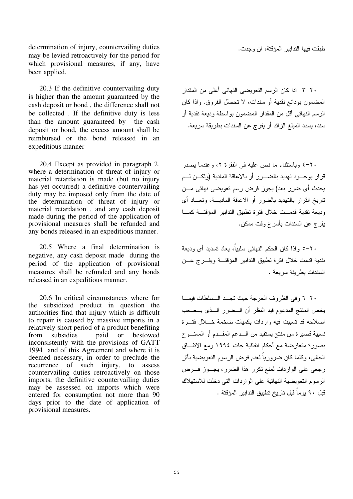determination of injury, countervailing duties may be levied retroactively for the period for which provisional measures, if any, have been applied.

20.3 If the definitive countervailing duty is higher than the amount guaranteed by the cash deposit or bond , the difference shall not be collected . If the definitive duty is less than the amount guaranteed by the cash deposit or bond, the excess amount shall be reimbursed or the bond released in an expeditious manner

20.4 Except as provided in paragraph 2, where a determination of threat of injury or material retardation is made (but no injury has yet occurred) a definitive countervailing duty may be imposed only from the date of the determination of threat of injury or material retardation , and any cash deposit made during the period of the application of provisional measures shall be refunded and any bonds released in an expeditious manner.

20.5 Where a final determination is negative, any cash deposit made during the period of the application of provisional measures shall be refunded and any bonds released in an expeditious manner.

20.6 In critical circumstances where for the subsidized product in question the authorities find that injury which is difficult to repair is caused by massive imports in a relatively short period of a product benefiting<br>from subsidies paid or bestowed from subsidies paid or bestowed inconsistently with the provisions of GATT 1994 and of this Agreement and where it is deemed necessary, in order to preclude the recurrence of such injury, to assess countervailing duties retroactively on those imports, the definitive countervailing duties may be assessed on imports which were entered for consumption not more than 90 days prior to the date of application of provisional measures.

طبقت فيها الندابير المؤقتة، ان وجدت.

۲۰–۳٪ اذا كان الرسم التعويضيي النهائي أعلى من المقدار المضمون بودائع نقدية أو سندات، لا تحصل الفروق. وإذا كان الرسم النهائي أقل من المقدار المضمون بو اسطة وديعة نقدية أو سند، يسدد المبلغ الزائد أو يفرج عن السندات بطريقة سريعة.

+٢-٤ وباستثناء ما نص عليه في الفقرة ٢، وعندما يصدر قرار بوجـــود تـهديد بالضـــــرر أو بـالاعاقة المـادية (ولكـــن لــــم يحدث أي ضرر بعد) يجوز فرض رسم تعويضيي نهائي مـــن تاريخ القرار بالتهديد بالضرر أو الاعاقة الماديسة، وتعساد أي ودبعة نقدبة قدمــت خلال فترة تطبيق التدابير المؤقتــة كمـــا بفر ج عن السندات بأسر ع و قت ممكن.

۲۰–٥ واذا كان الحكم النهائبي سلبيا، يعاد نسديد أي وديعة نقدية قدمت خلال فتر ة تطبيق الندابير المؤقتـــة ويفـــرج عـــن السندات بطر بقة سر بعة .

٢٠-٦ وفي الظروف الحرجة حيث تجـد الــسلطات فيمـــا يخص المنتج المدعوم قيد النظر أن الــضرر الــذى يــصعب اصلاحه قد تسببت فيه واردات بكميات ضخمة خـــلال فتـــرة نسبية قصبر ة من منتج بستفيد من الـــدعم المقـــدم أو الممنـــو ح بصورة متعارضة مع أحكام اتفاقية جات ١٩٩٤ ومع الاتفــاق الحالي، وكلما كان ضرورياً لعدم فرض الرسوم النعويضية بأثر رجعي على الواردات لمنع نكرر هذا الضرر، يجــوز فـــرض الرسوم النعويضية النهائية على الواردات التي دخلت للاستهلاك قبل ٩٠ يو ماً قبل تار يخ تطبيق التدابير المؤقتة .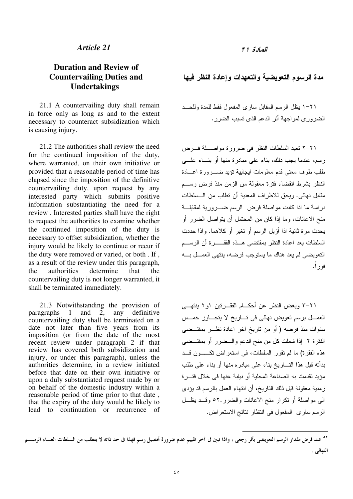#### *Article 21*

# **Duration and Review of Countervailing Duties and Undertakings**

21.1 A countervailing duty shall remain in force only as long as and to the extent necessary to counteract subsidization which is causing injury.

21.2 The authorities shall review the need for the continued imposition of the duty, where warranted, on their own initiative or provided that a reasonable period of time has elapsed since the imposition of the definitive countervailing duty, upon request by any interested party which submits positive information substantiating the need for a review . Interested parties shall have the right to request the authorities to examine whether the continued imposition of the duty is necessary to offset subsidization, whether the injury would be likely to continue or recur if the duty were removed or varied, or both . If , as a result of the review under this paragraph, the authorities determine that the countervailing duty is not longer warranted, it shall be terminated immediately.

21.3 Notwithstanding the provision of paragraphs 1 and 2, any definitive countervailing duty shall be terminated on a date not later than five years from its imposition (or from the date of the most recent review under paragraph 2 if that review has covered both subsidization and injury, or under this paragraph), unless the authorities determine, in a review initiated before that date on their own initiative or upon a duly substantiated request made by or on behalf of the domestic industry within a reasonable period of time prior to that date , that the expiry of the duty would be likely to lead to continuation or recurrence of

#### مدة الرسوم التعويضية والتعهدات وإعادة النظر فيها

٢١–١ يظل الرسم المقابل سارى المفعول فقط للمدة وللحـــد الضرور ى لمواجهة أثر الدعم الذي نسبب الضرر .

٢٦١-٢ تعيد السلطات النظر في ضرورة مواصـــلة فـــرض رسم، عندما يجب ذلك، بناء على مبادرة منها أو بنـــاء علــــي طلب طرف معنى قدم معلومات ايجابية نؤيد ضـــــرورة اعــــادة النظر بشرط انقضاء فترة معقولة من الزمن منذ فرض رســم مقابل نهائي. وبحق للاطر اف المعنية أن تطلب من الــسلطات در اسة ما اذا كانت مو اصلة فرض الرسم ضــــرورية لمقابلـــة منح الاعانات، وما إذا كان من المحتمل أن بتواصل الضر ر أو بحدث مر ة ثانية اذا أز بل الرسم أو تغير أو كلاهما. واذا حددت السلطات بعد اعادة النظر بمقتضى هــذه الفقــــــرة أن الرســـم النعويضي لم يعد هناك ما يستوجب فرضه، ينتهي العمـــل بــــه فورا.

٢٦١–٣ وبغض النظر عن أحكـــام الفقــــرنين ١و ٢ ينتهــــي العمـــل برسم نعويض نهائي في تـــاريخ لا يتجـــاوز خمـــس سنوات منذ فرضه ( أو من تاريخ آخر اعادة نظـــر بمقتـــضي الفقرة ٢ إذا شملت كل من منح الدعم والـــضرر أو بمقتــضي هذه الفقرة) ما لم نقرر السلطات، في استعراض تكـــون قــد بدأته قبل هذا التـــاريخ بناء على مبادره منها أو بناء على طلب مؤيد تقدمت به الصناعة المحلية أو نيابة عنها في خلال فتـــرة زِ مِنية معقولة قبل ذلك التاريخ، أن انتهاء العمل بالرسم قد يؤدي الي مواصلة أو تكرار منح الإعانات والضرر .٥٢ وقــد يظـل الرسم سار ي المفعول في انتظار نتائج الاستعر اض.

 $\overline{a}$ 

<sup>&</sup>lt;sup>0۲</sup> عند فرض مقدار الرسم التعويضي بأثر رجعي ، واذا تبين في آخر تقييم عدم ضرورة تحصيل رسم فهذا في حد ذاته لا يتطلب من السلطات الغـــاء الرســـم النهائي .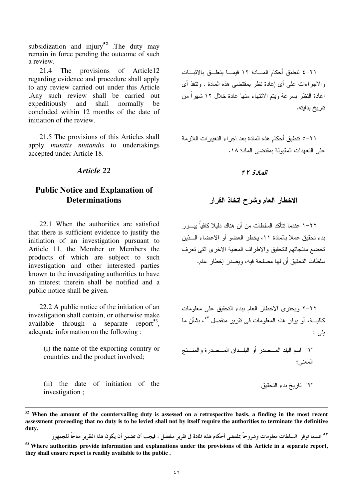subsidization and injury<sup>52</sup> .The duty may remain in force pending the outcome of such a review.

 $21.4$ provisions of Article12 The regarding evidence and procedure shall apply to any review carried out under this Article .Any such review shall be carried out expeditiously and shall normally he concluded within 12 months of the date of initiation of the review.

21.5 The provisions of this Articles shall apply mutatis mutandis to undertakings accepted under Article 18.

#### **Article 22**

# **Public Notice and Explanation of Determinations**

22.1 When the authorities are satisfied that there is sufficient evidence to justify the initiation of an investigation pursuant to Article 11, the Member or Members the products of which are subject to such investigation and other interested parties known to the investigating authorities to have an interest therein shall be notified and a public notice shall be given.

22.2 A public notice of the initiation of an investigation shall contain, or otherwise make available through a separate report<sup>53</sup>, adequate information on the following:

> (i) the name of the exporting country or countries and the product involved;

> (ii) the date of initiation of the investigation;

٢١-٤ نتطبق أحكام المسادة ١٢ فيمــا بتعلــق بالاثبــات والاجراءات على أي إعادة نظر بمقتضى هذه المادة . ونتفذ أي اعادة النظر بسرعة وبتم الانتهاء منها عادة خلال ١٢ شهراً من تاريخ بدايته.

٢١–٥ نتطبق أحكام هذه المادة بعد اجراء التغيير ات اللازمة على التعهدات المقبولة بمقتضى المادة ١٨.

#### $rr \ddot{s}$

# الاخطار العام وشرح اتخاذ القرار

٢٢–١ عندما نتأكد السلطات من أن هناك دلبلا كافياً ببـــر ر بدء تحقيق عملا بالمادة ١١، بخطر العضو أو الاعضاء البذين تخضع منتجاتهم للتحقيق والاطراف المعنية الاخرى التى تعرف سلطات التحقيق أن لما مصلحة فيه، وبصدر اخطار عام.

٢٦-٢ ويحتوى الاخطار العام ببدء التحقيق على معلومات كافيـــة، أو يوفر هذه المعلومات في تقرير منفصل "°، بشأن ما يلې :

"١" اسم البلد المسصدر أو البلــدان المـــصدر ة و المنـــتج المعنى؛

"٢" تاريخ بدء التحقيق

°° عندما توفر السلطات معلومات وشروحاً بمقتضى أحكام هذه المادة فى تقرير منفصل ، فيجب أن تضمن أن يكون هذا التقرير متاحاً للجمهور .

 $52$  When the amount of the countervailing duty is assessed on a retrospective basis, a finding in the most recent assessment proceeding that no duty is to be levied shall not by itself require the authorities to terminate the definitive duty.

<sup>&</sup>lt;sup>53</sup> Where authorities provide information and explanations under the provisions of this Article in a separate report, they shall ensure report is readily available to the public.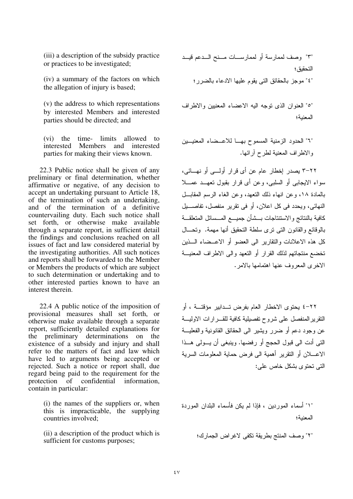(iii) a description of the subsidy practice or practices to be investigated:

(iv) a summary of the factors on which the allegation of injury is based;

(v) the address to which representations by interested Members and interested parties should be directed; and

(vi) the time- limits allowed to interested Members and interested parties for making their views known.

22.3 Public notice shall be given of any preliminary or final determination, whether affirmative or negative, of any decision to accept an undertaking pursuant to Article 18, of the termination of such an undertaking, and of the termination of a definitive countervailing duty. Each such notice shall set forth, or otherwise make available through a separate report, in sufficient detail the findings and conclusions reached on all issues of fact and law considered material by the investigating authorities. All such notices and reports shall be forwarded to the Member or Members the products of which are subject to such determination or undertaking and to other interested parties known to have an interest therein.

22.4 A public notice of the imposition of provisional measures shall set forth, or otherwise make available through a separate report, sufficiently detailed explanations for preliminary determinations on the the existence of a subsidy and injury and shall refer to the matters of fact and law which have led to arguments being accepted or rejected. Such a notice or report shall, due regard being paid to the requirement for the protection of confidential information, contain in particular:

> (i) the names of the suppliers or, when this is impracticable, the supplying countries involved:

> (ii) a description of the product which is sufficient for customs purposes;

"٣" وصف لممارسة أو لممارســات مــنح الــدعم قيــد التحقيق؛ "٤" موجز بالحقائق التي يقوم عليها الادعاء بالضرر؛

"٥" العنوان الذي نوجه اليه الاعضاء المعنيين والاطراف المعنبة؛

"٦" الحدود الزمنية المسموح بهــا للاعــضاء المعنيــبن و الاطر اف المعنية لطرح أرائها.

٢-٢ يصدر إخطار عام عن أي قرار أولـــي أو نهــائي، سواء الايجابي أو السلبي، وعن أي قرار بقبول تعهــد عصــلا بالمادة ١٨، وعن انهاء ذلك النعهد، وعن الغاء الرسم المقابــل النهائي، وبحدد في كل اعلان، أو في تقرير منفصل، تفاصيل كافية بالنتائج والاستتتاجات بسشأن جميسع المسسائل المتعلقسة بالوقائع والقانون التي نرى سلطة التحقيق أنها مهمة. وتحــال كل هذه الاعلانات والنقارير الى العضو أو الاعــضاء الـــذين تخضع منتجاتهم لذلك القرار أو التعهد والى الاطراف المعنيــة الاخر ي المعروف عنها اهتمامها بالامر .

٢٢-٤ يحتوى الاخطار العام بفرض تـدابير مؤقتــة ، أو النقرير المنفصل على شروح تفصيلية كافية للقـــرارات الاوليـــة عن وجود دعم أو ضرر ويشير الى الحقائق القانونية والفعليــة التي أدت الى قبول الحجج أو رفضها. وينبغي أن يــولى هــذا الإعسلان أو النقرير أهمية إلى فرض حماية المعلومات السرية التي تحتوي بشكل خاص على:

"١" أسماء الموردين ، فإذا لم يكن فأسماء البلدان الموردة المعنبة؛

"٢" وصف المنتج بطريقة نكفى لاغراض الجمارك؛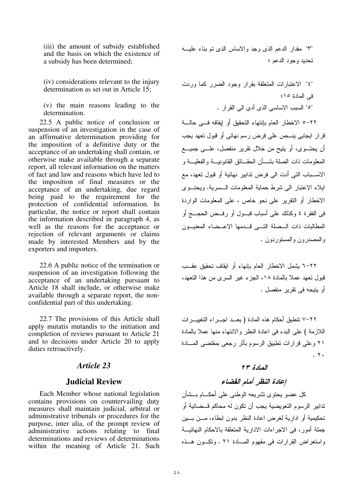(iii) the amount of subsidy established and the basis on which the existence of a subsidy has been determined;

(iv) considerations relevant to the injury determination as set out in Article 15:

(v) the main reasons leading to the determination.

22.5 A public notice of conclusion or suspension of an investigation in the case of an affirmative determination providing for the imposition of a definitive duty or the acceptance of an undertaking shall contain, or otherwise make available through a separate report, all relevant information on the matters of fact and law and reasons which have led to the imposition of final measures or the acceptance of an undertaking, due regard being paid to the requirement for the protection of confidential information. In particular, the notice or report shall contain the information described in paragraph 4, as well as the reasons for the acceptance or rejection of relevant arguments or claims made by interested Members and by the exporters and importers.

22.6 A public notice of the termination or suspension of an investigation following the acceptance of an undertaking pursuant to Article 18 shall include, or otherwise make available through a separate report, the nonconfidential part of this undertaking.

22.7 The provisions of this Article shall apply mutatis mutandis to the initiation and completion of reviews pursuant to Article 21 and to decisions under Article 20 to apply duties retroactively.

#### *Article 23*

#### **Judicial Review**

Each Member whose national legislation contains provisions on countervailing duty measures shall maintain judicial, arbitral or administrative tribunals or procedures for the purpose, inter alia, of the prompt review of administrative actions relating to final determinations and reviews of determinations within the meaning of Article 21. Such "٣" مقدار الدعم الذي وجد والاساس الذي تم بناء عليـــه تحديد وجود الدعم ؛

"٤" الاعتبارات المتعلقة بقرار وجود الضرر كما وردت في المادة ١٥؛ "0" السبب الاساسي الذي أدى الى القر ار .

٢٢–٥ الاخطار العام بإنتهاء التحقيق أو إيقافه فـــي حالــــة قرار ايجابي ينـــص على فرض رسم نهائي أو قبول تعهد يجب أن يحتــــوي، أو يَتيح من خلال نقرير منفصل، علــــي جميــــع المعلومات ذات الصلة بشـــأن الـحقـــائق القانونيـــة والفعليـــة و الاســباب التي أدت الى فرض ندابير نهائية أو قبول تعهد، مع ايلاء الاعتبار الى شرط حماية المعلومات الـــسرية. ويحتـــوى الاخطار أو النقرير على نحو خاص ، على المعلومات الواردة في الفقرة ٤ وكذلك على أسباب قبـــول أو رفـــض الـحجـــج أو المطالبات ذات السصلة التسى قبدمها الاعتضاء المعنيسون والمصدرون والمستوردون .

٢٦–٦ يشمل الاخطار العام بإنهاء أو ايقاف تحقيق عقـــب قبول تعهد عملاً بالمادة ١٨، الجزء غير السرى من هذا النعهد، أو بنبحه في نقربر منفصل .

٢٢–٧ نتطبق أحكام هذه المادة ( بعــد اجـــراء التغييـــرات اللازمة ) على البدء في اعادة النظر والانتهاء منها عملا بالمادة ٢١ وعلى قرارات تطبيق الرسوم بأثر رجعي بمقتضى المسادة  $. 7.$ 

# $rr\ddot{o}$

# إعادة النظر أمام القضاء

كل عضو يحتوى تشريعه الوطني على أحكـــام بـــشأن تدابير الرسوم النعويضية يجب أن نكون له محاكم قـــضائية أو تحكيمية أو ادارية لغرض اعادة النظر بدون ابطاء، مـــن بـــين جملة أمور، في الاجراءات الادارية المتعلقة بالاحكام النهائيـــة واستعراض القرارات في مفهوم المسادة ٢١ . وتكبون هـذه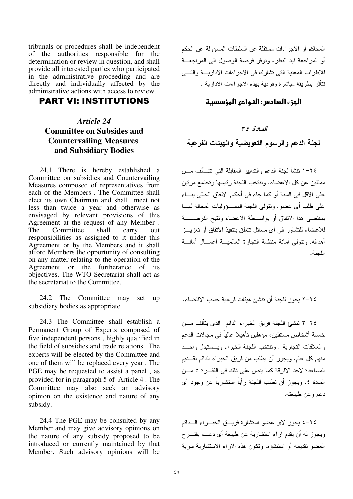tribunals or procedures shall be independent of the authorities responsible for the determination or review in question, and shall provide all interested parties who participated in the administrative proceeding and are directly and individually affected by the administrative actions with access to review.

### **PART VI: INSTITUTIONS**

# Article 24 **Committee on Subsides and Countervailing Measures** and Subsidiary Bodies

24.1 There is hereby established a Committee on subsidies and Countervailing Measures composed of representatives from each of the Members. The Committee shall elect its own Chairman and shall meet not less than twice a year and otherwise as envisaged by relevant provisions of this Agreement at the request of any Member. The Committee shall carry out responsibilities as assigned to it under this Agreement or by the Members and it shall afford Members the opportunity of consulting on any matter relating to the operation of the Agreement or the furtherance of its objectives. The WTO Secretariat shall act as the secretariat to the Committee.

24.2 The Committee may set  $\mathbf{u}\mathbf{p}$ subsidiary bodies as appropriate.

24.3 The Committee shall establish a Permanent Group of Experts composed of five independent persons, highly qualified in the field of subsidies and trade relations. The experts will be elected by the Committee and one of them will be replaced every year. The PGE may be requested to assist a panel, as provided for in paragraph 5 of Article 4. The Committee may also seek an advisory opinion on the existence and nature of any subsidy.

24.4 The PGE may be consulted by any Member and may give advisory opinions on the nature of any subsidy proposed to be introduced or currently maintained by that Member. Such advisory opinions will be المحاكم أو الإجر اءات مستقلة عن السلطات المسؤولة عن الحكم أو المر اجعة قيد النظر ، وتوفر فرصة الوصول الى المراجعة للاطر اف المعنية التي تشارك في الاجر إءات الادار يسة والتسي نتأثَّل بطريقة مباشرة وفردية بهذه الاجراءات الادارية .

#### الجزء السادس: النـواحي المؤسسية

# $r \epsilon$   $\delta$  $1$

لجنة الدعم والرسوم التعويضية والهيئات الفرعية

٢٤–١ نتشأ لجنة الدعم والندابير المقابلة التي نتسألف مسن ممثلين عن كل الاعضاء. وتتنخب اللجنة رئيسها وتجتمع مرتين على الاقل في السنة أو كما جاء في أحكام الاتفاق الحالي بنساء على طلب أي عضو . وتتولى اللجنة المسؤوليات المحالة لهـا بمقتضى هذا الاتفاق أو بواســطة الاعضاء ونتيح الفرصـــــة للاعضاء للتشاور في أي مسائل تتعلق بتنفيذ الاتفاق أو تعزيــز أهدافه. وتتولى أمانة منظمة التجارة العالمبسة أعمسال أمانسة اللجنة.

٢-٢ يجوز للجنة أن تتشئ هبئات فر عبة حسب الاقتضاء.

٢-٢ تتشيئ اللجنة فريق الخبراء الدائم الذي يتألف مـــن خمسة أشخاص مستقلين، مؤ هلين تأهيلا عالياً في مجالات الدعم والعلاقات التجارية . وتتتخب اللجنة الخبر اء ويسستبدل واحــد منهم كل عام. ويجوز أن يطلب من فريق الخبراء الدائم تقــديم المساعدة لاحد الافرقة كما ينص على ذلك في الفقـــرة ٥ مـــن المادة ٤. ويجوز أن تطلب اللجنة رأياً استشارياً عن وجود أي دعم و عن طبيعته.

٢٤-٤ يجوز لاى عضو استثنارة فريت الخبـــراء الــــدائم ويجوز له أن يقدم آراء استشارية عن طبيعة أي دعــم يقتـــرح العضو تقديمه أو استبقاؤه. وتكون هذه الاراء الاستشارية سرية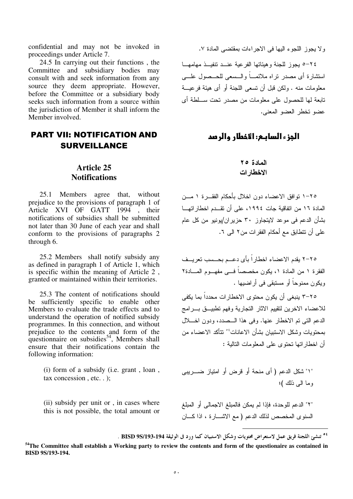confidential and may not be invoked in proceedings under Article 7.

24.5 In carrying out their functions, the Committee and subsidiary bodies may consult with and seek information from any source they deem appropriate. However, before the Committee or a subsidiary body seeks such information from a source within the jurisdiction of Member it shall inform the Member involved

# **PART VII: NOTIFICATION AND SURVEILLANCE**

#### **Article 25 Notifications**

25.1 Members agree that, without prejudice to the provisions of paragraph 1 of 1994, their Article XVI OF GATT notifications of subsidies shall be submitted not later than 30 June of each year and shall conform to the provisions of paragraphs 2 through 6.

25.2 Members shall notify subsidy any as defined in paragraph 1 of Article 1, which is specific within the meaning of Article 2, granted or maintained within their territories.

25.3 The content of notifications should be sufficiently specific to enable other Members to evaluate the trade effects and to understand the operation of notified subsidy programmes. In this connection, and without prejudice to the contents and form of the<br>questionnaire on subsidies<sup>54</sup>, Members shall ensure that their notifications contain the following information:

> (i) form of a subsidy (i.e. grant, loan,  $tax$  concession, etc..);

> (ii) subsidy per unit or, in cases where this is not possible, the total amount or

و لا يجوز اللجوء البها في الإجر اءات بمقتضى المادة ٧.

٢٤-٥ يجوز للجنة وهيئاتها الفرعية عنب نتفيذ مهامهيا استشارة أي مصدر نراه ملائمــاً والــسعى للحــصول علـــى معلومات منه . ولكن قبل أن تسعى اللحنة أو أي هيئة فر عبـــة تابعة لها للحصول على معلومات من مصدر تحت ســـلطة أي عضو تخطر العضو المعنى.

# الجزء السابع: الأخطار والرصد

# المادة ٢٥ الاخطار ات

٢٥–١ نوافق الاعضاء دون اخلال بأحكام الفقـــرة ١ مـــن المادة ١٦ من اتفاقية جات ١٩٩٤، على أن تقــدم اخطار اتهــا بشأن الدعم في موعد لايتجاوز ٣٠ حزير ان/يونيو من كل عام على أن تتطابق مع أحكام الفقر ات من ٢ الى ٦.

٢-٢ بقدم الاعضاء اخطار اً يأى دعــم بحــسب تعريبــف الفقرة ١ من المادة ١، يكون مخصصاً فــي مفهــوم المـــادة٢ ويكون ممنوجاً أو مستبقى في أراضيها .

٢٥-٣ بنبغي أن بكون محتوى الإخطار ات محدداً بما بكفي للاعضاء الاخرين لنقييم الاثار التجارية وفهم تطبيق بسرامج الدعم التي تم الاخطار عنها. وفي هذا الــصدد، ودون اخــــلال بمحتويات وشكل الاستيبان بشأن الإعانات<sup>، م</sup> تتأكد الاعضاء من أن اخطار اتها تحتوى على المعلومات التالية :

"١" شكل الدعم ( أي منحة أو قرض أو امتياز ضــــريبي وما البي ذلك )؛

"٢" الدعم للوحدة، فإذا لم يمكن فالمبلغ الاجمالي أو المبلغ السنوي المخصص لذلك الدعم ( مع الاشـــارة ، اذا كـــان

<sup>04</sup> تنشئ اللجنة فريق عمل لاستعراض محتويات وشكل الاستبيان كما ورد في الوثيقة BISD 9S/193-194 .

<sup>54</sup>The Committee shall establish a Working party to review the contents and form of the questionaire as contained in **RISD 9S/193-194.**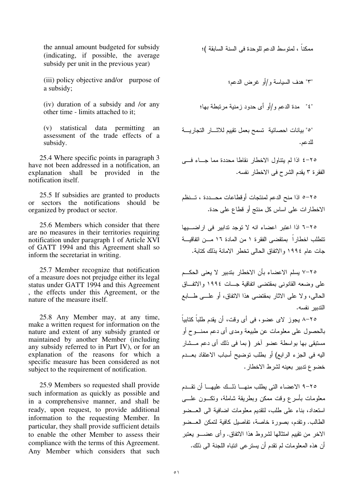the annual amount budgeted for subsidy (indicating, if possible, the average subsidy per unit in the previous year)

(iii) policy objective and/or purpose of a subsidy:

(iv) duration of a subsidy and /or any other time - limits attached to it:

(v) statistical data permitting an assessment of the trade effects of a subsidy.

25.4 Where specific points in paragraph 3 have not been addressed in a notification, an explanation shall be provided in the notification itself.

25.5 If subsidies are granted to products or sectors the notifications should be organized by product or sector.

25.6 Members which consider that there are no measures in their territories requiring notification under paragraph 1 of Article XVI of GATT 1994 and this Agreement shall so inform the secretariat in writing.

25.7 Member recognize that notification of a measure does not prejudge either its legal status under GATT 1994 and this Agreement , the effects under this Agreement, or the nature of the measure itself.

25.8 Any Member may, at any time, make a written request for information on the nature and extent of any subsidy granted or maintained by another Member (including any subsidy referred to in Part IV), or for an explanation of the reasons for which a specific measure has been considered as not subject to the requirement of notification.

25.9 Members so requested shall provide such information as quickly as possible and in a comprehensive manner, and shall be ready, upon request, to provide additional information to the requesting Member. In particular, they shall provide sufficient details to enable the other Member to assess their compliance with the terms of this Agreement. Any Member which considers that such ممكناً ، لمتوسط الدعم للوحدة في السنة السابقة )؛

"٤" مدة الدعمرو/أو أي حدود زمنية مرتبطة بها؛

"٥" بيانات احصائية تسمح بعمل نقييم للاثـــار التجاريــــة للدعم.

٢٥-٤ اذا لم ينتاول الاخطار نقاطا محددة مما جباء فبي الفقر: ٣ يقدم الشرح في الاخطار نفسه.

٢٥–٥ اذا منح الدعم لمنتجات أو قطاعات محـــددة ، تـــنظم الإخطار ات على اساس كل منتج أو قطاع على حدة.

٢٥-٦ اذا اعتبر اعضاء انه لا توجد تدابير في اراضيها تتطلب اخطاراً بمتقضى الفقرة ١ من المادة ١٦ مـــن اتفاقيـــة جات عام ١٩٩٤ و الإتفاق الحالي تخطر الإمانة بذلك كتابة.

٢٥-٧ بسلم الاعضاء بأن الاخطار بنديير لا بعني الحكيم على وضعه القانوني بمقتضى اتفاقية جسات ١٩٩٤ والاتفاق الحالبي، و لا علي الاثار بمقتضبي هذا الاتفاق، أو علـــي طـــابع التدبير نفسه.

٢٥-٨ بجوز الاي عضو ، في أي وقت، أن بقدم طلباً كتابياً بالحصول على معلومات عن طبيعة ومدى أي دعم ممنـــوح أو .<br>مستبقى بها بواسطة عضو آخر (بما في ذلك أي دعم مــشار اليه في الجزء الرابع) أو بطلب توضيح أسباب الاعتقاد بعــدم خضوع تدبير بعينه لشرط الإخطار .

٢٥-٩ الإعضاء التي بطلب منهــا ذلــك عليهــا أن تقــدم معلومات بأسرع وقت ممكن وبطريقة شاملة، وتكــون علـــبي استعداد، بناء على طلب، لنقديم معلومات اضافية الى العــضو الطالب. وتقدم، بصورة خاصة، تفاصيل كافية لتمكن العــضو الاخر من نقييم امتثالها لشروط هذا الانفاق. وأى عضـــو يعتبر أن هذه المعلومات لم تقدم أن بستر عي انتباه اللجنة الى ذلك.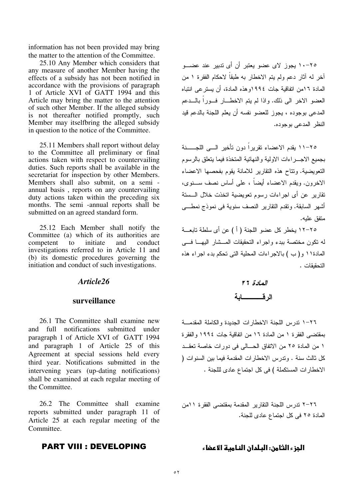information has not been provided may bring the matter to the attention of the Committee.

25.10 Any Member which considers that any measure of another Member having the effects of a subsidy has not been notified in accordance with the provisions of paragraph 1 of Article XVI of GATT 1994 and this Article may bring the matter to the attention of such other Member. If the alleged subsidy is not thereafter notified promptly, such Member may itselfbring the alleged subsidy in question to the notice of the Committee.

25.11 Members shall report without delay to the Committee all preliminary or final actions taken with respect to countervailing duties. Such reports shall be available in the secretariat for inspection by other Members. Members shall also submit, on a semi annual basis, reports on any countervailing duty actions taken within the preceding six months. The semi -annual reports shall be submitted on an agreed standard form.

25.12 Each Member shall notify the Committee (a) which of its authorities are initiate competent to and conduct investigations referred to in Article 11 and (b) its domestic procedures governing the initiation and conduct of such investigations.

#### Article26

#### surveillance

26.1 The Committee shall examine new and full notifications submitted under paragraph 1 of Article XVI of GATT 1994 and paragraph 1 of Article 25 of this Agreement at special sessions held every third year. Notifications submitted in the intervening years (up-dating notifications) shall be examined at each regular meeting of the Committee.

26.2 The Committee shall examine reports submitted under paragraph 11 of Article 25 at each regular meeting of the Committee.

#### **PART VIII : DEVELOPING**

٢٥-١٠ يجوز لاي عضو يعتبر أن أي ندبير عند عضـــو أخر له أثار دعم ولم يتم الاخطار به طبقاً لاحكام الفقرة ١ من المادة ١٦من اتفاقية جات ١٩٩٤و هذه المادة، أن بستر عي انتباه العضو الإخر الى ذلك. وإذا لم بتم الإخطسار فسوراً بالسدعم المدعى بوجوده ، يجوز للعضو نفسه أن يعلم اللجنة بالدعم قيد النظر المدعى بوجوده.

٢٥–١١ يقدم الاعضاء تقريراً دون تأخير السي اللجـــــنة بجميع الاجـــراءات الاولية والنهائية المتخذة فيما يتعلق بالرسوم النعويضية. ونتاح هذه النقارير للامانة يقوم بفحصها الاعضاء الاخرون. ويقدم الاعضاء أيضاً ، على أساس نصف ســـنوي، تقارير عن أي اجر اءات رسوم تعويضية اتخذت خلال السستة أشهر السابقة. وتقدم النقارين النصف سنوية في نموذج نمطـــي متفق عليه.

٢٥-١٢ يخطر كل عضو اللجنة ( أ ) عن أي سلطة تابعـــة له نكون مختصة ببدء واجراء التحقيقات المسشار اليهــا فـــى المادة ١١ و (ب ) بالاجر اءات المحلية التي تحكم بدء اجر اء هذه التحقيقات .

> $175$   $5 - 11$ الرقـــــــابة

٢٦–١ تدرس اللجنة الاخطارات الجديدة والكاملة المقدمـــة بمقتضبي الفقر ة ١ من المادة ١٦ من اتفاقية جات ١٩٩٤ و الفقر ة ١ من المادة ٢٥ من الاتفاق الحسالي في دورات خاصة تعقــد كل ثالث سنة . وندرس الاخطارات المقدمة فيما بين السنوات ( الاخطارات المستكملة ) في كل اجتماع عادي لللجنة .

٢-٢٦ تدرس اللجنة التقارير المقدمة بمقتضبي الفقرة ١١من المادة ٢٥ في كل اجتماع عادي للجنة.

الَّذِء الثامنِ: البِلْدانِ النامِيةِ الاعَضاء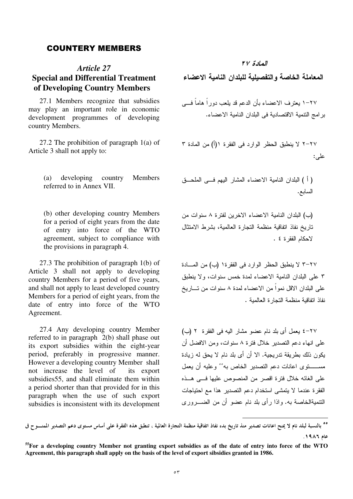#### COUNTERY MEMBERS

#### *Article 27*

# **Special and Differential Treatment of Developing Country Members**

27.1 Members recognize that subsidies may play an important role in economic development programmes of developing country Members.

27.2 The prohibition of paragraph 1(a) of Article 3 shall not apply to:

> (a) developing country Members referred to in Annex VII.

> (b) other developing country Members for a period of eight years from the date of entry into force of the WTO agreement, subject to compliance with the provisions in paragraph 4.

27.3 The prohibition of paragraph 1(b) of Article 3 shall not apply to developing country Members for a period of five years, and shall not apply to least developed country Members for a period of eight years, from the date of entry into force of the WTO Agreement.

27.4 Any developing country Member referred to in paragraph 2(b) shall phase out its export subsidies within the eight-year period, preferably in progressive manner. However a developing country Member shall not increase the level of its export subsidies55, and shall eliminate them within a period shorter than that provided for in this paragraph when the use of such export subsidies is inconsistent with its development  $YV$   $\ddot{o}$   $\Delta U$ 

المعاملة الخاصة والتفصيلية للبلدان النامية الاعضاء

٢٧–١ يعترف الاعضاء بأن الدعم قد يلعب دورًا هاماً فـــي بر امج التتمية الاقتصادية في البلدان النامية الاعضاء.

٢٧–٢ لا ينطبق الحظر الوارد في الفقرة ١(أ) من المادة ٣  $: \underline{\mathcal{A}}$ 

( أ ) البلدان النامية الاعضاء المشار اليهم فـــى الملحـــق السابع.

(ب) البلدان النامية الاعضاء الاخرين لفتر ة ٨ سنوات من تاريخ نفاذ اتفاقية منظمة النجارة العالمية، بشرط الامتثال لاحكام الفقر ة ٤ .

٢٧–٣ لا ينطبق الحظر الوارد في الفقرة١ (ب) من المسادة ٣ على البلدان النامية الاعضاء لمدة خمس سنوات، ولا ينطبق على البلدان الاقل نمواً من الاعضاء لمدة ٨ سنو ات من تـــار بخ نفاذ اتفاقية منظمة النجارة العالمية .

٢٧–٤ يعمل أي بلد نام عضو مشار اليه في الفقرة ٢ (ب) على انهاء دعم التصدير خلال فترة ٨ سنو ات، ومن الافضل أن يكون ذلك بطريقة تدريجية. الا أن أي بلد نام لا يحق له زيادة O L8 3 
 )(
 " --& 4 % O?
 على الغائه خلال فترة اقصر من المنصوص عليها فسي هــذه الفقرة عندما لا يتمشى استخدام دعم التصدير هذا مع احتياجات النتميةالخاصة به. وإذا رأى بلد نام عضو أن من الضـــروري

 $\overline{a}$ 

<sup>&</sup>lt;sup>00</sup> بالنسبة لبلد نام لا يمنح اعانات تصدير منذ تاريخ بدء نفاذ اتفاقية منظمة العاملية ، تنطبق هذه الفقرة على أساس مستوى دعم التصدير المنسوح في عام ١٩٨٦.

**<sup>55</sup>For a developing country Member not granting export subsidies as of the date of entry into force of the WTO Agreement, this paragraph shall apply on the basis of the level of export sibsidies granted in 1986.**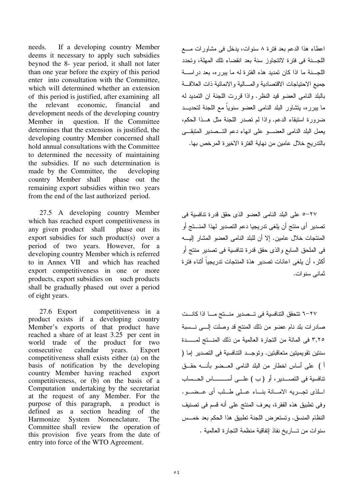needs. If a developing country Member deems it necessary to apply such subsidies beynod the 8- year period, it shall not later than one year before the expiry of this period enter into consultation with the Committee, which will determined whether an extension of this period is justified, after examining all the relevant economic, financial and development needs of the developing country Member in question. If the Committee determines that the extension is justified, the developing country Member concerned shall hold annual consultations with the Committee to determined the necessity of maintaining the subsidies. If no such determination is made by the Committee, the developing country Member shall phase out the remaining export subsidies within two years from the end of the last authorized period.

27.5 A developing country Member which has reached export competitiveness in any given product shall phase out its export subsidies for such product(s) over a period of two years. However, for a developing country Member which is referred to in Annex VII and which has reached export competitiveness in one or more products, export subsidies on such products shall be gradually phased out over a period of eight years.

27.6 Export competitiveness in a product exists if a developing country Member's exports of that product have reached a share of at least 3.25 per cent in world trade of the product for two consecutive calendar years. Export competitiveness shall exists either (a) on the basis of notification by the developing country Member having reached export competitiveness, or (b) on the basis of a Computation undertaking by the secretariat at the request of any Member. For the purpose of this paragraph, a product is defined as a section heading of the<br>Harmonize System Nomenclature. The Harmonize System Nomenclature. The Committee shall review the operation of this provision five years from the date of entry into force of the WTO Agreement.

اعطاء هذا الدعم بعد فترة ٨ سنوات، يدخل في مشاورات مـــع اللجـــنة فـي فترة لاتتجاوز سنة بعد انقضـاء تلك المـهلة، وتـحدد -& F O 0 F %# (-? جميع الاحتياجات الاقتصادية والمسالية والانمائية ذات العلاقسة بالبلد النامي العضو قيد النظر. وإذا قررت اللجنة ان التمديد له ما يبرره، يتشاور البلد النامي العضو سنويا مع اللجنة لتحديـــد ضرورة استبقاء الدعم. واذا لم نصدر اللجنة مثل هــذا الحكم، يعمل البلد النامي العضب على انهاء دعم التسصدير المتبقى بالندريج خلال عامين من نهاية الفترة الاخيرة المرخص بها.

٢٧–٥ على البلد النامي العضو الذي حقق قدرة تنافسية في تصدير أي منتج أن يلغي تدريجيا دعم التصدير لهذا المنستج أو المنتجات خلال عامين. إلا أن للبلد النامي العضو المشار إليــــه في الملحق السابع والذي حقق قدرة نتافسية في تصدير منتج أو أكثر ، أن يلغي اعانات تصدير هذة المنتجات تدريجيا أثناء فتر ة ثمانی سنو ات.

٢٧–٦ نتحقق التنافسية في تـــصدير منـــتج مــــا اذا كانـــت صادرات بلد نام عضو من ذلك المنتج قد وصلت اإــــى نـــسبة ٣,٢٥ في المائة من النجارة العالمية من ذلك المنستج لمــــــدة سنتين تقويميتين متعاقبتين. وتوجــد التنافسية في التصدير إما ( أ ) على أساس اخطار من البلد النامي العــضو بأنـــه حقــق نتافسية في التصـــدير ، أو (ب ) علـــى أســـــــــاس الحــساب الحذي تجــريه الامـــانة بنـــاء عــلى طــلب أي عــضـــو. وفي تطبيق هذه الفقرة، يعرف المنتج على أنه قسم في تصنيف النظام المنسق. وتستعرض اللجنة تطبيق هذا الحكم بعد خمـــس سنوات من تــــاريخ نفاذ إتفاقية منظمة التجارة العالمية .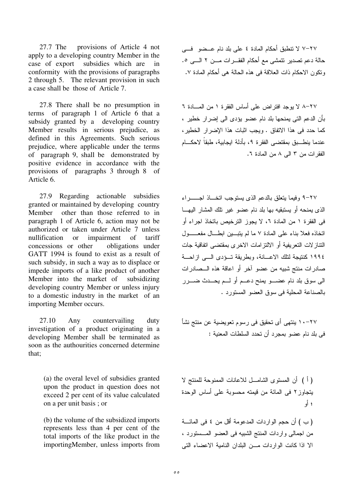27.7 The provisions of Article 4 not apply to a developing country Member in the case of export subsidies which are in conformity with the provisions of paragraphs 2 through 5. The relevant provision in such a case shall be those of Article 7.

27.8 There shall be no presumption in terms of paragraph 1 of Article 6 that a subsidy granted by a developing country Member results in serious prejudice, as defined in this Agreements. Such serious prejudice, where applicable under the terms of paragraph 9, shall be demonstrated by positive evidence in accordance with the provisions of paragraphs 3 through 8 Article 6.

27.9 Regarding actionable subsidies granted or maintained by developing country Member other than those referred to in paragraph 1 of Article 6, action may not be authorized or taken under Article 7 unless nullification or impairment of tariff concessions or other obligations under GATT 1994 is found to exist as a result of such subsidy, in such a way as to displace or impede imports of a like product of another Member into the market of subsidizing developing country Member or unless injury to a domestic industry in the market of an importing Member occurs.

27.10 Any countervailing duty investigation of a product originating in a developing Member shall be terminated as soon as the authourities concerned determine that;

> (a) the overal level of subsidies granted upon the product in question does not exceed 2 per cent of its value calculated on a per unit basis ; or

> (b) the volume of the subsidized imports represents less than 4 per cent of the total imports of the like product in the importingMember, unless imports from

٢٧–٧ لا نتطبق أحكام المادة ٤ على بلد نام عــضو ٍ فـــى حالة دعم تصدير نتمشى مع أحكام الفقـــرات مـــن ٢ الــــى ٥. و نكون الاحكام ذات العلاقة في هذه الحالة هي أحكام المادة ٧.

٢٧–٨ لا يوجد افتراض على أساس الفقرة ١ من المســادة ٦ بأن الدعم التي يمنحها بلد نام عضو يؤدي الى إضرار خطير ، كما حدد فـي هذا الاتفاق . ويجب اثبات هذا الإضرار الخطير، عندما ينطــــبق بمقتضــي الفقرة ٩، بأدلة ايجابية، طبقا لاحكــــام الفقر ات من ٣ الى ٨ من المادة ٦.

٢٧–٩ وفيما يتعلق بالدعم الذي يستوجب انخــــاذ اجـــــــــراء الذي يمنحه أو يستبقيه بها بلد نام عضو غير نلك المشار اليهــا في الفقرة ١ من المادة ٦، لا يجوز الترخيص باتخاذ اجراء أو اتخاذه فعلا بناء على المادة ٧ ما لم يتبــين ابطــال مفعــــول النتاز لات النعريفية أو الالتزامات الاخرى بمقتضىي اتفاقية جات ١٩٩٤ كنتيجة لتلك الاعـــانة، وبطريقة تـــؤدى الــــى ازاحــــة صادر ات منتج شبيه من عضو آخر أو اعاقة هذه الـــصادر ات الى سوق بلد نام عضـــو يمنح دعـــم أو لـــم يحـــدث ضــــرر بالصناعة المحلية في سوق العضو المستورد .

۲۷–۱۰ ینتهی أی تحقیق فی رسوم تعویضیة عن منتج نشأ في بلد نام عضو بمجرد أن تحدد السلطات المعنية :

( أ ) أن المستوى الشامــل للاعانات الممنوحة للمنتج لا يتجاوز ٢ في المائة من قيمته محسوبة على أساس الوحدة ؛ أو

( ب ) أن حجم الواردات المدعومة أقل من ٤ في المائــــة من اجمالي واردات المنتج الشبيه في العضو المـــستورد ، الا اذا كانت الواردات مـــن البلدان النامية الاعضاء التي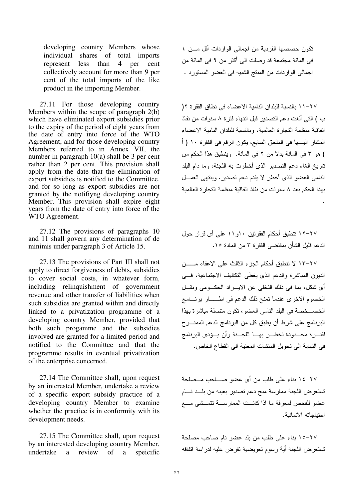developing country Members whose individual shares of total imports represent less than 4 per cent collectively account for more than 9 per cent of the total imports of the like product in the importing Member.

27.11 For those developing country Members within the scope of paragraph 2(b) which have eliminated export subsidies prior to the expiry of the period of eight years from the date of entry into force of the WTO Agreement, and for those developing country Members referred to in Annex VII, the number in paragraph 10(a) shall be 3 per cent rather than 2 per cent. This provision shall apply from the date that the elimination of export subsidies is notified to the Committee, and for so long as export subsidies are not granted by the notifiyng developing country Member. This provision shall expire eight years from the date of entry into force of the WTO Agreement.

27.12 The provisions of paragraphs 10 and 11 shall govern any determination of de minimis under paragraph 3 of Article 15.

27.13 The provisions of Part III shall not apply to direct forgiveness of debts, subsidies to cover social costs, in whatever form, including relinquishment of government revenue and other transfer of liabilities when such subsidies are granted within and directly linked to a privatization programme of a developing country Member, provided that both such progamme and the subsidies involved are granted for a limited period and notified to the Committee and that the programme results in eventual privatization of the enterprise concerned.

27.14 The Committee shall, upon request by an interested Member, undertake a review of a specific export subsidy practice of a developing country Member to examine whether the practice is in conformity with its development needs.

27.15 The Committee shall, upon request by an interested developing country Member, undertake a review of a speicific نكون حصصها الفردية من اجمالي الواردات أقل مــــن ٤ في المائة مجتمعة قد وصلت الىي أكثر من ٩ في المائة من اجمالي الواردات من المنتج الشبيه في العضو المستورد .

٢٧–١١ بالنسبة للبلدان النامية الاعضاء في نطاق الفقر ة ٢( ب ) التي ألغت دعم التصدير قبل انتهاء فترة ٨ سنو ات من نفاذ اتفاقية منظمة النجارة العالمية، وبالنسبة للبلدان النامية الاعضاء المشار البها في الملحق السابع، يكون الرقم في الفقرة ١٠ ( أ ) هو ٣ في المائة بدلا من ٢ في المائة. وينطبق هذا الحكم من ناريخ الغاء دعم النصدير الذي أخطرت به اللجنة، وما دام البلد النامي العضو الذي أخطر لا يقدم دعم تصدير . وينتهي العمـــل بهذا الحكم بعد ٨ سنوات من نفاذ اتفاقية منظمة التجارة العالمية .

٢٧–١٢ نتطبق أحكام الفقرنين ١٠و ١١ على أي قرار حول الدعم قليل الشأن بمقتضىي الفقرة ٣ من المادة ١٥.

٢٧–١٣ لا نتطبق أحكام الجزء الثالث على الاعفاء مــــــن الديون المباشرة والدعم الذي يغطي النكاليف الاجتماعية، فـــي أي شكل، بما في ذلك التخلي عن الإيسر اد الحكسومي ونقسل الخصوم الاخرى عندما تمنح ذلك الدعم في اطــــــار برينـــامج الخصـــخصة في البلد النامي العضو، تكون متصلة مباشرة بهذا البرنامج على شرط أن يطبق كل من البرنامج الدعم الممنـــوح لفتــــرة محــــدودة تخطــــر بـهــــــا اللجـــــــذة وأن يــــؤدى البرنـامج في النهاية الى تحويل المنشآت المعنية الى القطاع الخاص.

٢٧-١٤ بناء على طلب من أي عضو صـــاحب مــصلحة تستعرض اللجنة ممارسة منح دعم تصدير بعينه من بلــد نـــام عضو للفحص لمعرفة ما اذا كانــت الممارســـة تتمــشى مـــع احتياجاته الانمائية.

٢٧-١٥ بناء على طلب من بلد عضو نام صاحب مصلحة تستعرض اللجنة أية رسوم تعويضية تفرض عليه لدراسة اتفاقه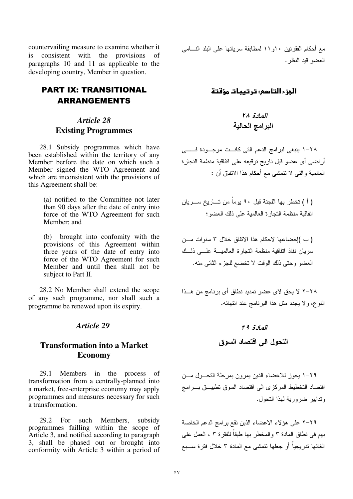countervailing measure to examine whether it is consistent with the provisions of paragraphs 10 and 11 as applicable to the developing country, Member in question.

# **PART IX: TRANSITIONAL ARRANGEMENTS**

# Article 28 **Existing Programmes**

28.1 Subsidy programmes which have been established within the territory of any Member berfore the date on which such a Member signed the WTO Agreement and which are inconsistent with the provisions of this Agreement shall be:

> (a) notified to the Committee not later than 90 days after the date of entry into force of the WTO Agreement for such Member; and

> (b) brought into confomity with the provisions of this Agreement within three years of the date of entry into force of the WTO Agreement for such Member and until then shall not be subject to Part II.

28.2 No Member shall extend the scope of any such programme, nor shall such a programme be renewed upon its expiry.

#### Article 29

#### **Transformation into a Market Economy**

29.1 Members in the process of transformation from a centrally-planned into a market, free-enterprise economy may apply programmes and measures necessary for such a transformation.

 $29.2$ For such Members, subsidy programmes failling within the scope of Article 3, and notified according to paragraph 3, shall be phased out or brought into conformity with Article 3 within a period of مع أحكام الفقريّين ١٠و ١١ لمطابقة سريانها على البلد النسامي العضو قيد النظر .

الجزء التاسع: تر تيبـات مؤقتة

### العادة ٢٨ البرامج الحالية

٢٨-١ ينبغي لبرامج الدعم التي كانــت موجــودة فـــــي أراضي أي عضو قبل تاريخ توقيعه على اتفاقية منظمة التجارة العالمية والتبي لا تتمشى مع أحكام هذا الاتفاق أن :

( أ ) تخطر بها اللجنة قبل ٩٠ يوماً من تـــاريخ ســـريان اتفاقية منظمة التجار ة العالمية على ذلك العضو ؛

(ب )إخضاعها لاحكام هذا الاتفاق خلال ٣ سنوات مـن سربان نفاذ اتفاقية منظمة التجارة العالميسة علسى ذلسك العضو وحتى ذلك الوقت لا تخضع للجزء الثاني منه.

٢٨-٢ لا يحق لاى عضو تمديد نطاق أى برنامج من هــذا النوع، و لا يجدد مثل هذا البر نامج عند انتهائه.

# العلاق ٢٩ التحول الى اقتصاد السوق

٢٩–١ يجوز للاعضاء الذين يمرون بمرحلة التحــول مــن اقتصاد التخطيط المركزي الى اقتصاد السوق تطبيــق بـــرامج وتدابير ضروربة لمذا التحول.

٢-٢٩ على هؤلاء الاعضاء الذين تقع برامج الدعم الخاصة بهم في نطاق المادة ٣ و المخطر بها طبقاً للفقر ة ٣ ، العمل على الغائها ندريجياً أو جعلها نتمشى مع المادة ٣ خلال فترة ســـبع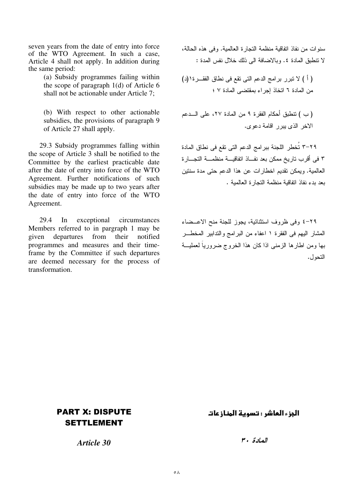seven years from the date of entry into force of the WTO Agreement. In such a case, Article 4 shall not apply. In addition during the same period:

> (a) Subsidy programmes failing within the scope of paragraph 1(d) of Article 6 shall not be actionable under Article 7;

> (b) With respect to other actionable subsidies, the provisions of paragraph 9 of Article 27 shall apply.

29.3 Subsidy programmes falling within the scope of Article 3 shall be notified to the Committee by the earliest practicable date after the date of entry into force of the WTO Agreement. Further notifications of such subsidies may be made up to two years after the date of entry into force of the WTO Agreement.

29.4 In exceptional circumstances Members referred to in pargraph 1 may be given departures from their notified programmes and measures and their timeframe by the Committee if such departures are deemed necessary for the process of transformation.

سنوات من نفاذ انفاقية منظمة النجارة العالمية. وفـي هذه الـحالـة، لا نتطبق المادة ٤. وبالاضافة الى ذلك خلال نفس المدة :

( أ ) لا تبرر برامج الدعم التي تقع في نطاق الفقــرة ((د) من المادة ٦ اتخاذ إجراء بمقتضىي المادة ٧ ؛

(ب ) تتطبق أحكام الفقرة ٩ من المادة ٢٧، على الــدعم الاخر الذي ببرر اقامة دعو ي.

٢٩–٣ تخطر اللجنة ببرامج الدعم التي تقع في نطاق المادة ٣ في أقرب تاريخ ممكن بعد نفـــاذ اتفاقيـــة منظمـــة التجـــار ة العالمية. ويمكن تقديم اخطارات عن هذا الدعم حتى مدة سنتين بعد بدء نفاذ انفاقية منظمة النجارة العالمية .

٢٩–٤ وفي ظروف استثنائية، يجوز للجنة منح الاعــضاء المشار اليهم في الفقر ة ١ اعفاء من البر امج و التدابير المخطـــر بها ومن اطارها الزمنى اذا كان هذا الخروج ضرورياً لعمليـــة التحو ل.

PART X: DISPUTE SETTLEMENT

الجزء العاشر : تسوية المناز عات

العلاة ٣٠

*Article 30*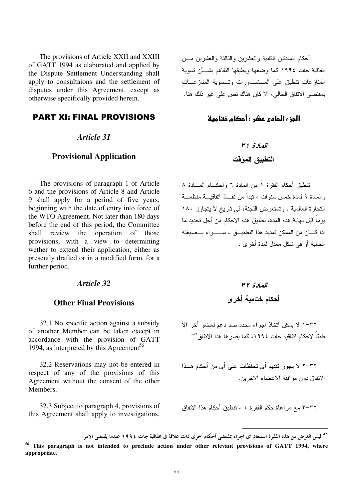The provisions of Article XXII and XXIII of GATT 1994 as elaborated and applied by the Dispute Settlement Understanding shall apply to consultaions and the settlement of disputes under this Agreement, except as otherwise specifically provided herein.

### **PART XI: FINAL PROVISIONS**

### **Article 31**

#### **Provisional Application**

The provisions of paragraph 1 of Article 6 and the provisions of Article 8 and Article 9 shall apply for a period of five years, beginning with the date of entry into force of the WTO Agreement. Not later than 180 days before the end of this period, the Committee shall review the operation of those provisions, with a view to determining wether to extend their application, either as presently drafted or in a modified form, for a further period.

#### Article 32

#### **Other Final Provisions**

32.1 No specific action against a subsidy of another Member can be taken except in accordance with the provision of GATT 1994, as interpreted by this Agreement<sup>56</sup>

32.2 Reservations may not be entered in respect of any of the provisions of this Agreement without the consent of the other Members.

32.3 Subject to paragraph 4, provisions of this Agreement shall apply to investigations,

أحكام المادنين الثانية والعشرين والثالثة والعشرين مسن اتفاقية جات ١٩٩٤ كما وضعها وبطبقها التفاهم بشــأن تسوية المنازعات نتطبق على المسشباورات وتسعوية المنازعيات بمقتضى الاتفاق الحالي، الا كان هناك نص على غير ذلك هنا.

#### الجزء الحامى عشر : أحكام ختامية

# العلاة اس التطبيق الموقت

نتطبق أحكام الفقرة ١ من المادة ٦ واحكــام المــادة ٨ والمادة ٩ لمدة خمس سنوات ، نبدأ من نفــاذ اتفاقيـــة منظمـــة التجارة العالمية . وتستعرض اللجنة، في تاريخ لا يتجاوز ١٨٠ بوماً قبل نهاية هذه المدة، تطبيق هذه الاحكام من أجل تحديد ما اذا كـــان من الممكن تمديد هذا التطيبـــق ، ســـــــواء بـــصيغته الحالية أو في شكل معدل لمدة أخرى .

٣٢–١ لا يمكن اتخاذ اجراء محدد ضد دعم لعضو آخر الا طبقاً لاحكام اتفاقية جات ١٩٩٤، كما يفسر ها هذا الاتفاق<sup>٥٦-</sup>

٢٦-٢ لا بجوز تقديم أي تحفظات على أي من أحكام هــذا الاتفاق دون موافقة الاعضاء الاخرين.

٣-٣٦ مع مراعاة حكم الفقرة ٤ ، تتطبق أحكام هذا الاتفاق

<sup>56</sup> This paragraph is not intended to preclude action under other relevant provisions of GATT 1994, where appropriate.

<sup>&</sup>lt;sup>07</sup> ليس الغرض من هذه الفقرة استبعاد أي اجراء بمقتضى أحكام أخرى ذات علاقة في اتفاقية جات ١٩٩٤ عندما يقتضى الامر .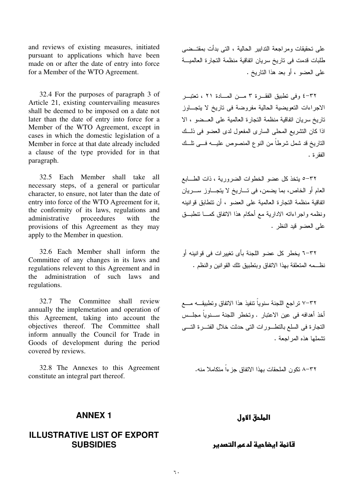and reviews of existing measures, initiated pursuant to applications which have been made on or after the date of entry into force for a Member of the WTO Agreement.

32.4 For the purposes of paragraph 3 of Article 21, existing countervailing measures shall be deemed to be imposed on a date not later than the date of entry into force for a Member of the WTO Agreement, except in cases in which the domestic legislation of a Member in force at that date already included a clause of the type provided for in that paragraph.

32.5 Each Member shall take all necessary steps, of a general or particular character, to ensure, not later than the date of entry into force of the WTO Agreement for it, the conformity of its laws, regulations and administrative proceedures with the provisions of this Agreement as they may apply to the Member in question.

32.6 Each Member shall inform the Committee of any changes in its laws and regulations relevent to this Agreement and in the administration of such laws and regulations.

32.7 The Committee shall review annually the implemetation and operation of this Agreement, taking into account the objectives thereof. The Committee shall inform annually the Council for Trade in Goods of development during the period covered by reviews.

32.8 The Annexes to this Agreement constitute an integral part thereof.

على تحقيقات ومراجعة الندابير الحالية ، التي بدأت بمقتـــضـي طلبات قدمت في تاريخ سريان اتفاقية منظمة التجارة العالميــــة على العضو ، أو بعد هذا الناريخ .

٣٦-٤ وفي نطبيق الفقــرة ٣ مــن المـــادة ٢١ ، تعتبــر الاجراءات النعويضية الحالية مفروضة في ناريخ لا يتجـــاوز تاريخ سريان اتفاقية منظمة التجارة العالمية على العــضو ، الا اذا كان النتثىريع المحلي الساري المفعول لدى العضو في ذلــك التاريخ قد شمل شرطاً من النوع المنصوص عليـــه فـــي تلــك الفقر ۃ .

٣٦–٥ يتخذ كل عضو الخطوات الضرورية ، ذات الطـــابـع العام أو الخاص، بما يضمن، في تـــاريخ لا يتجــــاوز ســــريان اتفاقية منظمة النجارة العالمية على العضو ، أن نتطابق قوانينه ونظمه واجراءاته الادارية مع أحكام هذا الاتفاق كمسا نتطبـــق على العضو قبد النظر .

٣٦–٦ يخطر كل عضو اللجنة بأى تغييرات في قوانينه أو نظــمه المتعلقة بهذا الاتفاق وبتطبيق نلك القوانين والنظم .

٣٦–٧ تراجع اللجنة سنويا نتفيذ هذا الاتفاق وتطبيقــه مـــع أخذ أهدافه في عين الاعتبار . وتخطر اللجنة ســنويا مجلــس النجارة في السلع بالنطـــورات التي حدثت خلال الفتــــرة النـــــي نشملها هذه المراجعة .

٣٦–٨ نكون الملحقات بهذا الاتفاق جزءا متكاملا منه.

### **ANNEX 1**

# **ILLUSTRATIVE LIST OF EXPORT SUBSIDIES**

الملحق الاول

قائهة ابـضاحبـة لدعم التصدير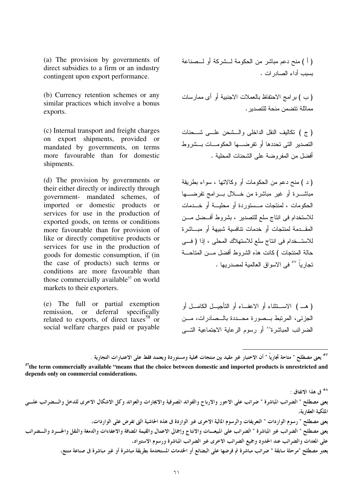(a) The provision by governments of direct subsidies to a firm or an industry contingent upon export performance.

(b) Currency retention schemes or any similar practices which involve a bonus exports.

(c) Internal transport and freight charges on export shipments, provided or mandated by governments, on terms more favourable than for domestic shipments.

(d) The provision by governments or their either directly or indirectly through government- mandated schemes, of imported or domestic products or services for use in the production of exported goods, on terms or conditions more favourable than for provision of like or directly competitive products or services for use in the production of goods for domestic consumption, if (in the case of products) such terms or conditions are more favourable than those commercially available<sup>57</sup> on world markets to their exporters.

(e) The full or partial exemption remission, or deferral specifically related to exports, of direct taxes<sup>58</sup> or social welfare charges paid or payable

( أ ) منح دعم مباشر من الحكومة لـــشركة أو لـــصناعة بسبب أداء الصادر ات .

( ب ) بر امج الاحتفاظ بالعملات الاجنبية أو أي ممارسات مماثلة تتضمن منحة للتصدير .

(ج) نكاليف النقل الداخلي والسشحن علـــي شـــحنات التصدير التي تحددها أو تفرضها الحكومــات بـــشروط أفضل من المفر وضنة على الشحنات المحلبة .

(د ) منح دعم من الحكومات أو وكالاتها ، سواء بطريقة .<br>مباشــــــر ة أو غير مباشر ة من خـــــلال بـــــر امـج نفر ضــــــها الحكومات ، لمنتجات مـــستوردة أو محليـــة أو خـــدمات .<br>للاستخدام في انتاج سلع للتصدير ، بشر وط أفسضل مـــن المقـــدمة لمنتجات أو خدمات تنافسية شبيهة أو مبـــاشرة للاستــخدام في انتاج سلع للاستهلاك المحلي ، إذا ( فسي حالة المنتجات ) كانت هذه الشروط أفضل مـــن المتاحــــة تجارياً <sup>٥٧</sup> في الاسواق العالمية لمصدريها .

( هــ ) الاســـنثناء أو الاعفـــاء أو التأجيـــل الكامـــل أو الجزئي، المرتبط بــصورة محــددة بالــصادرات، مـــن الضرائب المباشرة<sup>^</sup>° أو رسوم الرعاية الاجتماعية التــــى

 $\overline{a}$ 

°° يعني مصطلح " متاحة تجارياً " أن الاختبار غير مقيد بين منتجات محلية ومستوردة ويعتمد فقط على الاعتبارات التجارية .

**<sup>57</sup>the term commercially available "means that the choice between domestic and imported products is unrestricted and depends only on commercial considerations.** 

° في هذا الاتفاق : يعني مصطلح " الضرائب الماشرة " ضرائب على الاجور والارباح والفوائد المصرفية والايجارات والعوائد وكل الاشكال الاخرى للدخل والــضرائب علــي الملكية العقارية، يعني مصطلح " رسوم الواردات " التعريفات والرسوم المالية الاخرى غير الواردة في هذه الحاشية التي تفرض على الواردات، يعني مصطلح " الضرائب غير المباشرة " الضرائب على الميعـــات والانتاج وإجمالي الاعمال والقيمة المضافة والاعفاءات والدمغة والنقل والجـــرد والـــضرائب على المعدات والضرائب عند الحدود وجميع الضرائب الاخرى غير الضرائب الماشرة ورسوم الاستيراد، يعتبر مصطلح "مرحلة سابقة " ضرائب مباشرة تم فرضها على البضائع أو الخدمات المستخدمة بطريقة مباشرة أو غير مباشرة في صناعة منتج،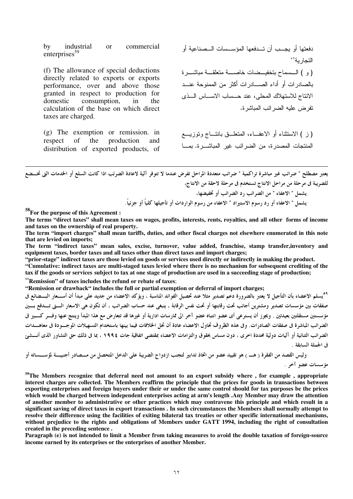by industrial commercial **or** enterprises<sup>59</sup>

(f) The allowance of special deductions directly related to exports or exports performance, over and above those granted in respect to production for domestic consumption. in the calculation of the base on which direct taxes are charged.

 $(g)$  The exemption or remission. in respect  $\sigma$ f the production and distribution of exported products, of

دفعتها أو يجلب أن تلدفعها المؤسلسات المصناعية أو التحارية ف (و) المسماح بتخفيــضات خاصـــة متعلقــة مباشـــرة .<br>بالصادر ات أو أداء الصــــادر ات أكثر من الممنو جة عنـــد الانتاج للاستهلاك المحلي، عند حساب الاســاس الــذى تفرض عليه الضر ائب المباشر ة.

(ز ) الاستثناء أو الاعف|ء، المنعلـــق بانتـــاج ونوزيــــع المنتجات المصدرة، من الضرائب غير المباشـــرة. بمـــا

يعتبر مصطلح " ضرائب غير مباشرة تراكمية " ضرائب متعددة المراحل تفرض عندما لا تتوفر آلية لاعادة الضرئب اذا كانت السلع أو الخدمات التي تخسضع للضريبة في مرحلة من مراحل الانتاج تستخدم في مرحلة لاحقة من الانتاج، يشمل " الاعفاء " من الضرائب رد الضرائب أو تخفيضها، يشمل " الاعفاء أو رد رسوم الاستيراد " الاعفاء من رسوم الواردات أو تأجيلها كلياً أو جزئياً.

<sup>58</sup>For the purpose of this Agreement :

The terms "direct taxes" shall mean taxes on wages, profits, interests, rents, royalties, and all other forms of income and taxes on the ownership of real property.

The term "import charges" shall mean tariffs, duties, and other fiscal charges not elsewhere enumerated in this note that are levied on imports:

The term "indirect taxes" mean sales, excise, turnover, value added, franchise, stamp transfer, inventory and equipment taxes, border taxes and all taxes other than direct taxes and import charges;

"prior-stage" indirect taxes are those levied on goods or services used directly or indirectly in making the product. "Cumulative: indirect taxes are multi-staged taxes levied where there is no mechanism for subsequent crediting of the tax if the goods or services subject to tax at one stage of production are used in a succeeding stage of production; "Remission" of taxes includes the refund or rebate of taxes;

"Remission or drawback" includes the full or partial exemption or deferral of import charges;

ا مسلم الاعضاء بأن التأجيل لا يعتبر بالضرورة دعم تصدير مثلا عند تحصيل القوائد المناسبة ، ويؤكد الاعضاء من جديد على مبدأ أن أســـعار البـــضائع في صفقات بين مؤسسات تصدير ومشترين أجانب تحت رقابتها أو تحت نفس الرقابة ، ينبغي عند حساب الضرائب ، أن تكون هي الاسعار الـــق تـــدفع بـــين مؤسستين مستقلتين بعيدتين . ويجوز أن يسترعي أي عضو انتباه عضو آخر الى ممارسات ادارية أو غيرها قد تتعارض مع هذا المبدأ وينتج عنها وفسر كسبير في الضرائب المباشرة في صفقات الصادرات. وفي هذه الظروف تحاول الاعضاء عادة أن تحل الخلافات فيما بينها باستخدام التسهيلات الموجسودة في معاهـــدات الضرائب الثنائية أو آليات دولية محددة آخري ، دون مساس بحقوق والتزامات الاعضاء عقتضي اتفاقية جات ١٩٩٤ ، عا في ذلك حق التشاور الذي أنسشئ في الجملة السابقة

وليس القصد من الفقرة ( هــ ) هو تقييد عضو من اتخاذ تدابير لتجنب ازدواج الضريبة على الدخل المتحصل من مــصادر أجنبيـــة لمؤســـساته أو مؤسسات عضو آخر .

<sup>59</sup>The Members recognize that deferral need not amount to an export subsidy where, for example, appropriate interest charges are collected. The Members reaffirm the principle that the prices for goods in transactions between exporting enterprises and foreign buyers under their or under the same control should for tax purposes be the prices which would be charged between independent enterprises acting at arm's length .Any Member may draw the attention of another member to administrative or other practices which may contravene this principle and which result in a significant saving of direct taxes in export transactions . In such circumstances the Members shall normally attempt to resolve their difference using the facilities of exiting bilateral tax treaties or other specific international mechanisms, without prejudice to the rights and obligations of Members under GATT 1994, including the right of consultation created in the preceding sentence.

Paragraph (e) is not intended to limit a Member from taking measures to avoid the double taxation of foreign-source income earned by its enterprises or the enterprises of another Member.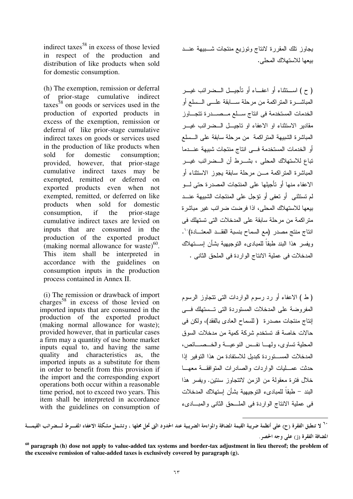indirect taxes<sup>58</sup> in excess of those levied in respect of the production and distribution of like products when sold for domestic consumption.

(h) The exemption, remission or deferral of prior-stage cumulative indirect  $\arccos^{58}$  on goods or services used in the production of exported products in excess of the exemption, remission or deferral of like prior-stage cumulative indirect taxes on goods or services used in the production of like products when sold for domestic consumption; provided, however, that prior-stage cumulative indirect taxes may be exempted, remitted or deferred on exported products even when not exempted, remitted, or deferred on like products when sold for domestic consumption, if the prior-stage cumulative indirect taxes are levied on inputs that are consumed in the production of the exported product (making normal allowance for waste) $60$ . This item shall be interpreted in accordance with the guidelines on consumption inputs in the production process contained in Annex II.

(i) The remission or drawback of import charges<sup>58</sup> in excess of those levied on imported inputs that are consumed in the production of the exported product (making normal allowance for waste); provided however, that in particular cases a firm may a quantity of use home market inputs equal to, and having the same quality and characteristics as, the imported inputs as a substitute for them in order to benefit from this provision if the import and the corresponding export operations both occur within a reasonable time period, not to exceed two years. This item shall be interpreted in accordance with the guidelines on consumption of يجاوز نلك المقررة لانتاج وتوزيع منتجات شــــبيهة عنـــد بيعها للاستهلاك المحلي.

( ح ) اســـتثناء أو اعفـــاء أو تأجيـــل الـــضرائب غيـــر المباشــــــرة المنز اكمة من مرحلة ســـــابقة علــــي الــــسلع أو الخدمات المستخدمة في انتاج ســلع مــصـــدرة تتجـــاوز مقادير الاستثناء او الاعفاء او ناجيـــل الـــضرائب غيـــر المباشر ة الشبيهة المتر اكمة من مرحلة سابقة على السسلع أو الخدمات المستخدمة فـــي انتاج منتجات شبيهة عنـــدما تباع للاستهلاك المحلي ، بشـــرط أن الـــضرائب غيـــر المباشرة المتراكمة مـــن مرحلة سابقة يجوز الاستثناء أو الاعفاء منها أو تأجيلها على المنتجات المصدرة حتى لـــو لم نستثنى ۖ أو نَعفي أو نؤجل على المنتجات الشبيهة عنـــد بيعها للاستهلاك المحلي، اذا فرضت ضرائب غير مباشرة متر اكمة من مرحلة سابقة على المدخلات التي تستهلك في انتاج منتج مصدر (مع السماح بنسبة الفقــد المعتـــادة) ``. ويفسر هذا البند طبقا للمبادىء النوجيهية بشأن إســــنهلاك المدخلات في عملية الانتاج الوار دة في الملحق الثاني .

( ط ) الاعفاء أو رد رسوم الواردات النبي نتجاوز الرسوم المفر وضبة على المدخلات المستوردة التي تسستهلك في إنتاج منتجات مصدرة ( للسماح العادي بالفقد)، ولكن في حالات خاصة قد تستخدم شركة كمية من مدخلات السوق المحلية تساوى، ولمهـــا نفــس النوعيـــة والخــصـــائص، المدخلات المستوردة كبديل للاستفادة من هذا التوفير إذا حدثت عمـــليات الواردات والصـادرات المتوافقـــة معهـــا خلال فترة معقولة من الزمن لاتتجاوز سنتين. ويفسر هذا البند – طبقا للمبادىء النوجيهية بشأن إستهلاك المدخلات في عملية الانتاج الواردة في الملــحق الثاني والمبـــاديء

 $\overline{a}$ 

في الفقرة (ح) على أنظمة ضريبة القيمة المضافة والمواءمة الضريبية عند الحدود التي تحل محلها ، وتشمل مشكلة الاعفاء المفــرط لـــضرائب القيمـــة المضافة الفقرة (ز) على وجه الحصر .

**<sup>60</sup> paragraph (h) dose not apply to value-added tax systems and border-tax adjustment in lieu thereof; the problem of the excessive remission of value-added taxes is exclusively covered by paragraph (g).**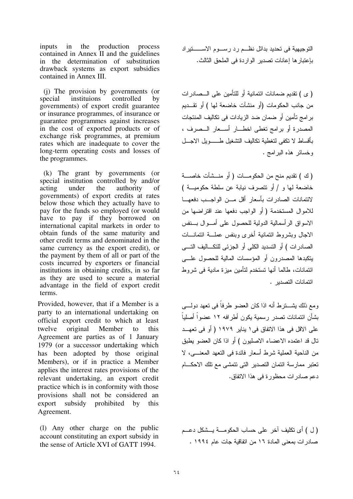inputs in the production process contained in Annex II and the guidelines in the determination of substitution drawback systems as export subsidies contained in Annex III.

(i) The provision by governments (or special instituions controlled  $\mathbf{b}$ governments) of export credit guarantee or insurance programmes, of insurance or guarantee programmes against increases in the cost of exported products or of exchange risk programmes, at premium rates which are inadequate to cover the long-term operating costs and losses of the programmes.

(k) The grant by governments (or special institution controlled by and/or the acting under authority of governments) of export credits at rates below those which they actually have to pay for the funds so employed (or would have to pay if they borrowed on international capital markets in order to obtain funds of the same maturity and other credit terms and denominated in the same currency as the export credit), or the payment by them of all or part of the costs incurred by exporters or financial institutions in obtaining credits, in so far as they are used to secure a material advantage in the field of export credit terms.

Provided, however, that if a Member is a party to an international undertaking on official export credit to which at least twelve original Member  $\mathbf{t}$ this Agreement are parties as of 1 January 1979 (or a successor undertaking which has been adopted by those original Members), or if in practice a Member applies the interest rates provisions of the relevant undertaking, an export credit practice which is in conformity with those provisions shall not be considered an export subsidy prohibited by this Agreement.

(1) Any other charge on the public account constituting an export subsidy in the sense of Article XVI of GATT 1994.

التوجيهية في تحديد بدائل نظـــم ر د رســـو م الاســــــــتير اد بإعتبار ها إعانات تصدير الواردة في الملحق الثالث.

( ي ) تقديم ضمانات ائتمانية أو للتأمين على الـــصادرات من جانب الحكومات (أو منشآت خاضعة لما ) أو تقــديم بر امج تأمين أو ضمان ضد الز يادات في تكاليف المنتجات المصدرة أو برامج تغطي اخطــار أســعار الــصرف ، بأقساط لا تكفي لتغطية تكاليف التشغيل طب وبل الاجل وخسائر هذه البرامج .

(ك ) تقديم منح من الحكومـات ( أو منــشآت خاصـــة خاضعة لها و / أو تتصرف نبابة عن سلطة حكومبــة ) لائتمانات الصادر ات بأسعار أقل مـــن الواجـــب دفعهـــا للامو ال المستخدمة ( أو الواحب دفعها عند اقتر اضبها من الاسواق الر أسمالية الدولية للحصول على أمــوال بـــنفس الإجال وبشر وط ائتمانية أخرى وبنفس عملـــة ائتمانــــات الصبادر ات ) أو التسديد الكلي أو الجزئي للتكـــاليف التــــي يتكبدها المصدرون أو المؤسسات المالية للحصول علـــي ائتمانات، طالما أنها تستخدم لتأمين ميز ة مادية في شر وط ائتمانات التصدير .

و مع ذلك يشــــتر ط أنه اذا كان العضو طر فاً في تعهد دولــــي بشأن ائتمانات تصدر رسمية يكون أطرافه ١٢ عضواً أصلياً على الاقل في هذا الاتفاق في ١ يناير ١٩٧٩ ( أو في تعهــد نال قد اعتمده الاعضاء الاصليون ) أو اذا كان العضو يطبق من الناحية العملية شرط أسعار فائدة في النعهد المعنـــي، لا تعتبر ممارسة ائتمان التصدير التي نتمشى مع نلك الاحكـــام دعم صادر ات محظور ۃ فی ہذا الاتفاق.

( ل ) أي نكليف آخر على حساب الحكومــــة يـــشكل دعـــم صادر ات بمعنى المادة ١٦ من اتفاقية جات عام ١٩٩٤ .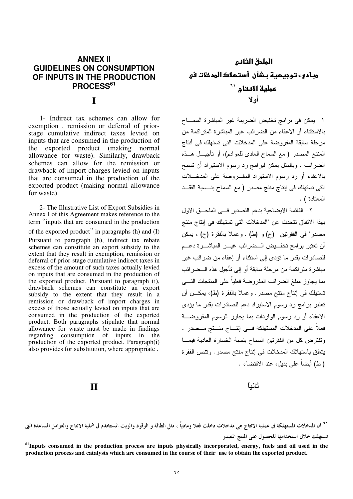# **ANNEX II GUIDELINES ON CONSUMPTION** OF INPUTS IN THE PRODUCTION PROCESS<sup>61</sup>

#### T

1- Indirect tax schemes can allow for exemption, remission or deferral of priorstage cumulative indirect taxes levied on inputs that are consumed in the production of exported product (making normal the allowance for waste). Similarly, drawback schemes can allow for the remission or drawback of import charges levied on inputs that are consumed in the production of the exported product (making normal allowance for waste).

2- The Illustrative List of Export Subsidies in Annex I of this Agreement makes reference to the term "inputs that are consumed in the production of the exported product" in paragraphs (h) and (I) Pursuant to paragraph (h), indirect tax rebate schemes can constitute an export subsidy to the extent that they result in exemption, remission or deferral of prior-stage cumulative indirect taxes in excess of the amount of such taxes actually levied on inputs that are consumed in the production of the exported product. Pursuant to paragraph (i), drawback schemes can constitute an export subsidy to the extent that they result in a remission or drawback of import charges in excess of those actually levied on inputs that are consumed in the production of the exported product. Both paragraphs stipulate that normal allowance for waste must be made in findings consumption of inputs in the regarding production of the exported product. Paragraph(i) also provides for substitution, where appropriate.

# $\mathbf{H}$

# الملحق الثاني مىادىء توجيمية بشأن أستملاك المدنلات فى عملية الانتام `` أو لا

١- يمكن في برامج تخفيض الضريبة غير المباشرة السمـــاح .<br>بالاستثناء أو الاعفاء من الضر ائب غير المباشرة المتر اكمة من مر حلة سابقة المفر وضنة على المدخلات التي تستهلك في أنتاج المنتج المصدر (مع السماح العادي للعوادم)، أو تأجيسل هــذه الضرائب . وبالمثل يمكن لبر امج رد رسوم الاستيراد أن نسمح بالاعفاء أو رد رسوم الاستيراد المفــروضة على المدخــــلات التي تستهلك في إنتاج منتج مصدر (مع السماح بنــسبة الفقــد المعتادة ) .

٢– القائمة الإبضاحية بدعم التصدير في الملحيق الاول بهذا الاتفاق تتحدث عن "المدخلات التي تستهلك في إنتاج منتج مصدر" في الفقرنتين (ح) و (ط) . وعملا بالفقرة (ح) ، يمكن أن تعتبر برامج تخف يض السضرائب غيسر المباشسرة دعسم للصادرات بقدر ما نؤدي إلى استثناء أو إعفاء من ضرائب غير مباشر ة متر اكمة من مر حلة سابقة أو الى تأجيل هذه الـــضر ائب بما يجاوز مبلغ الضرائب المفر وضة فعلياً على المنتجات التـــى تستهلك في إنتاج منتج مصدر . وعملا بالفقر ة (ط)، بمكـــن أن تعتبر برامج رد رسوم الاستيراد دعم للصادرات بقدر ما بؤدي الاعفاء أو رد رسوم الواردات بما يجاوز الرسوم المفروضـــة .<br>فعلاً على المدخلات المستهلكة فـــى إنتـــاج منـــتج مـــصدر . وتفترض كل من الفقرنتين السماح بنسبة الخسارة العادية فيمسا بتعلَّق باستهلاك المدخلات في إنتاج منتج مصدر . وتنص الفقر ة ( ط) أبضاً على بدبل، عند الاقتضاء .

ثانيأ

<sup>``</sup> أن المدخلات المستهلكة في عملية الانتاج هي مدخلات دخلت فعلا ومادياً ، مثل الطاقة و الوقود والزيت المستخدم في هملية الانتاج والعوامل المساعدة التي تستهلك خلال استخدامها للحصول على المنتج المصدر .

 $<sup>61</sup>$ Inputs consumed in the production process are inputs physically incorporated, energy, fuels and oil used in the</sup> production process and catalysts which are consumed in the course of their use to obtain the exported product.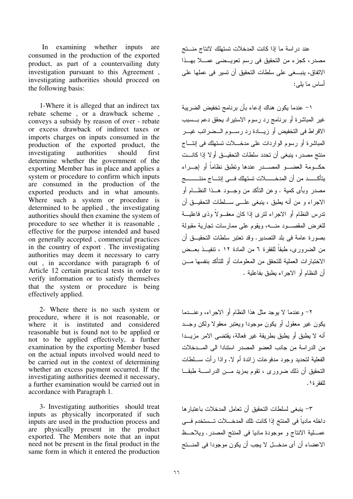In examining whether inputs are consumed in the production of the exported product, as part of a countervailing duty investigation pursuant to this Agreement , investigating authorities should proceed on the following basis:

1-Where it is alleged that an indirect tax rebate scheme , or a drawback scheme , conveys a subsidy by reason of over - rebate or excess drawback of indirect taxes or imports charges on inputs consumed in the production of the exported product, the investigating authorities should first determine whether the government of the exporting Member has in place and applies a system or procedure to confirm which inputs are consumed in the production of the exported products and in what amounts. Where such a system or procedure is determined to be applied , the investigating authorities should then examine the system of procedure to see whether it is reasonable , effective for the purpose intended and based on generally accepted , commercial practices in the country of export . The investigating authorities may deem it necessary to carry out , in accordance with paragraph 6 of Article 12 certain practical tests in order to verify information or to satisfy themselves that the system or procedure is being effectively applied.

2- Where there is no such system or procedure, where it is not reasonable, or where it is instituted and considered reasonable but is found not to be applied or not to be applied effectively, a further examination by the exporting Member based on the actual inputs involved would need to be carried out in the context of determining whether an excess payment occurred. If the investigating authorities deemed it necessary, a further examination would be carried out in accordance with Paragraph 1.

3- Investigating authorities should treat inputs as physically incorporated if such inputs are used in the production process and are physically present in the product exported. The Members note that an input need not be present in the final product in the same form in which it entered the production

عند دراسة ما إذا كانت المدخلات تستهلك لانتاج منستج مصدر، كجزء من التحقيق في رسم تعويــضـي عمـــلا بهــذا الاتفاق، ينبسغي على سلطات التحقيق أن تسير في عملها على أساس ما يلبي:

1– عندما يكون هناك إدعاء بأن برنامج تخفيض الضريبة غير المباشرة أو برنامج رد رسوم الاستيراد بحقق دعم بـــسبب الافراط في التخفيض أو زيـــادة رد رســـوم الـــضرائب غيـــر المباشرة أو رسوم الواردات على مدخـــلات تستهلك في إنتـــاج منتج مصدر ، ينبغي أن تحدد سلطات التحقيـــق أو لا إذا كانـــت حكـــومة العضــــو المصـــــدر عندها وتطبق نظاما أو إجــــراء يتأكـــــد من أن المدخـــــــلات تستهلك فــــى إنتــــاج منتـــــــــج مصدر وبأى كمية . وعن التأكد من وجـــود هـــذا النظــــام أو الاجراء و من أنه يطبق ، ينبغي علـــي ســـلطات النحقيـــق أن ندرس النظام أو الاجراء لنرى إذا كان معقـــولا وذي فاعليـــة للغرض المقصــــود منـــــه، ويقوم علــي ممارسات نـجارية مقبولة بصورة عامة في بلد التصدير . وقد تعتبر سلطات التحقيـــق أن من الضروري، طبقاً للفقرة ٦ من المادة ١٢ ، تنفيــذ بعــض الاختبار ات العملبة للتحقق من المعلومات أو للتأكد بنفسها مـــن أن النظام أو الاجراء يطبق بفاعلية .

٢– وعندما لا يوجد مثل هذا النظام أو الاجراء، وعنــــدما يكون غير معقول أو يكون موجودا ويعتبر معقولا ولكن وجـــد أنه لا يطبق أو يطبق بطريقة غير فعالة، يقتضى الامر مزيــدا من الدراسة من جانب العضو المصدر استنادا الى المـــدخلات الفعلية لتحديد وجود مدفوعات زائدة أم لا. واذا رأت ســـلطات التحقيق أن ذلك ضرورى ، تقوم بمزيد مـــن الدراســـة طبقـــا للفقر ة١.

٣– ينبغي لسلطات التحقيق أن تعامل المدخلات باعتبار ها داخله مادياً في المنتج إذا كانت نلك المدخــــلات تـــستخدم فــــي عمــــلية الانتاج و موجودة ماديا فــي المنتج المصدر . ويلاحـــظ الاعضاء أن أي مدخـــل لا يجب أن يكون موجودا في المنـــنج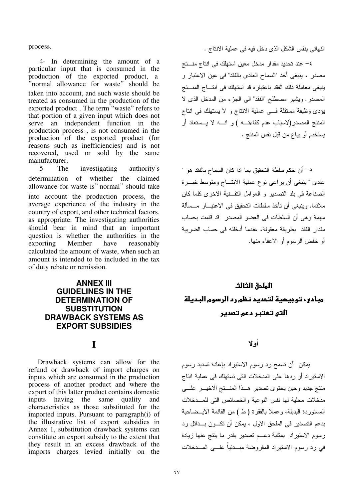4- In determining the amount of a particular input that is consumed in the production of the exported product, a "normal allowance for waste" should be taken into account, and such waste should be treated as consumed in the production of the exported product . The term "waste" refers to that portion of a given input which does not serve an independent function in the production process , is not consumed in the production of the exported product (for reasons such as inefficiencies) and is not recovered, used or sold by the same manufacturer.

5- The investigating authority's determination of whether the claimed allowance for waste is" normal" should take into account the production process, the average experience of the industry in the country of export, and other technical factors, as appropriate. The investigating authorities should bear in mind that an important question is whether the authorities in the exporting Member have reasonably calculated the amount of waste, when such an amount is intended to be included in the tax of duty rebate or remission.

### **ANNEX III GUIDELINES IN THE DETERMINATION OF SUBSTITUTION DRAWBACK SYSTEMS AS EXPORT SUBSIDIES**

**I** 

Drawback systems can allow for the refund or drawback of import charges on inputs which are consumed in the production process of another product and where the export of this latter product contains domestic inputs having the same quality and characteristics as those substituted for the imported inputs. Pursuant to paragraph(i) of the illustrative list of export subsidies in Annex 1, substitution drawback systems can constitute an export subsidy to the extent that they result in an excess drawback of the imports charges levied initially on the

. Q( ?
 +, O, 48 " 4#/ J( +!.( process.

٤ – عند تحديد مقدار مدخل معين استهلك في انتاج منـــتج مصدر ، ينبغي أخذ "السماح العادي بالفقد" في عين الاعتبار و ينبغي معاملة ذلك الفقد باعتباره قد استهلك في انتــاج المنــتج المصدر . ويشير مصطلح "الفقد" الى الجزء من المدخل الذي لا بؤدي وظيفة مستقلة فسي عملية الانتاج و لا يستهلك في انتاج المنتج المصدر (لاسباب عدم كفاءتــه ) و انـــه لا بـــستعاد أو يستخدم أو يباع من قبل نفس المنتج .

0– أن حكم سلطة التحقيق بما اذا كان السماح بالفقد هو " عادي " ينبغي أن يراعي نوع عملية الانتـــاج ومنوسط خبـــرة الصناعة في بلد التصدير و العوامل التقــنية الاخرى كلما كان ملائما. وبنبغي أن تأخذ سلطات التحقيق في الاعتبــار مــسألة مهمة وهي أن السلطات في العضو المصدر فد قامت بحساب مقدار الفقد بطريقة معقولة، عندما أدخلته في حساب الضرببة أو خفض الرسوم أو الاعفاء منها.

الملحق الثالث مبادىء توجيمية لتحديد نظم رد الرسوم البديلة التي تهتبر دعم تصدير

# أو

يمكن أن تسمح رد رسوم الاستيراد بإعادة تسديد رسوم الاستيراد أو ردها على المدخلات التي تستهلك في عملية انتاج منتج جديد وحين يحتوى تصدير هــذا المنـــتج الاخيـــر علــــي مدخلات محلية لها نفس النوعية والخصائص التي للمسدخلات المستوردة البديلة، وعملا بالفقرة (ط) من القائمة الايــضاحية بدعم التصدير ً في الملحق الأول ، بمكن أن تكـــون بـــدائل ر د رسوم الاستير اد بمثابة دعــم تصدير بقدر ما بنتج عنها زيادة في رد رسوم الاستيراد المفروضة مبــدئياً علــــى المـــدخلات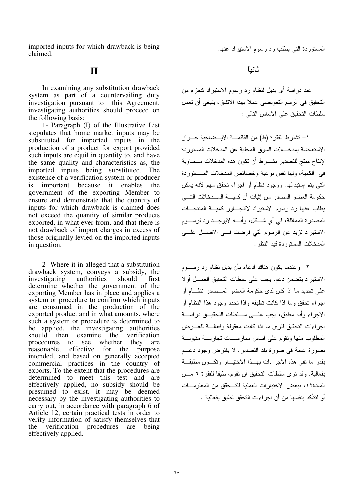المستوردة التي يطلب رد رسوم الاستيراد عنها.

imported inputs for which drawback is being claimed.

# $\mathbf{I}$

In examining any substitution drawback system as part of a countervailing duty investigation pursuant to this Agreement, investigating authorities should proceed on the following basis:

1- Paragraph (I) of the Illustrative List stepulates that home market inputs may be substituted for imported inputs in the production of a product for export provided such inputs are equil in quantity to, and have the same quality and characteristics as, the imported inputs being substituted. The existence of a verification system or producer important because it enables is the government of the exporting Member to ensure and demonstrate that the quantity of inputs for which drawback is claimed does not exceed the quantity of similar products exported, in what ever from, and that there is not drawback of import charges in excess of those originally levied on the imported inputs in question.

2- Where it in alleged that a substitution drawback system, conveys a subsidy, the investigating authorities should first determine whether the government of the exporting Member has in place and applies a system or procedure to confirm which inputs are consumed in the production of the exported product and in what amounts. where such a system or procedure is determined to be applied, the investigating authorities should then examine the verification whether they procedures to see are purpose reasonable. effective the for intended, and based on generally accepted commercial practices in the country of exports. To the extent that the procedures are determined to meet this test and are effectively applied, no subsidy should be presumed to exist. it may be deemed necessary by the investigating authorities to carry out, in accordance with paragraph 6 of Article 12, certain practical tests in order to verify information of satisfy themselves that verification procedures the are being effectively applied.

ثانيأ

عند در اسة أي بديل لنظام رد رسوم الاستيراد كجزء من التحقيق في الرسم التعويضي عملا بهذا الاتفاق، ينبغي أن تعمل سلطات التحقيق على الإساس التالي :

١– نشتر ط الفقر ة (ط) من القائمــــة الايـــضـاحية جــــو از الاستعاضة بمدخــــلات السوق المحلية عن المدخلات المستوردة لإنتاج منتج للتصدير بشـــرط أن تكون هذه المدخلات مـــساوية في الكمية، ولمها نفس نوعية وخصائص المدخلات المسستوردة التي يتم إستبدالها. ووجود نظام أو اجراء تحقق مهم لأنه يمكن حكومة العضو المصدر من إثبات أن كميـــة المـــدخلات التــــى بطلب عنها رد رسوم الاستبر اد لانتجـــاوز كمبـــة المنتجـــات المصدرة المماثلة، في أي شَــكل، و أنـــه لايوجــد رد لريســوم الاستبر اد تزيد عن الرسوم التي فرضت في الاصل علي المدخلات المستوردة قيد النظر.

٢– و عندما يكون هناك ادعاء بأن بديل نظام ر د رســـو م الاستبر اد يتضمن دعم، يجب على سلطات التحقيق العمـــل أو لا على تحديد ما إذا كان لدى حكومة العضو المسصدر نظَّــام أو اجر اء تحقق وما اذا كانت تطبقه وإذا تحدد وجود هذا النظام أو الإحراء وأنه مطبق، بجب علي سططات التحقير في در اسبة اجراءات التحقيق لنزى ما اذا كانت معقولة وفعالسة للغسرض المطلوب منها ونقوم على اساس ممارســات تجاريـــة مقبولـــة بصورة عامة في صورة بلد التصدير . لا يفترض وجود دعــم بقدر ما نفى هذه الاجراءات بهـذا الاختيــار وتكــون مطبقــة بفعالية. وقد ترى سلطات التحقيق أن تقوم، طبقا للفقر ة ٦ مـــن المادة١٢، ببعض الاختبارات العملية للتـحقق من المعلومــات أو لنتأكد بنفسها من أن احر اءات النحقق نطبق بفعالية .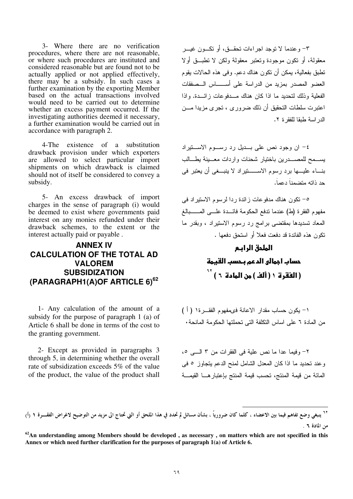3- Where there are no verification procedures, where there are not reasonable, or where such procedures are instituted and considered reasonable but are found not to be actually applied or not applied effectively, there may be a subsidy. In such cases a further examination by the exporting Member based on the actual transactions involved would need to be carried out to determine whether an excess payment occurred. If the investigating authorities deemed it necessary. a further examination would be carried out in accordance with paragraph 2.

4-The existence of a substitution drawback provision under which exporters are allowed to select particular import shipments on which drawback is claimed should not of itself be considered to convey a subsidy.

5- An excess drawback of import charges in the sense of paragraph (i) would be deemed to exist where governments paid interest on any monies refunded under their drawback schemes, to the extent or the interest actually paid or payable.

# **ANNEX IV CALCULATION OF THE TOTAL AD VALOREM SUBSIDIZATION** (PARAGRAPH1(A)OF ARTICLE 6)<sup>62</sup>

1- Any calculation of the amount of a subsidy for the purpose of paragraph 1 (a) of Article 6 shall be done in terms of the cost to the granting government.

2- Except as provided in paragraphs 3 through 5, in determining whether the overall rate of subsidization exceeds 5% of the value of the product, the value of the product shall ٣- و عندما لا نوجد اجر اءات تحقيق، أو نكسون غيسر معقولة، أو نكون موجودة وتعتبر معقولة ولكن لا تطبـــق أولا تطبق بفعالية، يمكن أن تكون هناك دعم. وفي هذه الحالات يقوم العضو المصدر بمزيد من الدراسة على أســـــاس الــصفقات الفعلية وذلك لتحديد ما اذا كان هناك مــدفو عات ز ائـــدة. واذا اعتبرت سلطات التحقيق أن ذلك ضروري ، تجرى مزيدا مـــن الدر اسة طبقا للفقر ة ٢.

٤- ان وجود نص علي بــدبل رد رســوم الاســتبر اد بسيمح للمصيدرين باختيار شجنات واردات معيبنة بطيالب بنـــاء عليـــها برد رسوم الاســـــــتيراد لا ينبـــغي أن يعتبر في حد ذاته متضمناً دعماً.

٥– تكون هناك مدفوعات زائدة ردا لرسوم الإستير اد في مفهوم الفقر ة (ط) عندما تدفع الحكومة فائـــدة علــــى المــــــبالغ المعاد تسديدها بمقتضى برامج رد رسوم الاستيراد ، وبقدر ما نكون هذه الفائدة قد دفعت فعلا أو استحق دفعها .

# الملحق الرابم حساب اجمالي الدعم بحسب القيمة (الفقرة ١ (ألف) من المادة ٢ ) ``

١- يكون حساب مقدار الاعانة في مفهوم الفقــر ١٥ ( أ ) من المادة ٦ على اساس التكلفة التي تحملتها الحكومة المانحة.

٢- وفيما عدا ما نص علية في الفقرات من ٣ الـــي ٥، و عند تحديد ما اذا كان المعدل الشامل لمنح الدعم بتجاوز ٥ في المائة من قيمة المنتج، تحسب قيمة المنتج بإعتبار هـــا القيمـــة

<sup>&</sup>lt;sup>7۲</sup> ينبغي وضع تفاهم فيما بين الاعضاء ، كلما كان ضرورياً ، بشأن مسائل لم تحدد في هذا الملحق أو التي تحتاج الى مزيد من التوضيح لاغراض الفقـــرة ١ (أ) من المادة ٦ .

 ${}^{62}$ An understanding among Members should be developed, as necessary, on matters which are not specified in this Annex or which need further clarification for the purposes of paragraph 1(a) of Article 6.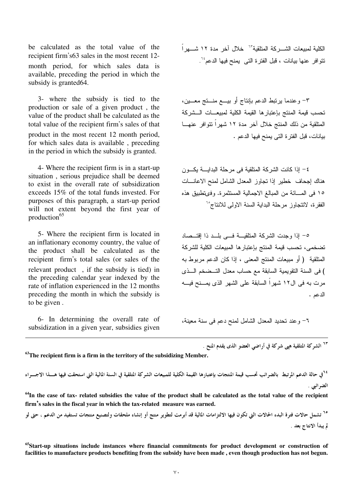be calculated as the total value of the recipient firm's63 sales in the most recent 12 month period, for which sales data is available, preceding the period in which the subsidy is granted64.

3- where the subsidy is tied to the production or sale of a given product , the value of the product shall be calculated as the total value of the recipient firm's sales of that product in the most recent 12 month period, for which sales data is available , preceding in the period in which the subsidy is granted.

4- Where the recipient firm is in a start-up situation , serious prejudice shall be deemed to exist in the overall rate of subsidization exceeds 15% of the total funds invested. For purposes of this paragraph, a start-up period will not extent beyond the first year of production<sup>65</sup>

5- Where the recipient firm is located in an inflationary economy country, the value of the product shall be calculated as the recipient firm's total sales (or sales of the relevant product , if the subsidy is tied) in the preceding calendar year indexed by the rate of inflation experienced in the 12 months preceding the month in which the subsidy is to be given .

6- In determining the overall rate of ( (& +, 
 7( 4/ 4 \$ (
 -[ subsidization in a given year, subsidies given

-

الكلية لمبيعات الشـــركة المتلقية" خلال آخر مدة ١٢ شــــهر ا تتو افر عنـها بيـانـات ، قبل الفتر ة التـي بمنح فيها الدعم<sup>ـْ ت</sup>.

٣- وعندما برنبط الدعم بإنناج أو بيـــع منـــنـج معـــين، تحسب قيمة المنتج بإعتبارها القيمة الكلية لمبيعــات الــشركة المتلقية من ذلك المنتج خلال آخر مدة ١٢ شهراً تتوافر عنهــا بيانات، قبل الفترة التي يمنح فيها الدعم .

٤– إذا كانت الشركة المتلقية في مرحلة البدايــــة يكـــون هناك إجحاف خطير إذا تجاوز المعدل الشامل لمنح الاعانــــات ١٥ في المـــائة من المبالـغ الاجمالية المستثمرة. وفـىتطبيق هذه الفقرة، لاتتجاوز مرحلة البداية السنة الاولى للانتاج°<sup>י</sup>

٥– إذا وجدت الشركة المتلقيـــة فــــي بلــــد ذا إقتـــصـاد تضخمي، تحسب قيمة المنتج بإعتبارها المبيعات الكلية للشركة المتلقية ( أو مبيعات المنتج المعنى ، إذا كان الدعم مربوط به ) في السنة النقو بمبة السابقة مع حساب معدل التــضخم الــذي مرت به في ال ١٢ شهراً السابقة على الشهر الذي يمــنح فيــه الدعم .

<sup>٦٣</sup> الشركة المتلقية هيى شركة في أراضي العضو الذى يقدم المنح .

**<sup>63</sup>The recipient firm is a firm in the territory of the subsidizing Member.** 

أني حالة الدعم المرتبط بالضرائب تحسب قيمة المنتجات بإعتبارها القيمة الكلية للمبيعات الشركة المتلقية في السنة المالية التي استحقت فيها هـــذا الاجـــراء الضرائبي .

**<sup>64</sup>In the case of tax- related subsidies the value of the product shall be calculated as the total value of the recipient firm**'**s sales in the fiscal year in which the tax-related measure was earned.**

<sup>70</sup> تشمل حالات فترة البدء الحالات التي تكون فيها الالتزامات المالية قد أبرمت لتطوير منتج أو إنشاء ملحقات ولتصنيع منتجات تستفيد من الدعم ، حتى لو لم يبدأ الانتاج بعد .

**<sup>65</sup>Start-up situations include instances where financial commitments for product development or construction of facilities to manufacture products benefiting from the subsidy have been made , even though production has not begun.**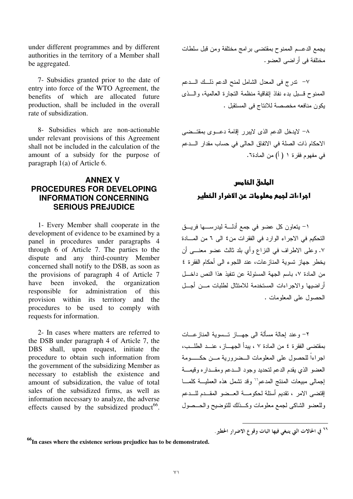under different programmes and by different authorities in the territory of a Member shall be aggregated.

7- Subsidies granted prior to the date of entry into force of the WTO Agreement, the benefits of which are allocated future production, shall be included in the overall rate of subsidization.

8- Subsidies which are non-actionable under relevant provisions of this Agreement shall not be included in the calculation of the amount of a subsidy for the purpose of paragraph  $1(a)$  of Article 6.

# **ANNFX V** PROCEDURES FOR DEVELOPING **INFORMATION CONCERNING SERIOUS PREJUDICE**

1- Every Member shall cooperate in the development of evidence to be examined by a panel in procedures under paragraphs 4 through 6 of Article 7. The parties to the dispute and any third-country Member concerned shall notify to the DSB, as soon as the provisions of paragraph 4 of Article 7 invoked. the have been organization responsible for administration  $\alpha$ f this provision within its territory and the procedures to be used to comply with requests for information.

2- In cases where matters are referred to the DSB under paragraph 4 of Article 7, the DBS shall, upon request, initiate the procedure to obtain such information from the government of the subsidizing Member as necessary to establish the existence and amount of subsidization, the value of total sales of the subsidized firms, as well as information necessary to analyze, the adverse effects caused by the subsidized product<sup>66</sup>.

يجمع الدعـم الممنوح بمقتضى برامج مختلفة ومن قبل سلطات مختلفة في أراضي العضو .

٧- تدرج في المعدل الشامل لمنح الدعم ذلك الـــدعم الممنوح قـبل بدء نفاذ إنفاقية منظمة التجارة العالمية، والــذى يكون منافعه مخصصة للانتاج في المستقبل .

٨– لايدخل الدعم الذي لايبرر إقامة دعوى بمقتــضي الاحكام ذات الصلة في الاتفاق الحالي في حساب مقدار الـــدعم في مفهوم فقرة ١ ( أ) من المادة٦.

# الملحق الخامس اجراءات لجمع معلومات عن الاضرار الخطبر

۱– ينعاون كل عضو في جمع أدلـــة ليدرســــها فريـــق التحكيم في الإجراء الوارد في الفقرات من٤ الى ٦ من المسادة ٧. وعلمي الاطراف في النزاع وأي بلد ثالث عضو معنـــي أن يخطر جهاز تسوية المنازعات، عند اللجوء الى أحكام الفقرة ٤ من المادة ٧، باسم الجهة المسئولة عن نتفيذ هذا النص داخل أر اضبها والاجر اءات المستخدمة للامتثال لطلبات مـــن أجـــل الحصول على المعلومات .

٢- و عند إحالة مسألة الى جهـــاز تـــسوية المناز عـــات بمقتضى الفقر ة ٤ من المادة ٧ ، ببدأ الجهــاز ، عنــد الطلــب، اجراءاً للحصول على المعلومات الـــضرورية مـــن حكــــــومة العضو الذي بقدم الدعم لتحديد وجود السدعم ومقسدار ه وقيمسة إجمالي مبيعات المنتج المدعم<sup>ة</sup> وقد نشمل هذه العمليـــة كلمــــا إقتضبي الامر ، تقديم أسئلة لحكومة العبضو المقبدم للبدعم وللعضو الشاكي لجمع معلومات وكبذلك للنوضيح والحبصول

 $^{66}$ In cases where the existence serious prejudice has to be demonstrated.

<sup>&</sup>lt;sup>71</sup> في الحالات التي ينبغي فيها اثبات وقوع الاضرار الحطير .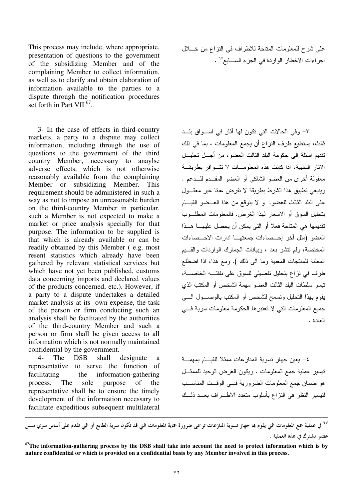This process may include, where appropriate, presentation of questions to the government of the subsidizing Member and of the complaining Member to collect information, as well as to clarify and obtain elaboration of information available to the parties to a dispute through the notification procedures set forth in Part VII<sup>67</sup>.

3- In the case of effects in third-country markets, a party to a dispute may collect information, including through the use of questions to the government of the third country Member, necessary to anaylse adverse effects, which is not otherwise reasonably available from the complaining Member or subsidizing Member. This requirement should be administered in such a way as not to impose an unreasonable burden on the third-country Member in particular, such a Member is not expected to make a market or price analysis specially for that purpose. The information to be supplied is that which is already available or can be readily obtained by this Member ( e.g. most resent statistics which already have been gathered by relevant statistical services but which have not yet been published, customs data concerning imports and declared values of the products concerned, etc.). However, if a party to a dispute undertakes a detailed market analysis at its own expense, the task of the person or firm conducting such an analysis shall be facilitated by the authorities of the third-country Member and such a person or firm shall be given access to all information which is not normally maintained confidential by the government.

4- The DSB shall designate a representative to serve the function of facilitating the information-gathering process. The sole purpose of the representative shall be to ensure the timely development of the information necessary to facilitate expeditious subsequent multilateral

-

على شرح للمعلومات المتاحة للاطراف في النزاع من خــلال اجراءات الاخطار الواردة في الجزء الســــابـع<sup>\٦</sup> .

٣- وفي الحالات التي نكون لمها أثار في اســـواق بلـــد ثالث، يستطيع طرف النزاع أن يجمع المعلومات ، بما في ذلك نقديم اسئلة البي حكومة البلد الثالث العضو، من أجـــل تحليـــل الاثار السلبية، اذا كانت هذه المعلومـــات لا تتـــوافر بطريقـــة معقولة أخرى من العضو الشاكي أو العضو المقــدم للـــدعم . وينبغي تطبيق هذا الشرط بطريقة لا تفرض عبئا غير معقــول على البلد الثالث للعضو. و لا يتوقع من هذا العــضو القيـــام بتحليل السوق أو الاسعار لهذا الغرض. فالمعلومات المطلبوب تقديمها هي المتاحة فعلا أو التي يمكن أن يحصل عليهـــا هــذا العضو (مثل أخر إحــصاءات جمعتهـــا ادارات الاحـــصاءات المختصة، ولم نتشر بعد ، وبيانات الجمارك الواردات والقـــيم المعلنة للمنتجات المعنية وما البي ذلك ). ومع هذا، اذا اضطلع طرف في نزاع بتحليل تفصيلي للسوق على نفقتـــه الخاصـــة، نيسر سلطات البلد الثالث العضو مهمة الشخص أو المكتب الذي .<br>بقوم بـهذا التـحليل وتسمح للشحص أو المكتب بالوصـــول الــــ*ي* جميع المعلومات التبي لا تعتبرها الحكومة معلومات سرية فسي العادة .

٤– يعين جهاز نسوية المنازعات ممثلا للقيــــام بمهمــــة نيسير عملية جمع المعلومات . ويكون الغرض الوحيد للممثـــل هو ضمان جمع المعلومات الضرورية فـــي الوقـــت المناســـب لتيسير النظر في النزاع بأسلوب متعدد الاطـــراف بعـــد ذلـــك

<sup>&</sup>lt;sup>77</sup> في عملية جمع المعلومات التي يقوم بما جهاز تسوية المنازعات تراعى ضرورة حماية المعلومات التي قد تكون سرية الطابع أو التي تقدم على أساس سري مـــن عضو مشترك في هذه العملية .

**<sup>67</sup>The information-gathering process by the DSB shall take into account the need to protect information which is by nature confidential or which is provided on a confidential basis by any Member involved in this process.**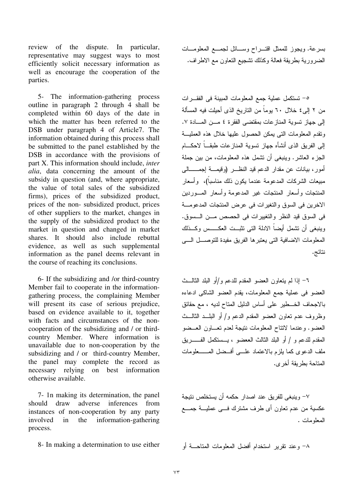review of the dispute. In particular, representative may suggest ways to most efficiently solicit necessary information as well as encourage the cooperation of the parties.

5- The information-gathering process outline in paragraph 2 through 4 shall be completed within 60 days of the date in which the matter has been referred to the DSB under paragraph 4 of Article7. The information obtained during this process shall be submitted to the panel established by the DSB in accordance with the provisions of part X. This information should include, *inter alia*, data concerning the amount of the subsidy in question (and, where appropriate, the value of total sales of the subsidized firms), prices of the subsidized product, prices of the non- subsidized product, prices of other suppliers to the market, changes in the supply of the subsidized product to the market in question and changed in market shares. It should also include rebuttal evidence, as well as such supplemental information as the panel deems relevant in the course of reaching its conclusions.

6- If the subsidizing and /or third-country Member fail to cooperate in the informationgathering process, the complaining Member will present its case of serious prejudice, based on evidence available to it, together with facts and circumstances of the noncooperation of the subsidizing and / or thirdcountry Member. Where information is unavailable due to non-cooperation by the subsidizing and / or third-country Member, the panel may complete the record as necessary relying on best information otherwise available.

7- 1n making its determination, the panel should draw adverse inferences from instances of non-cooperation by any party involved in the information-gathering process.

بسرعة. ويجوز للممثل اقتـــراح وســــائل لـجمــــع المعلومــــات الضرورية بطريقة فعالة وكذلك تشجيع التعاون مع الاطراف.

0- تستكمل عملية جمع المعلومات المبينة في الفقـــرات من ٢ إلى ٤ خلال ٦٠ بوماً من الناريخ الذي أحبلت فيه المسألة إلى جهاز نسوية المنازعات بمقتضى الفقرة ٤ مـــن المــــادة ٧. ونقدم المعلومات التي بمكن الحصول عليها خلال هذه العمليـــة إلى الفريق الذى أنشأه جهاز تسوية المنازعات طبقـــا لاحكــــام الجزء العاشر . وينبغي أن نشمل هذه المعلومات، من بين جملة أمور، بيانات عن مقدار الدعم قيد النظــــر (وقيمــــة إجمـــــــالـي مبيعات الشركات المدعومة عندما يكون ذلك مناسباً)، وأسعار المنتجات وأسعار المنتجات غير المدعومة وأسعار المسوردين الاخرين في السوق والنغيرات في عرض المنتجات المدعومـــة في السوق قيد النظر والتغييرات في الحصص مـــن الـــسوق. وينبغي أن نشمل أيضاً الادلة التي نثبـــن العكـــــس وكـــذلك المعلومات الاضافية التي يعتبرها الفريق مفيدة للتوصـــل الــــي نتائج.

٦– إذا لم يتعاون العضو المقدم للدعم و/أو البلد الثالـــث العضو في عملية جمع المعلومات، يقدم العضو الشاكي ادعاءه بالاجحاف الخـــطير على أساس الدليل المناح لديه ، مع حقائق وظروف عدم نعاون العضو المقدم الدعم و/ أو البلـــد الثالـــث العضو . وعندما لاتتاح المعلومات نتيجة لعدم تعـــاون العـــضو المقدم للدعم و / أو البلد الثالث الععضو ، يــستكمل الفـــــــــر بق ملف الدعوى كما بلزم بالاعتماد علـــى أفــضل المـــــعلومات المتاحة بطر بقة أخر ي.

٧– وينبغي للفريق عند اصدار حكمه أن يستخلص نتيجة عکسیة من عدم تعاون أی طرف مشترك فـــي عملیــــة جمــــع المعلومات .

8- In making a determination to use either وعند نقرير استخدام أفضل المعلومات المتاحـــة أو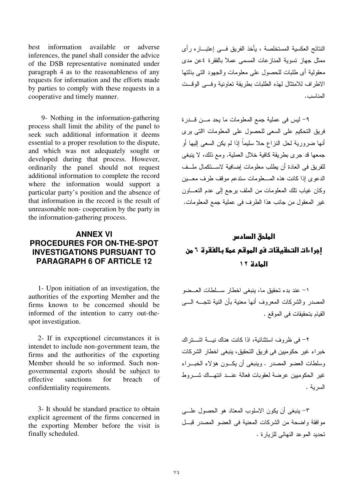hest information available  $\alpha$ adverse inferences, the panel shall consider the advice of the DSB representative nominated under paragraph 4 as to the reasonableness of any requests for information and the efforts made by parties to comply with these requests in a cooperative and timely manner.

9- Nothing in the information-gathering process shall limit the ability of the panel to seek such additional information it deems essential to a proper resolution to the dispute. and which was not adequately sought or developed during that process. However, ordinarily the panel should not request additional information to complete the record where the information would support a particular party's position and the absence of that information in the record is the result of unreasonable non-cooperation by the party in the information-gathering process.

### **ANNEX VI PROCEDURES FOR ON-THE-SPOT INVESTIGATIONS PURSUANT TO PARAGRAPH 6 OF ARTICLE 12**

1- Upon initiation of an investigation, the authorities of the exporting Member and the firms known to be concerned should be informed of the intention to carry out-thespot investigation.

2- If in expecptionel circumstances it is intendet to include non-government team, the firms and the authorities of the exporting Member should be so informed. Such nongovernmental exports should be subject to effective sanctions for breach  $\sigma$ f confidentiality requirements.

3- It should be standard practice to obtain explicit agreement of the firms concerned in the exporting Member before the visit is finally scheduled.

النتائج العكسية المستخلصة ، يأخذ الفريق فسي إعتبـــاره رأى ممثل جهاز تسوية المنازعات المسمى عملا بالفقرة ٤عن مدى معقولية أي طلبات للحصول على معلومات والجهود التي بذلتها الاطراف للامتثال لهذه الطلبات بطريقة تعاونية وفي الوقت المناسب.

٩- لبس في عملية جمع المعلومات ما يحد مــن قــدرة فريق التحكيم على السعى للحصول على المعلومات االتي يرى أنها ضرورية لحل النزاع حلا سليماً إذا لم يكن السعى إليها أو جمعها قد جرى بطريقة كافية خلال العملية. ومع ذلك، لا ينبغي للفريق في العادة أن يطلب معلومات إضافية لاستكمال ملَّــف الدعوى إذا كانت هذه المسعلومات سندعم موقف طرف معسين وكان غياب نلك المعلومات من الملف يرجع إلى عدم التعـــاون غير المعقول من جانب هذا الطرف في عملية جمع المعلومات.

# الملحق السادس أجراءات التحقيقات في الموقع عملا بالفقرة ٢ من المادة ١٢

١- عند بدء تحقيق ما، بنبغي اخطار ســلطات العــضو المصدر والشركات المعروف أنها معنبة بأن النبة تتجــه الــــى القيام بتحقيقات في الموقع .

٢– في ظروف استثنائية، اذا كانت هناك نيسة اشتراك خبراء غير حكوميين في فريق التحقيق، ينبغي اخطار الشركات وسلطات العضو المصدر . وينبغي أن يكسون هؤلاء الخبسراء غير الحكوميين عرضة لعقوبات فعالة عنــد انتهــاك شـــروط السرية .

٣- بنبغي أن بكون الإسلوب المعتاد هو الحصول علـــي مو افقة و اضحة من الشركات المعنية في العضو المصدر قبــل تحديد الموعد النهائي للزيارة .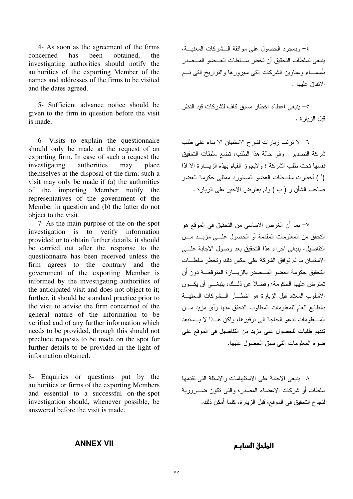4- As soon as the agreement of the firms heen concerned has obtained. the investigating authorities should notify the authorities of the exporting Member of the names and addresses of the firms to be visited and the dates agreed.

5- Sufficient advance notice should be given to the firm in question before the visit is made.

6- Visits to explain the questionnaire should only be made at the request of an exporting firm. In case of such a request the investigating authorities may place themselves at the disposal of the firm; such a visit may only be made if (a) the authorities of the importing Member notify the representatives of the government of the Member in question and (b) the latter do not object to the visit.

7- As the main purpose of the on-the-spot investigation is to verify information provided or to obtain further details, it should be carried out after the response to the questionnaire has been received unless the firm agrees to the contrary and the government of the exporting Member is informed by the investigating authorities of the anticipated visit and does not object to it; further, it should be standard practice prior to the visit to advise the firm concerned of the general nature of the information to be verified and of any further information which needs to be provided, through this should not preclude requests to be made on the spot for further details to be provided in the light of information obtained.

8- Enquiries or questions put by the authorities or firms of the exporting Members and essential to a successful on-the-spot investigation should, whenever possible, be answered before the visit is made.

٤– وبمجرد الحصول على موافقة السشركات المعنيسة، ينبغي لسلطات التحقيق أن تخطر ســلطات العــضو المــصدر بأسمـــاء وعناوين الشركات الني سيزورها والنواريخ التي تـــم الاتفاق عليها .

٥– ينبغي اعطاء اخطار مسبق كاف للشر كات قيد النظر قبل الزيارة .

٦– لا ترتب زيارات لشرح الاستبيان الا بناء على طلب شركة التصدير . وفي حالة هذا الطلب، تضع سلطات التحقيق نفسها نحت طلب الشركة ؛ ولايجوز القيام بهذه الزيـــارة الا اذا (أ ) أخطرت سلسطات العضو المستورد ممثلي حكومة العضو صاحب الشأن و (ب) ولم يعتز ض الاخبر على الزبار ة .

٧– بما أن الغرض الاساسي من التحقيق في الموقع هو النحقق من المعلومات المقدمة أو الحصول علـــى مزيـــد مـــن التفاصيل، بنبغي اجراء هذا التحقيق بعد وصول الاجابة علـــي الاستبيان ما لم نو افق الشركة على عكس ذلك وتخطر سلطـــات التحقيق حكومة العضو المسصدر بالزيسارة المتوقعسة دون أن تعتر ض عليها الحكومة؛ وفضلا عن ذلــك، بنيغـــي أن بكــون الاسلوب المعناد قبل الزيارة هو اخطـــار الـــشركات المعنيـــة بالطابع العام للمعلومات المطلوب النحقق منها وأى مزيد مـــن المسعلومات ندعو الحاجة الى نوفيرها، ولكن هــذا لا يــستبعد نقديم طلبات للحصول على مزيد من النفاصيل في الموقع على ضوء المعلومات التي سبق الحصول علبها.

٨- ينبغي الاجابة على الاستفهامات والاسئلة التبي تقدمها سلطات أو شركات الاعضاء المصدرة والتي نكون ضــــرورية لنجاح التحقيق في الموقع، قبل الزيار ة، كلما أمكن ذلك.

#### **ANNEX VII**

الملحق السابم